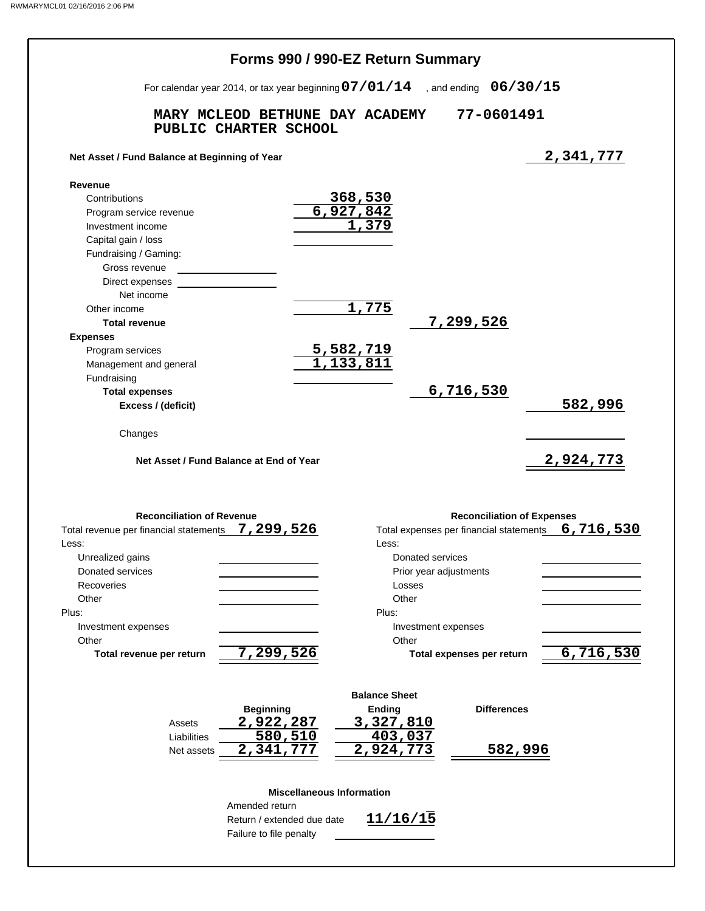|                                                                                        |                                                                                  | Forms 990 / 990-EZ Return Summary |                                         |                                   |
|----------------------------------------------------------------------------------------|----------------------------------------------------------------------------------|-----------------------------------|-----------------------------------------|-----------------------------------|
|                                                                                        | For calendar year 2014, or tax year beginning $07/01/14$ , and ending $06/30/15$ |                                   |                                         |                                   |
|                                                                                        | MARY MCLEOD BETHUNE DAY ACADEMY<br>PUBLIC CHARTER SCHOOL                         |                                   | 77-0601491                              |                                   |
| Net Asset / Fund Balance at Beginning of Year                                          |                                                                                  |                                   |                                         | 2,341,777                         |
| Revenue                                                                                |                                                                                  |                                   |                                         |                                   |
| Contributions                                                                          |                                                                                  |                                   |                                         |                                   |
| Program service revenue                                                                |                                                                                  | $\frac{368,530}{6,927,842}$       |                                         |                                   |
| Investment income                                                                      |                                                                                  |                                   |                                         |                                   |
| Capital gain / loss                                                                    |                                                                                  |                                   |                                         |                                   |
| Fundraising / Gaming:                                                                  |                                                                                  |                                   |                                         |                                   |
| Gross revenue                                                                          |                                                                                  |                                   |                                         |                                   |
| Direct expenses                                                                        |                                                                                  |                                   |                                         |                                   |
| Net income                                                                             |                                                                                  |                                   |                                         |                                   |
| Other income                                                                           |                                                                                  | 1,775                             |                                         |                                   |
| <b>Total revenue</b>                                                                   |                                                                                  |                                   | 7,299,526                               |                                   |
| <b>Expenses</b>                                                                        |                                                                                  |                                   |                                         |                                   |
| Program services                                                                       |                                                                                  |                                   |                                         |                                   |
| Management and general                                                                 |                                                                                  | 5,582,719<br>1,133,811            |                                         |                                   |
| Fundraising                                                                            |                                                                                  |                                   |                                         |                                   |
| <b>Total expenses</b>                                                                  |                                                                                  |                                   | 6,716,530                               |                                   |
| Excess / (deficit)                                                                     |                                                                                  |                                   |                                         | 582,996                           |
|                                                                                        |                                                                                  |                                   |                                         |                                   |
|                                                                                        |                                                                                  |                                   |                                         |                                   |
| Changes                                                                                | Net Asset / Fund Balance at End of Year                                          |                                   |                                         | 2,924,773                         |
| <b>Reconciliation of Revenue</b><br>Total revenue per financial statements 7, 299, 526 |                                                                                  |                                   | Total expenses per financial statements | <b>Reconciliation of Expenses</b> |
| Less:                                                                                  |                                                                                  | Less:                             |                                         |                                   |
| Unrealized gains                                                                       |                                                                                  |                                   | Donated services                        |                                   |
| Donated services                                                                       |                                                                                  |                                   | Prior year adjustments                  |                                   |
| Recoveries                                                                             |                                                                                  | Losses                            |                                         |                                   |
| Other                                                                                  |                                                                                  | Other                             |                                         |                                   |
|                                                                                        |                                                                                  | Plus:                             |                                         |                                   |
| Investment expenses                                                                    |                                                                                  |                                   | Investment expenses                     |                                   |
| Other                                                                                  |                                                                                  | Other                             |                                         |                                   |
| Total revenue per return                                                               | 7,299,526                                                                        |                                   | Total expenses per return               |                                   |
|                                                                                        |                                                                                  |                                   |                                         |                                   |
|                                                                                        |                                                                                  | <b>Balance Sheet</b>              |                                         |                                   |
|                                                                                        | <b>Beginning</b>                                                                 | <b>Ending</b>                     |                                         | <b>Differences</b>                |
| Assets                                                                                 | 2,922,287                                                                        | 3,327,810                         |                                         |                                   |
| Liabilities                                                                            | 580,510                                                                          | 403,037                           |                                         |                                   |
| Plus:<br>Net assets                                                                    | 2,341,777                                                                        | 2,924,773                         |                                         | 582,996                           |
|                                                                                        |                                                                                  |                                   |                                         |                                   |
|                                                                                        |                                                                                  | <b>Miscellaneous Information</b>  |                                         |                                   |
|                                                                                        | Amended return                                                                   |                                   |                                         | 6,716,530<br>6,716,530            |
|                                                                                        | Return / extended due date<br>Failure to file penalty                            | 11/16/15                          |                                         |                                   |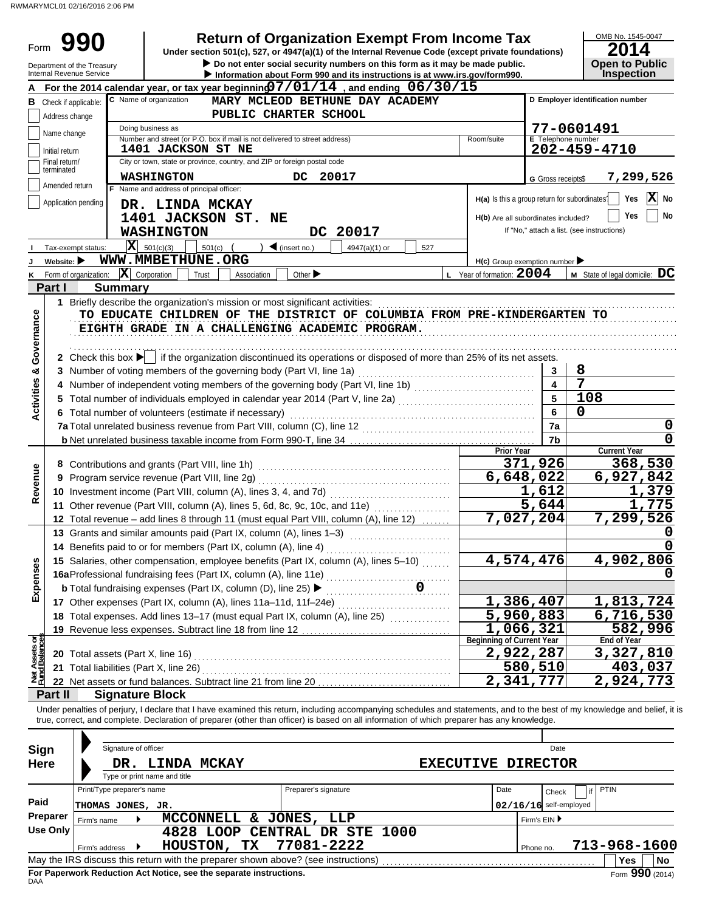RWMARYMCL01 02/16/2016 2:06 PM

| Form                           |                                | Department of the Treasury             |                                                                                                         | <b>Return of Organization Exempt From Income Tax</b><br>Under section 501(c), 527, or 4947(a)(1) of the Internal Revenue Code (except private foundations)<br>Do not enter social security numbers on this form as it may be made public.                                                                                                          |                                                                                     |                          | 2014<br><b>Open to Public</b>              | OMB No. 1545-0047                        |
|--------------------------------|--------------------------------|----------------------------------------|---------------------------------------------------------------------------------------------------------|----------------------------------------------------------------------------------------------------------------------------------------------------------------------------------------------------------------------------------------------------------------------------------------------------------------------------------------------------|-------------------------------------------------------------------------------------|--------------------------|--------------------------------------------|------------------------------------------|
|                                |                                | Internal Revenue Service               |                                                                                                         | Information about Form 990 and its instructions is at www.irs.gov/form990.                                                                                                                                                                                                                                                                         |                                                                                     |                          | <b>Inspection</b>                          |                                          |
|                                |                                | <b>B</b> Check if applicable:          | C Name of organization                                                                                  | For the 2014 calendar year, or tax year beginning $07/01/14$ , and ending $06/30/15$<br>MARY MCLEOD BETHUNE DAY ACADEMY<br>PUBLIC CHARTER SCHOOL                                                                                                                                                                                                   |                                                                                     |                          | D Emplover identification number           |                                          |
|                                | Address change                 |                                        | Doing business as                                                                                       |                                                                                                                                                                                                                                                                                                                                                    |                                                                                     |                          | 77-0601491                                 |                                          |
|                                | Name change                    |                                        | Number and street (or P.O. box if mail is not delivered to street address)                              |                                                                                                                                                                                                                                                                                                                                                    | Room/suite                                                                          | E Telephone number       |                                            |                                          |
|                                | Initial return                 |                                        | <b>1401 JACKSON ST NE</b>                                                                               |                                                                                                                                                                                                                                                                                                                                                    |                                                                                     |                          | 202-459-4710                               |                                          |
|                                | Final return/<br>terminated    |                                        | City or town, state or province, country, and ZIP or foreign postal code                                |                                                                                                                                                                                                                                                                                                                                                    |                                                                                     |                          |                                            |                                          |
|                                | Amended return                 |                                        | <b>WASHINGTON</b>                                                                                       | DC<br>20017                                                                                                                                                                                                                                                                                                                                        |                                                                                     | G Gross receipts\$       |                                            | 7,299,526                                |
|                                |                                | Application pending                    | F Name and address of principal officer:<br>DR. LINDA MCKAY<br>1401 JACKSON ST. NE<br><b>WASHINGTON</b> | DC 20017                                                                                                                                                                                                                                                                                                                                           | H(a) Is this a group return for subordinates<br>H(b) Are all subordinates included? |                          | If "No," attach a list. (see instructions) | $ \mathbf{X} $<br>Yes<br>No<br>Yes<br>No |
|                                |                                | X<br>Tax-exempt status:                | 501(c)(3)<br>$501(c)$ (                                                                                 | $\triangleleft$ (insert no.)<br>4947(a)(1) or<br>527                                                                                                                                                                                                                                                                                               |                                                                                     |                          |                                            |                                          |
|                                | Website: $\blacktriangleright$ |                                        | WWW.MMBETHUNE.ORG                                                                                       |                                                                                                                                                                                                                                                                                                                                                    | $H(c)$ Group exemption number                                                       |                          |                                            |                                          |
| Κ                              |                                | Form of organization:                  | $ \mathbf{X} $ Corporation<br>Trust<br>Association                                                      | Other $\blacktriangleright$                                                                                                                                                                                                                                                                                                                        | L Year of formation: $2004$                                                         |                          | M State of legal domicile: DC              |                                          |
|                                | Part I                         | <b>Summary</b>                         |                                                                                                         |                                                                                                                                                                                                                                                                                                                                                    |                                                                                     |                          |                                            |                                          |
|                                |                                |                                        | 1 Briefly describe the organization's mission or most significant activities:                           |                                                                                                                                                                                                                                                                                                                                                    |                                                                                     |                          |                                            |                                          |
| Governance                     |                                |                                        |                                                                                                         | Terry describe the organization's mission or most significant activities:<br>TO EDUCATE CHILDREN OF THE DISTRICT OF COLUMBIA FROM PRE-KINDERGARTEN TO<br>EIGHTH GRADE IN A CHALLENGING ACADEMIC PROGRAM.<br>2 Check this box $\blacktriangleright$ if the organization discontinued its operations or disposed of more than 25% of its net assets. |                                                                                     |                          |                                            |                                          |
|                                |                                |                                        | 3 Number of voting members of the governing body (Part VI, line 1a)                                     |                                                                                                                                                                                                                                                                                                                                                    |                                                                                     | 3                        | 8                                          |                                          |
| ಳ                              |                                |                                        |                                                                                                         | 4 Number of independent voting members of the governing body (Part VI, line 1b) [11] [11] Number of independent voting members of the governing body (Part VI, line 1b)                                                                                                                                                                            |                                                                                     | $\overline{4}$           | 7                                          |                                          |
| Activities                     |                                |                                        |                                                                                                         |                                                                                                                                                                                                                                                                                                                                                    |                                                                                     | 5                        | 108                                        |                                          |
|                                |                                |                                        | 6 Total number of volunteers (estimate if necessary)                                                    |                                                                                                                                                                                                                                                                                                                                                    |                                                                                     | 6                        | 0                                          |                                          |
|                                |                                |                                        |                                                                                                         |                                                                                                                                                                                                                                                                                                                                                    |                                                                                     | 7a                       |                                            | 0                                        |
|                                |                                |                                        |                                                                                                         |                                                                                                                                                                                                                                                                                                                                                    |                                                                                     | 7b                       |                                            |                                          |
|                                |                                |                                        |                                                                                                         |                                                                                                                                                                                                                                                                                                                                                    | <b>Prior Year</b>                                                                   |                          | <b>Current Year</b>                        |                                          |
|                                |                                |                                        | 8 Contributions and grants (Part VIII, line 1h)                                                         |                                                                                                                                                                                                                                                                                                                                                    |                                                                                     | 371,926                  |                                            | 368,530                                  |
|                                |                                |                                        | 9 Program service revenue (Part VIII, line 2g)                                                          |                                                                                                                                                                                                                                                                                                                                                    | $\overline{6}$ , 648, 022                                                           |                          |                                            | 6,927,842                                |
| Revenue                        |                                |                                        | 10 Investment income (Part VIII, column (A), lines 3, 4, and 7d)                                        |                                                                                                                                                                                                                                                                                                                                                    |                                                                                     | 1,612                    |                                            | 1,379                                    |
|                                |                                |                                        |                                                                                                         | 11 Other revenue (Part VIII, column (A), lines 5, 6d, 8c, 9c, 10c, and 11e)                                                                                                                                                                                                                                                                        |                                                                                     | 5,644                    |                                            | 775                                      |
|                                |                                |                                        |                                                                                                         | 12 Total revenue - add lines 8 through 11 (must equal Part VIII, column (A), line 12)                                                                                                                                                                                                                                                              | 7,027,204                                                                           |                          |                                            | 7,299,526                                |
|                                |                                |                                        | 13 Grants and similar amounts paid (Part IX, column (A), lines 1-3)                                     |                                                                                                                                                                                                                                                                                                                                                    |                                                                                     |                          |                                            | 0                                        |
|                                |                                |                                        | 14 Benefits paid to or for members (Part IX, column (A), line 4)                                        |                                                                                                                                                                                                                                                                                                                                                    |                                                                                     |                          |                                            | O                                        |
|                                |                                |                                        |                                                                                                         | 15 Salaries, other compensation, employee benefits (Part IX, column (A), lines 5-10)                                                                                                                                                                                                                                                               | 4,574,476                                                                           |                          |                                            | 4,902,806                                |
| Expenses                       |                                |                                        | 16aProfessional fundraising fees (Part IX, column (A), line 11e)                                        |                                                                                                                                                                                                                                                                                                                                                    |                                                                                     |                          |                                            |                                          |
|                                |                                |                                        | <b>b</b> Total fundraising expenses (Part IX, column (D), line 25) ▶                                    | 0                                                                                                                                                                                                                                                                                                                                                  |                                                                                     |                          |                                            |                                          |
|                                |                                |                                        | 17 Other expenses (Part IX, column (A), lines 11a-11d, 11f-24e)                                         |                                                                                                                                                                                                                                                                                                                                                    | 1,386,407                                                                           |                          |                                            | 1,813,724                                |
|                                |                                |                                        |                                                                                                         | 18 Total expenses. Add lines 13-17 (must equal Part IX, column (A), line 25)                                                                                                                                                                                                                                                                       | $\overline{5,960,883}$                                                              |                          |                                            | 6,716,530                                |
|                                |                                |                                        |                                                                                                         |                                                                                                                                                                                                                                                                                                                                                    | 1,066,321                                                                           |                          |                                            | 582,996                                  |
| Net Assets or<br>Fund Balances |                                |                                        |                                                                                                         |                                                                                                                                                                                                                                                                                                                                                    | <b>Beginning of Current Year</b>                                                    |                          | End of Year                                |                                          |
|                                |                                |                                        |                                                                                                         | 20 Total assets (Part X, line 16) Mathematical and Total and Total assets (Part X, line 16)                                                                                                                                                                                                                                                        | 2,922,287                                                                           |                          |                                            | 3,327,810                                |
|                                |                                | 21 Total liabilities (Part X, line 26) |                                                                                                         |                                                                                                                                                                                                                                                                                                                                                    |                                                                                     | 580,510                  |                                            | 403,037                                  |
|                                |                                |                                        | 22 Net assets or fund balances. Subtract line 21 from line 20                                           |                                                                                                                                                                                                                                                                                                                                                    | 2,341,777                                                                           |                          |                                            | 2,924,773                                |
|                                | Part II                        |                                        | <b>Signature Block</b>                                                                                  |                                                                                                                                                                                                                                                                                                                                                    |                                                                                     |                          |                                            |                                          |
| Sign                           |                                | Signature of officer                   |                                                                                                         | Under penalties of perjury, I declare that I have examined this return, including accompanying schedules and statements, and to the best of my knowledge and belief, it is<br>true, correct, and complete. Declaration of preparer (other than officer) is based on all information of which preparer has any knowledge.                           |                                                                                     | Date                     |                                            |                                          |
| <b>Here</b>                    |                                |                                        | DR. LINDA MCKAY                                                                                         |                                                                                                                                                                                                                                                                                                                                                    | <b>EXECUTIVE DIRECTOR</b>                                                           |                          |                                            |                                          |
|                                |                                |                                        | Type or print name and title                                                                            |                                                                                                                                                                                                                                                                                                                                                    |                                                                                     |                          |                                            |                                          |
|                                |                                | Print/Type preparer's name             |                                                                                                         | Preparer's signature                                                                                                                                                                                                                                                                                                                               | Date                                                                                | Check                    | <b>PTIN</b><br>if                          |                                          |
| Paid                           |                                | THOMAS JONES, JR.                      |                                                                                                         |                                                                                                                                                                                                                                                                                                                                                    |                                                                                     | $02/16/16$ self-employed |                                            |                                          |
|                                | Preparer                       | Firm's name                            | MCCONNELL & JONES,                                                                                      | LLP                                                                                                                                                                                                                                                                                                                                                |                                                                                     | Firm's EIN ▶             |                                            |                                          |
|                                | <b>Use Only</b>                |                                        |                                                                                                         | 4828 LOOP CENTRAL DR STE 1000                                                                                                                                                                                                                                                                                                                      |                                                                                     |                          |                                            |                                          |
|                                |                                | Firm's address                         | HOUSTON,<br>TX                                                                                          | 77081-2222                                                                                                                                                                                                                                                                                                                                         |                                                                                     | Phone no.                | 713-968-1600                               |                                          |
|                                |                                |                                        | May the IRS discuss this return with the preparer shown above? (see instructions)                       |                                                                                                                                                                                                                                                                                                                                                    |                                                                                     |                          | Yes                                        | No                                       |

| Sign        |                            | Signature of officer |                                             |                                                                    |     |                                                                                   |                           |      |              | Date                     |             |                 |
|-------------|----------------------------|----------------------|---------------------------------------------|--------------------------------------------------------------------|-----|-----------------------------------------------------------------------------------|---------------------------|------|--------------|--------------------------|-------------|-----------------|
| <b>Here</b> |                            | DR.                  | LINDA MCKAY<br>Type or print name and title |                                                                    |     |                                                                                   | <b>EXECUTIVE DIRECTOR</b> |      |              |                          |             |                 |
|             | Print/Type preparer's name |                      |                                             |                                                                    |     | Preparer's signature                                                              |                           | Date |              | Check                    | <b>PTIN</b> |                 |
| Paid        | THOMAS JONES, JR.          |                      |                                             |                                                                    |     |                                                                                   |                           |      |              | $02/16/16$ self-employed |             |                 |
| Preparer    | Firm's name                |                      |                                             | <b>MCCONNELL</b>                                                   | δc. | JONES,<br>LLP                                                                     |                           |      | Firm's EIN ▶ |                          |             |                 |
| Use Only    |                            |                      |                                             |                                                                    |     | 4828 LOOP CENTRAL DR STE 1000                                                     |                           |      |              |                          |             |                 |
|             | Firm's address             |                      |                                             | HOUSTON,                                                           | TX. | 77081-2222                                                                        |                           |      | Phone no.    |                          |             | 713-968-1600    |
|             |                            |                      |                                             |                                                                    |     | May the IRS discuss this return with the preparer shown above? (see instructions) |                           |      |              |                          | <b>Yes</b>  | No              |
|             |                            |                      |                                             | For Paperwork Reduction Act Notice, see the separate instructions. |     |                                                                                   |                           |      |              |                          |             | Form 990 (2014) |

**For Paperwork Reduction Act Notice, see the separate instructions.**<br><sub>DAA</sub>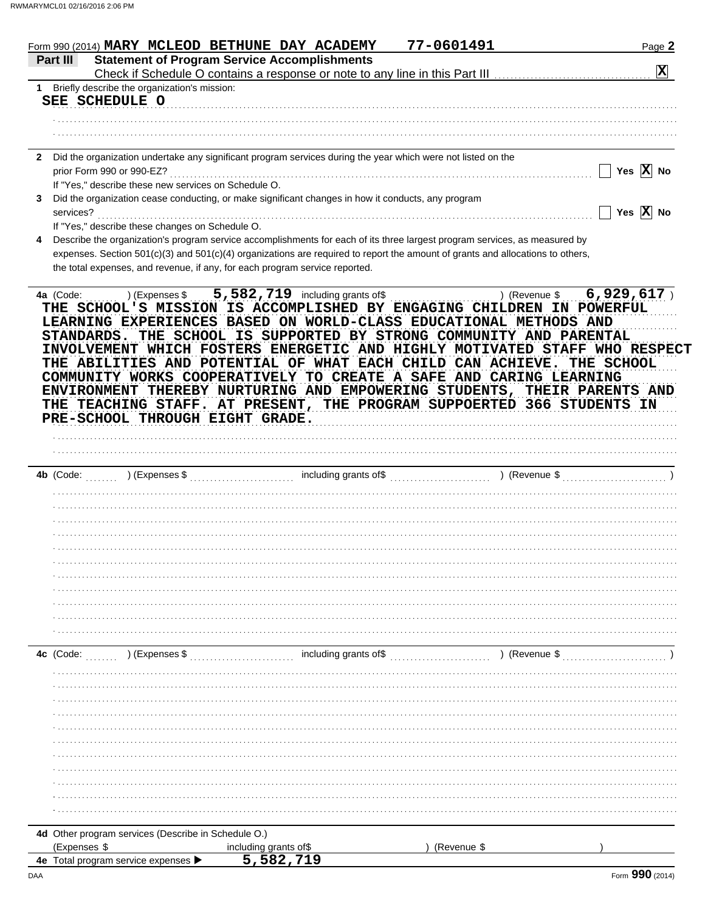|                 |                                                                             | Form 990 (2014) MARY MCLEOD BETHUNE DAY ACADEMY                                                                                                                                                                                                                                                                                                                                                                                              | 77-0601491 | Page 2                  |
|-----------------|-----------------------------------------------------------------------------|----------------------------------------------------------------------------------------------------------------------------------------------------------------------------------------------------------------------------------------------------------------------------------------------------------------------------------------------------------------------------------------------------------------------------------------------|------------|-------------------------|
| Part III        | <b>Statement of Program Service Accomplishments</b>                         |                                                                                                                                                                                                                                                                                                                                                                                                                                              |            | $\overline{\mathbf{x}}$ |
| 1               | Briefly describe the organization's mission:                                |                                                                                                                                                                                                                                                                                                                                                                                                                                              |            |                         |
|                 | SEE SCHEDULE O                                                              |                                                                                                                                                                                                                                                                                                                                                                                                                                              |            |                         |
|                 |                                                                             |                                                                                                                                                                                                                                                                                                                                                                                                                                              |            |                         |
|                 |                                                                             |                                                                                                                                                                                                                                                                                                                                                                                                                                              |            |                         |
|                 |                                                                             |                                                                                                                                                                                                                                                                                                                                                                                                                                              |            |                         |
|                 | prior Form 990 or 990-EZ?                                                   | 2 Did the organization undertake any significant program services during the year which were not listed on the                                                                                                                                                                                                                                                                                                                               |            | Yes $\overline{X}$ No   |
|                 | If "Yes," describe these new services on Schedule O.                        |                                                                                                                                                                                                                                                                                                                                                                                                                                              |            |                         |
| 3.<br>services? |                                                                             | Did the organization cease conducting, or make significant changes in how it conducts, any program                                                                                                                                                                                                                                                                                                                                           |            | Yes $\overline{X}$ No   |
| 4               | If "Yes," describe these changes on Schedule O.                             | Describe the organization's program service accomplishments for each of its three largest program services, as measured by                                                                                                                                                                                                                                                                                                                   |            |                         |
|                 | the total expenses, and revenue, if any, for each program service reported. | expenses. Section 501(c)(3) and 501(c)(4) organizations are required to report the amount of grants and allocations to others,                                                                                                                                                                                                                                                                                                               |            |                         |
|                 |                                                                             | STANDARDS. THE SCHOOL IS SUPPORTED BY STRONG COMMUNITY AND PARENTAL<br>INVOLVEMENT WHICH FOSTERS ENERGETIC AND HIGHLY MOTIVATED STAFF WHO RESPECT<br>THE ABILITIES AND POTENTIAL OF WHAT EACH CHILD CAN ACHIEVE.<br>COMMUNITY WORKS COOPERATIVELY TO CREATE A SAFE AND CARING LEARNING<br>ENVIRONMENT THEREBY NURTURING AND EMPOWERING STUDENTS, THEIR PARENTS AND<br>THE TEACHING STAFF. AT PRESENT, THE PROGRAM SUPPOERTED 366 STUDENTS IN |            | THE SCHOOL              |
|                 | PRE-SCHOOL THROUGH EIGHT GRADE.                                             |                                                                                                                                                                                                                                                                                                                                                                                                                                              |            |                         |
|                 |                                                                             |                                                                                                                                                                                                                                                                                                                                                                                                                                              |            |                         |
|                 |                                                                             |                                                                                                                                                                                                                                                                                                                                                                                                                                              |            |                         |
|                 |                                                                             |                                                                                                                                                                                                                                                                                                                                                                                                                                              |            |                         |
|                 |                                                                             |                                                                                                                                                                                                                                                                                                                                                                                                                                              |            |                         |
|                 |                                                                             |                                                                                                                                                                                                                                                                                                                                                                                                                                              |            |                         |
|                 |                                                                             |                                                                                                                                                                                                                                                                                                                                                                                                                                              |            |                         |
|                 |                                                                             |                                                                                                                                                                                                                                                                                                                                                                                                                                              |            |                         |
|                 |                                                                             |                                                                                                                                                                                                                                                                                                                                                                                                                                              |            |                         |
|                 |                                                                             |                                                                                                                                                                                                                                                                                                                                                                                                                                              |            |                         |
|                 |                                                                             |                                                                                                                                                                                                                                                                                                                                                                                                                                              |            |                         |
|                 |                                                                             |                                                                                                                                                                                                                                                                                                                                                                                                                                              |            |                         |
|                 |                                                                             |                                                                                                                                                                                                                                                                                                                                                                                                                                              |            |                         |
|                 |                                                                             |                                                                                                                                                                                                                                                                                                                                                                                                                                              |            |                         |
|                 |                                                                             | 4c (Code: (2008) (Expenses \$ \\efficial contract including grants of \$ \\efficience \end{branch} ) (Revenue \$                                                                                                                                                                                                                                                                                                                             |            |                         |
|                 |                                                                             |                                                                                                                                                                                                                                                                                                                                                                                                                                              |            |                         |
|                 |                                                                             |                                                                                                                                                                                                                                                                                                                                                                                                                                              |            |                         |
|                 |                                                                             |                                                                                                                                                                                                                                                                                                                                                                                                                                              |            |                         |
|                 |                                                                             |                                                                                                                                                                                                                                                                                                                                                                                                                                              |            |                         |
|                 |                                                                             |                                                                                                                                                                                                                                                                                                                                                                                                                                              |            |                         |
|                 |                                                                             |                                                                                                                                                                                                                                                                                                                                                                                                                                              |            |                         |
|                 |                                                                             |                                                                                                                                                                                                                                                                                                                                                                                                                                              |            |                         |
|                 |                                                                             |                                                                                                                                                                                                                                                                                                                                                                                                                                              |            |                         |
|                 |                                                                             |                                                                                                                                                                                                                                                                                                                                                                                                                                              |            |                         |
|                 |                                                                             |                                                                                                                                                                                                                                                                                                                                                                                                                                              |            |                         |
|                 |                                                                             |                                                                                                                                                                                                                                                                                                                                                                                                                                              |            |                         |

| <b>TO</b> Other program Services (Describe in Ocheaale O.)     |                        |             |
|----------------------------------------------------------------|------------------------|-------------|
| (Expenses \$                                                   | including grants of \$ | (Revenue \$ |
| <b>4e</b> Total program service expenses $\blacktriangleright$ | 5,582,719              |             |

 $\lambda$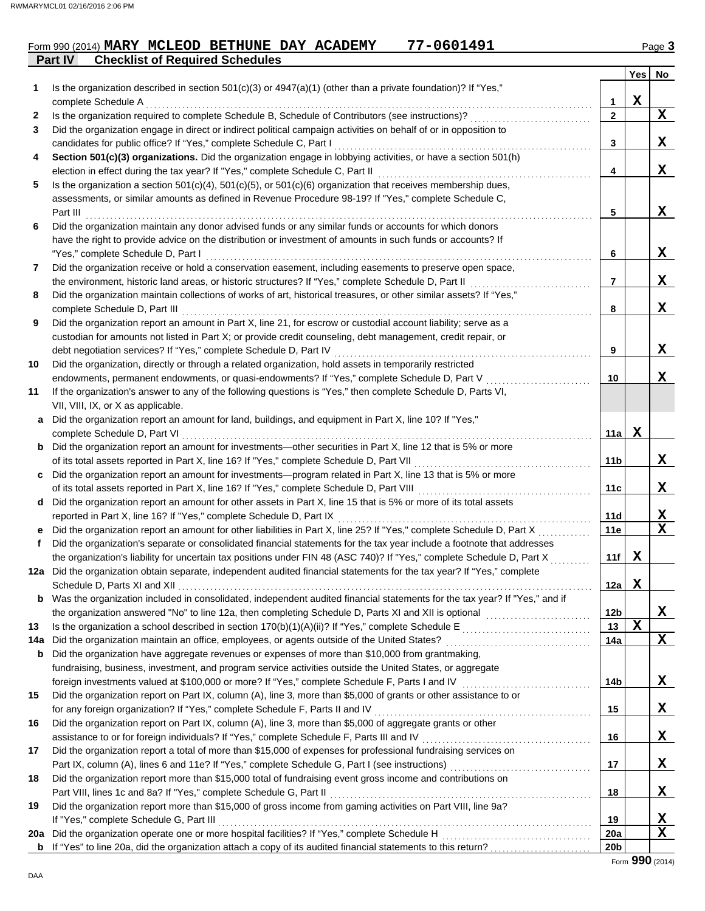### **Part IV Checklist of Required Schedules** Form 990 (2014) **MARY MCLEOD BETHUNE DAY ACADEMY** 77-0601491 2010 2014 Page 3

| 1   | Is the organization described in section $501(c)(3)$ or $4947(a)(1)$ (other than a private foundation)? If "Yes,"                                                                                                                    |              | <b>Yes</b>  | No          |
|-----|--------------------------------------------------------------------------------------------------------------------------------------------------------------------------------------------------------------------------------------|--------------|-------------|-------------|
|     | complete Schedule A                                                                                                                                                                                                                  | 1            | $\mathbf X$ |             |
| 2   | Is the organization required to complete Schedule B, Schedule of Contributors (see instructions)?                                                                                                                                    | $\mathbf{2}$ |             | X           |
| 3   | Did the organization engage in direct or indirect political campaign activities on behalf of or in opposition to                                                                                                                     |              |             |             |
|     | candidates for public office? If "Yes," complete Schedule C, Part I                                                                                                                                                                  | 3            |             | X           |
| 4   | Section 501(c)(3) organizations. Did the organization engage in lobbying activities, or have a section 501(h)                                                                                                                        |              |             |             |
|     |                                                                                                                                                                                                                                      | 4            |             | X           |
| 5   | Is the organization a section $501(c)(4)$ , $501(c)(5)$ , or $501(c)(6)$ organization that receives membership dues,                                                                                                                 |              |             |             |
|     | assessments, or similar amounts as defined in Revenue Procedure 98-19? If "Yes," complete Schedule C,                                                                                                                                |              |             |             |
|     |                                                                                                                                                                                                                                      | 5            |             | X           |
| 6   | Did the organization maintain any donor advised funds or any similar funds or accounts for which donors                                                                                                                              |              |             |             |
|     | have the right to provide advice on the distribution or investment of amounts in such funds or accounts? If                                                                                                                          |              |             |             |
| 7   | "Yes," complete Schedule D, Part I<br>Did the organization receive or hold a conservation easement, including easements to preserve open space,                                                                                      | 6            |             | X           |
|     |                                                                                                                                                                                                                                      | 7            |             | X           |
| 8   | Did the organization maintain collections of works of art, historical treasures, or other similar assets? If "Yes,"                                                                                                                  |              |             |             |
|     |                                                                                                                                                                                                                                      | 8            |             | X           |
| 9   | Did the organization report an amount in Part X, line 21, for escrow or custodial account liability; serve as a                                                                                                                      |              |             |             |
|     | custodian for amounts not listed in Part X; or provide credit counseling, debt management, credit repair, or                                                                                                                         |              |             |             |
|     |                                                                                                                                                                                                                                      | 9            |             | X           |
| 10  | Did the organization, directly or through a related organization, hold assets in temporarily restricted                                                                                                                              |              |             |             |
|     | endowments, permanent endowments, or quasi-endowments? If "Yes," complete Schedule D, Part V                                                                                                                                         | 10           |             | X.          |
| 11  | If the organization's answer to any of the following questions is "Yes," then complete Schedule D, Parts VI,                                                                                                                         |              |             |             |
|     | VII, VIII, IX, or X as applicable.                                                                                                                                                                                                   |              |             |             |
|     | a Did the organization report an amount for land, buildings, and equipment in Part X, line 10? If "Yes,"                                                                                                                             |              |             |             |
|     | complete Schedule D, Part VI                                                                                                                                                                                                         | 11a l        | X           |             |
|     | <b>b</b> Did the organization report an amount for investments—other securities in Part X, line 12 that is 5% or more                                                                                                                |              |             |             |
|     | of its total assets reported in Part X, line 16? If "Yes," complete Schedule D, Part VII                                                                                                                                             | 11b          |             | X           |
|     | c Did the organization report an amount for investments—program related in Part X, line 13 that is 5% or more<br>of its total assets reported in Part X, line 16? If "Yes," complete Schedule D, Part VIII [[[[[[[[[[[[[[[[[[[[      | 11c          |             | X           |
|     | d Did the organization report an amount for other assets in Part X, line 15 that is 5% or more of its total assets                                                                                                                   |              |             |             |
|     | reported in Part X, line 16? If "Yes," complete Schedule D, Part IX                                                                                                                                                                  | 11d          |             | X           |
|     | e Did the organization report an amount for other liabilities in Part X, line 25? If "Yes," complete Schedule D, Part X                                                                                                              | 11e          |             | $\mathbf X$ |
| f   | Did the organization's separate or consolidated financial statements for the tax year include a footnote that addresses                                                                                                              |              |             |             |
|     | the organization's liability for uncertain tax positions under FIN 48 (ASC 740)? If "Yes," complete Schedule D, Part X                                                                                                               | 11f          | X           |             |
|     | 12a Did the organization obtain separate, independent audited financial statements for the tax year? If "Yes," complete                                                                                                              |              |             |             |
|     |                                                                                                                                                                                                                                      | 12a          | X           |             |
|     | Was the organization included in consolidated, independent audited financial statements for the tax year? If "Yes," and if                                                                                                           |              |             |             |
|     | the organization answered "No" to line 12a, then completing Schedule D, Parts XI and XII is optional                                                                                                                                 | 12b          |             | X           |
| 13  |                                                                                                                                                                                                                                      | 13           | X           |             |
| 14a |                                                                                                                                                                                                                                      | 14a          |             | X           |
| b   | Did the organization have aggregate revenues or expenses of more than \$10,000 from grantmaking,                                                                                                                                     |              |             |             |
|     | fundraising, business, investment, and program service activities outside the United States, or aggregate                                                                                                                            |              |             |             |
| 15  | foreign investments valued at \$100,000 or more? If "Yes," complete Schedule F, Parts I and IV [[[[[[[[[[[[[[[[<br>Did the organization report on Part IX, column (A), line 3, more than \$5,000 of grants or other assistance to or | 14b          |             | X           |
|     | for any foreign organization? If "Yes," complete Schedule F, Parts II and IV                                                                                                                                                         | 15           |             | X           |
| 16  | Did the organization report on Part IX, column (A), line 3, more than \$5,000 of aggregate grants or other                                                                                                                           |              |             |             |
|     |                                                                                                                                                                                                                                      | 16           |             | X           |
| 17  | Did the organization report a total of more than \$15,000 of expenses for professional fundraising services on                                                                                                                       |              |             |             |
|     |                                                                                                                                                                                                                                      | 17           |             | X           |
| 18  | Did the organization report more than \$15,000 total of fundraising event gross income and contributions on                                                                                                                          |              |             |             |
|     |                                                                                                                                                                                                                                      | 18           |             | X           |
| 19  | Did the organization report more than \$15,000 of gross income from gaming activities on Part VIII, line 9a?                                                                                                                         |              |             |             |
|     | If "Yes," complete Schedule G, Part III                                                                                                                                                                                              | 19           |             | X           |
|     |                                                                                                                                                                                                                                      | <b>20a</b>   |             | x           |
|     |                                                                                                                                                                                                                                      | 20b          |             |             |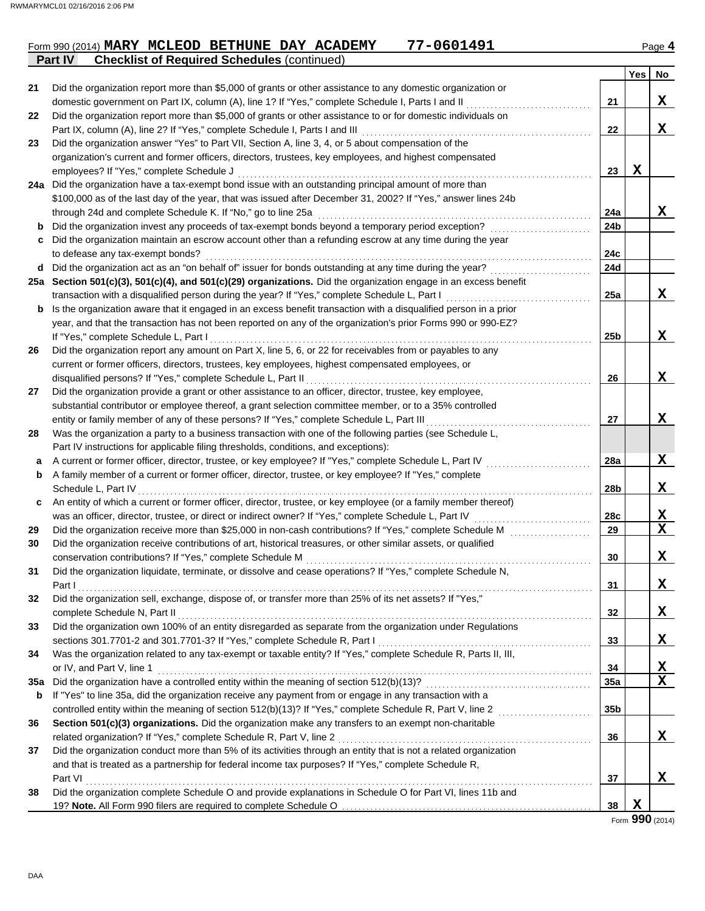|                |  |                                                    | Form 990 (2014) MARY MCLEOD BETHUNE DAY ACADEMY | 77-0601491 |  | Page 4 |
|----------------|--|----------------------------------------------------|-------------------------------------------------|------------|--|--------|
| <b>Part IV</b> |  | <b>Checklist of Required Schedules (continued)</b> |                                                 |            |  |        |
|                |  |                                                    |                                                 |            |  |        |

|        |                                                                                                                                                                                                |                 | Yes         | No |
|--------|------------------------------------------------------------------------------------------------------------------------------------------------------------------------------------------------|-----------------|-------------|----|
| 21     | Did the organization report more than \$5,000 of grants or other assistance to any domestic organization or                                                                                    |                 |             |    |
|        | domestic government on Part IX, column (A), line 1? If "Yes," complete Schedule I, Parts I and II                                                                                              | 21              |             | X  |
| 22     | Did the organization report more than \$5,000 of grants or other assistance to or for domestic individuals on                                                                                  |                 |             |    |
|        | Part IX, column (A), line 2? If "Yes," complete Schedule I, Parts I and III [11] [11] [11] [11] [11] [11] [11]                                                                                 | 22              |             | X  |
| 23     | Did the organization answer "Yes" to Part VII, Section A, line 3, 4, or 5 about compensation of the                                                                                            |                 |             |    |
|        | organization's current and former officers, directors, trustees, key employees, and highest compensated                                                                                        |                 |             |    |
|        | employees? If "Yes," complete Schedule J                                                                                                                                                       | 23              | $\mathbf x$ |    |
|        | 24a Did the organization have a tax-exempt bond issue with an outstanding principal amount of more than                                                                                        |                 |             |    |
|        | \$100,000 as of the last day of the year, that was issued after December 31, 2002? If "Yes," answer lines 24b                                                                                  |                 |             |    |
|        | through 24d and complete Schedule K. If "No," go to line 25a                                                                                                                                   | 24a             |             | X  |
| b      | Did the organization invest any proceeds of tax-exempt bonds beyond a temporary period exception?                                                                                              | 24b             |             |    |
| C      | Did the organization maintain an escrow account other than a refunding escrow at any time during the year                                                                                      |                 |             |    |
|        | to defease any tax-exempt bonds?                                                                                                                                                               | 24c             |             |    |
|        | d Did the organization act as an "on behalf of" issuer for bonds outstanding at any time during the year?                                                                                      | 24d             |             |    |
|        | 25a Section 501(c)(3), 501(c)(4), and 501(c)(29) organizations. Did the organization engage in an excess benefit                                                                               |                 |             |    |
|        | transaction with a disqualified person during the year? If "Yes," complete Schedule L, Part I                                                                                                  | 25a             |             | x  |
|        | <b>b</b> Is the organization aware that it engaged in an excess benefit transaction with a disqualified person in a prior                                                                      |                 |             |    |
|        | year, and that the transaction has not been reported on any of the organization's prior Forms 990 or 990-EZ?                                                                                   |                 |             |    |
|        | If "Yes," complete Schedule L, Part I                                                                                                                                                          | 25b             |             | X  |
| 26     | Did the organization report any amount on Part X, line 5, 6, or 22 for receivables from or payables to any                                                                                     |                 |             |    |
|        | current or former officers, directors, trustees, key employees, highest compensated employees, or                                                                                              |                 |             |    |
|        | disqualified persons? If "Yes," complete Schedule L, Part II                                                                                                                                   | 26              |             | X  |
| 27     | Did the organization provide a grant or other assistance to an officer, director, trustee, key employee,                                                                                       |                 |             |    |
|        | substantial contributor or employee thereof, a grant selection committee member, or to a 35% controlled                                                                                        |                 |             | X  |
| 28     | entity or family member of any of these persons? If "Yes," complete Schedule L, Part III                                                                                                       | 27              |             |    |
|        | Was the organization a party to a business transaction with one of the following parties (see Schedule L,                                                                                      |                 |             |    |
|        | Part IV instructions for applicable filing thresholds, conditions, and exceptions):<br>A current or former officer, director, trustee, or key employee? If "Yes," complete Schedule L, Part IV | 28a             |             | X  |
| a<br>b | A family member of a current or former officer, director, trustee, or key employee? If "Yes," complete                                                                                         |                 |             |    |
|        | Schedule L, Part IV                                                                                                                                                                            | 28 <sub>b</sub> |             | X  |
| c      | An entity of which a current or former officer, director, trustee, or key employee (or a family member thereof)                                                                                |                 |             |    |
|        | was an officer, director, trustee, or direct or indirect owner? If "Yes," complete Schedule L, Part IV                                                                                         | 28c             |             | Х  |
| 29     | Did the organization receive more than \$25,000 in non-cash contributions? If "Yes," complete Schedule M                                                                                       | 29              |             | X  |
| 30     | Did the organization receive contributions of art, historical treasures, or other similar assets, or qualified                                                                                 |                 |             |    |
|        | conservation contributions? If "Yes," complete Schedule M                                                                                                                                      | 30              |             | X  |
| 31     | Did the organization liquidate, terminate, or dissolve and cease operations? If "Yes," complete Schedule N,                                                                                    |                 |             |    |
|        | Part I                                                                                                                                                                                         | 31              |             | X  |
| 32     | Did the organization sell, exchange, dispose of, or transfer more than 25% of its net assets? If "Yes,"                                                                                        |                 |             |    |
|        | complete Schedule N, Part II                                                                                                                                                                   | 32              |             | X  |
| 33     | Did the organization own 100% of an entity disregarded as separate from the organization under Regulations                                                                                     |                 |             |    |
|        | sections 301.7701-2 and 301.7701-3? If "Yes," complete Schedule R, Part I                                                                                                                      | 33              |             | X  |
| 34     | Was the organization related to any tax-exempt or taxable entity? If "Yes," complete Schedule R, Parts II, III,                                                                                |                 |             |    |
|        | or IV, and Part V, line 1                                                                                                                                                                      | 34              |             | X  |
| 35a    |                                                                                                                                                                                                | 35a             |             | X  |
| b      | If "Yes" to line 35a, did the organization receive any payment from or engage in any transaction with a                                                                                        |                 |             |    |
|        |                                                                                                                                                                                                | 35b             |             |    |
| 36     | Section 501(c)(3) organizations. Did the organization make any transfers to an exempt non-charitable                                                                                           |                 |             |    |
|        | related organization? If "Yes," complete Schedule R, Part V, line 2                                                                                                                            | 36              |             | X  |
| 37     | Did the organization conduct more than 5% of its activities through an entity that is not a related organization                                                                               |                 |             |    |
|        | and that is treated as a partnership for federal income tax purposes? If "Yes," complete Schedule R,                                                                                           |                 |             |    |
|        | Part VI                                                                                                                                                                                        | 37              |             | X  |
| 38     | Did the organization complete Schedule O and provide explanations in Schedule O for Part VI, lines 11b and                                                                                     |                 |             |    |
|        |                                                                                                                                                                                                | 38              | X           |    |
|        |                                                                                                                                                                                                |                 | חחח         |    |

Form **990** (2014)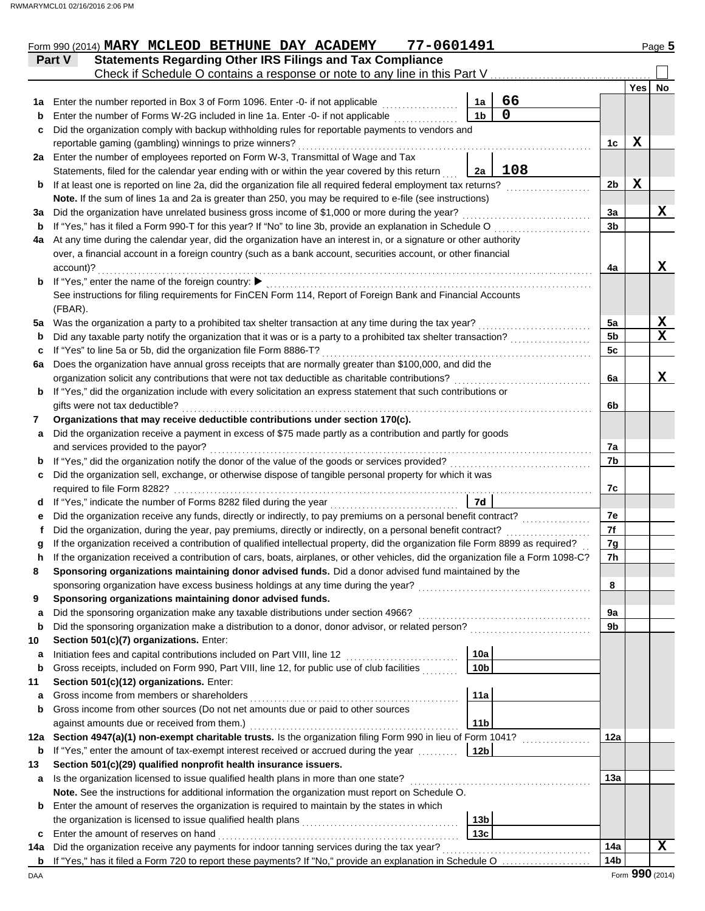|     | 77-0601491<br>Form 990 (2014) MARY MCLEOD BETHUNE DAY ACADEMY                                                                                                                   |                 |                  | Page 5          |
|-----|---------------------------------------------------------------------------------------------------------------------------------------------------------------------------------|-----------------|------------------|-----------------|
|     | <b>Statements Regarding Other IRS Filings and Tax Compliance</b><br>Part V                                                                                                      |                 |                  |                 |
|     | Check if Schedule O contains a response or note to any line in this Part V                                                                                                      |                 |                  |                 |
|     |                                                                                                                                                                                 |                 | Yes <sup> </sup> | No              |
| 1a  | 66<br>Enter the number reported in Box 3 of Form 1096. Enter -0- if not applicable<br>1a<br>0<br>1 <sub>b</sub>                                                                 |                 |                  |                 |
| b   | Enter the number of Forms W-2G included in line 1a. Enter -0- if not applicable                                                                                                 |                 |                  |                 |
| c   | Did the organization comply with backup withholding rules for reportable payments to vendors and                                                                                |                 | X                |                 |
|     | reportable gaming (gambling) winnings to prize winners?<br>2a Enter the number of employees reported on Form W-3, Transmittal of Wage and Tax                                   | 1c              |                  |                 |
|     | 108<br>Statements, filed for the calendar year ending with or within the year covered by this return<br>2a                                                                      |                 |                  |                 |
| b   | If at least one is reported on line 2a, did the organization file all required federal employment tax returns?                                                                  | 2 <sub>b</sub>  | $\mathbf X$      |                 |
|     | Note. If the sum of lines 1a and 2a is greater than 250, you may be required to e-file (see instructions)                                                                       |                 |                  |                 |
| За  | Did the organization have unrelated business gross income of \$1,000 or more during the year?                                                                                   | 3a              |                  | X               |
| b   | If "Yes," has it filed a Form 990-T for this year? If "No" to line 3b, provide an explanation in Schedule O                                                                     | 3 <sub>b</sub>  |                  |                 |
| 4a  | At any time during the calendar year, did the organization have an interest in, or a signature or other authority                                                               |                 |                  |                 |
|     | over, a financial account in a foreign country (such as a bank account, securities account, or other financial                                                                  |                 |                  |                 |
|     | account)?                                                                                                                                                                       | 4a              |                  | X               |
| b   | If "Yes," enter the name of the foreign country: ▶                                                                                                                              |                 |                  |                 |
|     | See instructions for filing requirements for FinCEN Form 114, Report of Foreign Bank and Financial Accounts                                                                     |                 |                  |                 |
|     | (FBAR).                                                                                                                                                                         |                 |                  |                 |
| 5а  | Was the organization a party to a prohibited tax shelter transaction at any time during the tax year?                                                                           | 5a              |                  | X               |
| b   | Did any taxable party notify the organization that it was or is a party to a prohibited tax shelter transaction?                                                                | 5 <sub>b</sub>  |                  | $\mathbf x$     |
| c   | If "Yes" to line 5a or 5b, did the organization file Form 8886-T?                                                                                                               | 5c              |                  |                 |
| 6a  | Does the organization have annual gross receipts that are normally greater than \$100,000, and did the                                                                          |                 |                  |                 |
|     | organization solicit any contributions that were not tax deductible as charitable contributions?                                                                                | 6a              |                  | X               |
| b   | If "Yes," did the organization include with every solicitation an express statement that such contributions or                                                                  |                 |                  |                 |
|     | gifts were not tax deductible?                                                                                                                                                  | 6b              |                  |                 |
| 7   | Organizations that may receive deductible contributions under section 170(c).                                                                                                   |                 |                  |                 |
| a   | Did the organization receive a payment in excess of \$75 made partly as a contribution and partly for goods                                                                     |                 |                  |                 |
|     | and services provided to the payor?                                                                                                                                             | 7a              |                  |                 |
| b   | If "Yes," did the organization notify the donor of the value of the goods or services provided?                                                                                 | 7b              |                  |                 |
| c   | Did the organization sell, exchange, or otherwise dispose of tangible personal property for which it was<br>required to file Form 8282?                                         | 7c              |                  |                 |
| d   | 7d<br>If "Yes," indicate the number of Forms 8282 filed during the year                                                                                                         |                 |                  |                 |
| е   | Did the organization receive any funds, directly or indirectly, to pay premiums on a personal benefit contract?                                                                 | 7e              |                  |                 |
|     | Did the organization, during the year, pay premiums, directly or indirectly, on a personal benefit contract?                                                                    | 7f              |                  |                 |
|     | If the organization received a contribution of qualified intellectual property, did the organization file Form 8899 as required?                                                | 7g              |                  |                 |
|     | If the organization received a contribution of cars, boats, airplanes, or other vehicles, did the organization file a Form 1098-C?                                              | 7 <sub>h</sub>  |                  |                 |
| 8   | Sponsoring organizations maintaining donor advised funds. Did a donor advised fund maintained by the                                                                            |                 |                  |                 |
|     | sponsoring organization have excess business holdings at any time during the year?                                                                                              | 8               |                  |                 |
| 9   | Sponsoring organizations maintaining donor advised funds.                                                                                                                       |                 |                  |                 |
| a   | Did the sponsoring organization make any taxable distributions under section 4966?                                                                                              | 9а              |                  |                 |
| b   | Did the sponsoring organization make a distribution to a donor, donor advisor, or related person?                                                                               | 9b              |                  |                 |
| 10  | Section 501(c)(7) organizations. Enter:                                                                                                                                         |                 |                  |                 |
| а   | 10a<br>Initiation fees and capital contributions included on Part VIII, line 12                                                                                                 |                 |                  |                 |
| b   | Gross receipts, included on Form 990, Part VIII, line 12, for public use of club facilities<br>10 <sub>b</sub>                                                                  |                 |                  |                 |
| 11  | Section 501(c)(12) organizations. Enter:                                                                                                                                        |                 |                  |                 |
| а   | Gross income from members or shareholders<br>11a                                                                                                                                |                 |                  |                 |
| b   | Gross income from other sources (Do not net amounts due or paid to other sources                                                                                                |                 |                  |                 |
|     | 11 <sub>b</sub><br>against amounts due or received from them.)                                                                                                                  |                 |                  |                 |
| 12a | Section 4947(a)(1) non-exempt charitable trusts. Is the organization filing Form 990 in lieu of Form 1041?                                                                      | 12a             |                  |                 |
| b   | If "Yes," enter the amount of tax-exempt interest received or accrued during the year<br>12 <sub>b</sub>                                                                        |                 |                  |                 |
| 13  | Section 501(c)(29) qualified nonprofit health insurance issuers.                                                                                                                |                 |                  |                 |
| a   | Is the organization licensed to issue qualified health plans in more than one state?                                                                                            | 13a             |                  |                 |
|     | Note. See the instructions for additional information the organization must report on Schedule O.                                                                               |                 |                  |                 |
| b   | Enter the amount of reserves the organization is required to maintain by the states in which<br>13 <sub>b</sub><br>the organization is licensed to issue qualified health plans |                 |                  |                 |
| c   | 13c<br>Enter the amount of reserves on hand                                                                                                                                     |                 |                  |                 |
| 14a | Did the organization receive any payments for indoor tanning services during the tax year?                                                                                      | 14a             |                  | $\mathbf x$     |
| b   | If "Yes," has it filed a Form 720 to report these payments? If "No," provide an explanation in Schedule O                                                                       | 14 <sub>b</sub> |                  |                 |
| DAA |                                                                                                                                                                                 |                 |                  | Form 990 (2014) |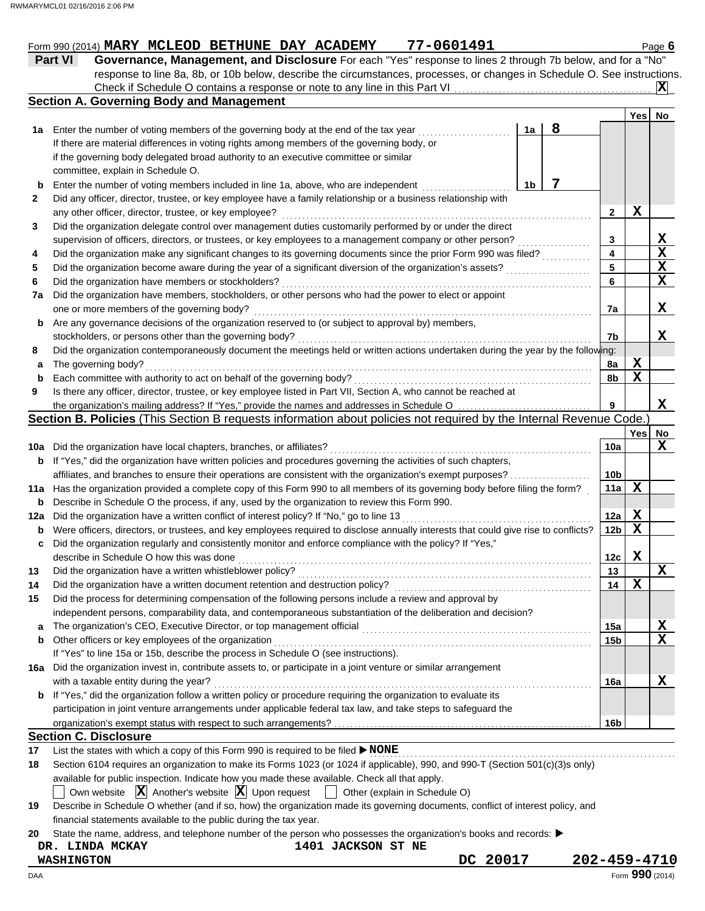## Form 990 (2014) **MARY MCLEOD BETHUNE DAY ACADEMY 77-0601491** Page 6

| בכב בסטס <i>וו</i> בנמבעתם בתוכנת האת המודדים שטבבטת בתמנות ויוסיות ו                                                     | i aye <b>v</b> |
|---------------------------------------------------------------------------------------------------------------------------|----------------|
| Part VI<br>Governance, Management, and Disclosure For each "Yes" response to lines 2 through 7b below, and for a "No"     |                |
| response to line 8a, 8b, or 10b below, describe the circumstances, processes, or changes in Schedule O. See instructions. |                |
|                                                                                                                           |                |
| <b>Section A. Governing Body and Management</b>                                                                           |                |
|                                                                                                                           |                |

|     |                                                                                                                                     |                |   |                 | Yes | No          |
|-----|-------------------------------------------------------------------------------------------------------------------------------------|----------------|---|-----------------|-----|-------------|
| 1a  | Enter the number of voting members of the governing body at the end of the tax year                                                 | 1a             | 8 |                 |     |             |
|     | If there are material differences in voting rights among members of the governing body, or                                          |                |   |                 |     |             |
|     | if the governing body delegated broad authority to an executive committee or similar                                                |                |   |                 |     |             |
|     | committee, explain in Schedule O.                                                                                                   |                |   |                 |     |             |
| b   | Enter the number of voting members included in line 1a, above, who are independent                                                  | 1 <sub>b</sub> | 7 |                 |     |             |
| 2   | Did any officer, director, trustee, or key employee have a family relationship or a business relationship with                      |                |   |                 |     |             |
|     | any other officer, director, trustee, or key employee?                                                                              |                |   | 2               | X   |             |
| 3   | Did the organization delegate control over management duties customarily performed by or under the direct                           |                |   |                 |     |             |
|     | supervision of officers, directors, or trustees, or key employees to a management company or other person?                          |                |   | 3               |     | x           |
| 4   | Did the organization make any significant changes to its governing documents since the prior Form 990 was filed?                    |                |   | 4               |     | $\mathbf x$ |
| 5   | Did the organization become aware during the year of a significant diversion of the organization's assets?                          |                |   | 5               |     | х           |
| 6   | Did the organization have members or stockholders?                                                                                  |                |   | 6               |     | х           |
| 7a  | Did the organization have members, stockholders, or other persons who had the power to elect or appoint                             |                |   |                 |     |             |
|     | one or more members of the governing body?                                                                                          |                |   | 7a              |     | x           |
| b   | Are any governance decisions of the organization reserved to (or subject to approval by) members,                                   |                |   |                 |     |             |
|     | stockholders, or persons other than the governing body?                                                                             |                |   | 7b              |     | x           |
| 8   | Did the organization contemporaneously document the meetings held or written actions undertaken during the year by the following:   |                |   |                 |     |             |
| а   | The governing body?                                                                                                                 |                |   | 8a              | X   |             |
| b   | Each committee with authority to act on behalf of the governing body?                                                               |                |   | 8b              | X   |             |
| 9   | Is there any officer, director, trustee, or key employee listed in Part VII, Section A, who cannot be reached at                    |                |   |                 |     |             |
|     | the organization's mailing address? If "Yes," provide the names and addresses in Schedule O                                         |                |   | 9               |     | x           |
|     | Section B. Policies (This Section B requests information about policies not required by the Internal Revenue Code.                  |                |   |                 |     |             |
|     |                                                                                                                                     |                |   |                 | Yes | <b>No</b>   |
| 10a | Did the organization have local chapters, branches, or affiliates?                                                                  |                |   | 10a             |     | х           |
| b   | If "Yes," did the organization have written policies and procedures governing the activities of such chapters,                      |                |   |                 |     |             |
|     | affiliates, and branches to ensure their operations are consistent with the organization's exempt purposes?                         |                |   | 10b             |     |             |
| 11a | Has the organization provided a complete copy of this Form 990 to all members of its governing body before filing the form?         |                |   | 11a             | х   |             |
| b   | Describe in Schedule O the process, if any, used by the organization to review this Form 990.                                       |                |   |                 |     |             |
| 12a | Did the organization have a written conflict of interest policy? If "No," go to line 13                                             |                |   | 12a             | X   |             |
| b   | Were officers, directors, or trustees, and key employees required to disclose annually interests that could give rise to conflicts? |                |   | 12 <sub>b</sub> | х   |             |
| c   | Did the organization regularly and consistently monitor and enforce compliance with the policy? If "Yes,"                           |                |   |                 |     |             |
|     | describe in Schedule O how this was done                                                                                            |                |   | 12c             | X   |             |
| 13  | Did the organization have a written whistleblower policy?                                                                           |                |   | 13              |     | х           |
| 14  | Did the organization have a written document retention and destruction policy?                                                      |                |   | 14              | х   |             |
| 15  | Did the process for determining compensation of the following persons include a review and approval by                              |                |   |                 |     |             |
|     | independent persons, comparability data, and contemporaneous substantiation of the deliberation and decision?                       |                |   |                 |     |             |
|     |                                                                                                                                     |                |   | าวล             |     | X           |
|     | Other officers or key employees of the organization                                                                                 |                |   | 15b             |     | $\mathbf X$ |
|     | If "Yes" to line 15a or 15b, describe the process in Schedule O (see instructions).                                                 |                |   |                 |     |             |
|     | 16a Did the organization invest in, contribute assets to, or participate in a joint venture or similar arrangement                  |                |   |                 |     |             |
|     | with a taxable entity during the year?                                                                                              |                |   | 16a             |     | x           |
|     | b If "Yes," did the organization follow a written policy or procedure requiring the organization to evaluate its                    |                |   |                 |     |             |
|     | participation in joint venture arrangements under applicable federal tax law, and take steps to safeguard the                       |                |   |                 |     |             |
|     |                                                                                                                                     |                |   | 16b             |     |             |
|     | <b>Section C. Disclosure</b>                                                                                                        |                |   |                 |     |             |
| 17  | List the states with which a copy of this Form 990 is required to be filed > NONE                                                   |                |   |                 |     |             |
| 18  | Section 6104 requires an organization to make its Forms 1023 (or 1024 if applicable), 990, and 990-T (Section 501(c)(3)s only)      |                |   |                 |     |             |

available for public inspection. Indicate how you made these available. Check all that apply.

Own website  $\boxed{\mathbf{X}}$  Another's website  $\boxed{\mathbf{X}}$  Upon request  $\boxed{\phantom{a}}$  Other (explain in Schedule O)

| 19 Describe in Schedule O whether (and if so, how) the organization made its governing documents, conflict of interest policy, and |
|------------------------------------------------------------------------------------------------------------------------------------|
| financial statements available to the public during the tax year.                                                                  |

**20** State the name, address, and telephone number of the person who possesses the organization's books and records: ▶

## **DR. LINDA MCKAY 1401 JACKSON ST NE**

**WASHINGTON DC 20017 202-459-4710**

DAA Form **990** (2014)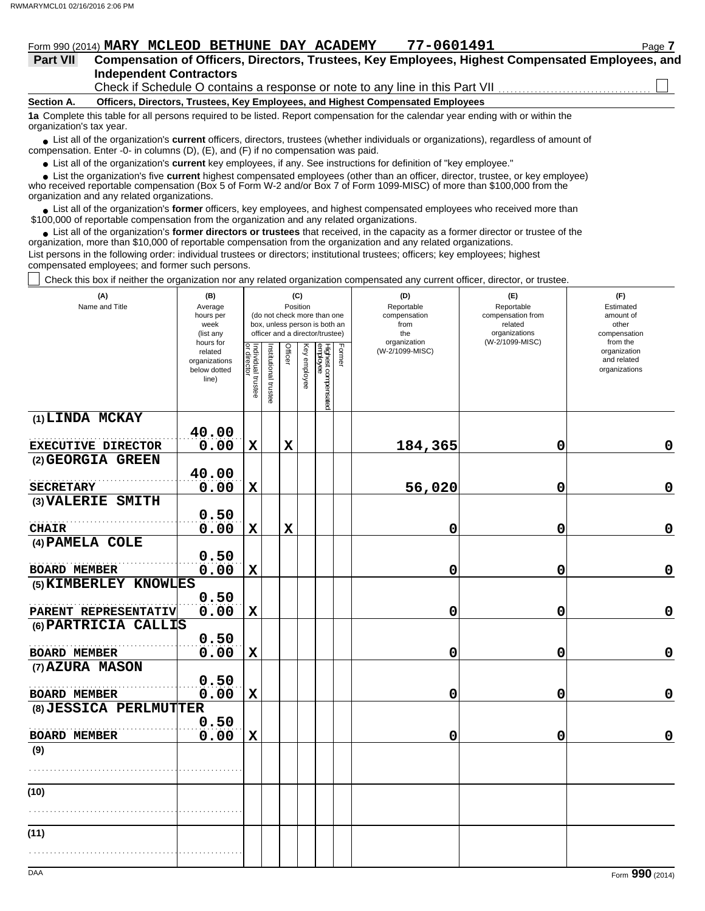| Form 990 (2014) MARY MCLEOD BETHUNE DAY ACADEMY | 77-0601491 | <sup>∪</sup> aαe |
|-------------------------------------------------|------------|------------------|
|-------------------------------------------------|------------|------------------|

| <b>Part VII</b> | Compensation of Officers, Directors, Trustees, Key Employees, Highest Compensated Employees, and |  |
|-----------------|--------------------------------------------------------------------------------------------------|--|
|                 | <b>Independent Contractors</b>                                                                   |  |
|                 |                                                                                                  |  |

Check if Schedule O contains a response or note to any line in this Part VII

**Section A. Officers, Directors, Trustees, Key Employees, and Highest Compensated Employees**

**1a** Complete this table for all persons required to be listed. Report compensation for the calendar year ending with or within the organization's tax year.

■ List all of the organization's **current** officers, directors, trustees (whether individuals or organizations), regardless of amount of compensation. Enter -0- in columns (D), (E), and (F) if no compensation was paid.

● List all of the organization's **current** key employees, if any. See instructions for definition of "key employee."

 $\bullet$  List the organization's five **current** highest compensated employees (other than an officer, director, trustee, or key employee)<br>a received reportable compensation (Box 5 of Form  $M-2$  and/or Box 7 of Form 1000-MISC)

who received reportable compensation (Box 5 of Form W-2 and/or Box 7 of Form 1099-MISC) of more than \$100,000 from the organization and any related organizations.

• List all of the organization's **former** officers, key employees, and highest compensated employees who received more than<br>00,000 of reportable compensation from the erganization and any related erganizations. \$100,000 of reportable compensation from the organization and any related organizations.

• List all of the organization's **former directors or trustees** that received, in the capacity as a former director or trustee of the organization, more than \$10,000 of reportable compensation from the organization and any related organizations. List persons in the following order: individual trustees or directors; institutional trustees; officers; key employees; highest

compensated employees; and former such persons.

Check this box if neither the organization nor any related organization compensated any current officer, director, or trustee.

| (A)<br>Name and Title                        | (B)<br>Average<br>hours per<br>week<br>(list any               |                                   |                       | Position    | (C)          | (do not check more than one<br>box, unless person is both an<br>officer and a director/trustee) |        | (D)<br>Reportable<br>compensation<br>from<br>the<br>organization | (E)<br>Reportable<br>compensation from<br>related<br>organizations<br>(W-2/1099-MISC) | (F)<br>Estimated<br>amount of<br>other<br>compensation<br>from the |
|----------------------------------------------|----------------------------------------------------------------|-----------------------------------|-----------------------|-------------|--------------|-------------------------------------------------------------------------------------------------|--------|------------------------------------------------------------------|---------------------------------------------------------------------------------------|--------------------------------------------------------------------|
|                                              | hours for<br>related<br>organizations<br>below dotted<br>line) | Individual trustee<br>or director | Institutional trustee | Officer     | Key employee | Highest compensated<br>employee                                                                 | Former | (W-2/1099-MISC)                                                  |                                                                                       | organization<br>and related<br>organizations                       |
| (1) LINDA MCKAY                              |                                                                |                                   |                       |             |              |                                                                                                 |        |                                                                  |                                                                                       |                                                                    |
| EXECUTIVE DIRECTOR                           | 40.00<br>0.00                                                  | $\mathbf X$                       |                       | $\mathbf x$ |              |                                                                                                 |        | 184,365                                                          | 0                                                                                     | 0                                                                  |
| (2) GEORGIA GREEN                            |                                                                |                                   |                       |             |              |                                                                                                 |        |                                                                  |                                                                                       |                                                                    |
|                                              | 40.00                                                          |                                   |                       |             |              |                                                                                                 |        |                                                                  |                                                                                       |                                                                    |
| <b>SECRETARY</b>                             | 0.00                                                           | $\mathbf X$                       |                       |             |              |                                                                                                 |        | 56,020                                                           | 0                                                                                     | $\mathbf 0$                                                        |
| (3) VALERIE SMITH                            | 0.50                                                           |                                   |                       |             |              |                                                                                                 |        |                                                                  |                                                                                       |                                                                    |
| <b>CHAIR</b>                                 | 0.00                                                           | $\mathbf x$                       |                       | $\mathbf x$ |              |                                                                                                 |        | 0                                                                | 0                                                                                     | $\mathbf 0$                                                        |
| (4) PAMELA COLE                              |                                                                |                                   |                       |             |              |                                                                                                 |        |                                                                  |                                                                                       |                                                                    |
|                                              | 0.50                                                           |                                   |                       |             |              |                                                                                                 |        |                                                                  |                                                                                       |                                                                    |
| <b>BOARD MEMBER</b><br>(5) KIMBERLEY KNOWLES | 0.00                                                           | $\mathbf X$                       |                       |             |              |                                                                                                 |        | 0                                                                | 0                                                                                     | $\mathbf 0$                                                        |
|                                              | 0.50                                                           |                                   |                       |             |              |                                                                                                 |        |                                                                  |                                                                                       |                                                                    |
| PARENT REPRESENTATIV                         | 0.00                                                           | $\mathbf X$                       |                       |             |              |                                                                                                 |        | 0                                                                | 0                                                                                     | $\mathbf 0$                                                        |
| (6) PARTRICIA CALLIS                         |                                                                |                                   |                       |             |              |                                                                                                 |        |                                                                  |                                                                                       |                                                                    |
|                                              | 0.50                                                           |                                   |                       |             |              |                                                                                                 |        |                                                                  |                                                                                       |                                                                    |
| <b>BOARD MEMBER</b><br>(7) AZURA MASON       | 0.00                                                           | $\mathbf X$                       |                       |             |              |                                                                                                 |        | 0                                                                | 0                                                                                     | $\mathbf 0$                                                        |
|                                              | 0.50                                                           |                                   |                       |             |              |                                                                                                 |        |                                                                  |                                                                                       |                                                                    |
| <b>BOARD MEMBER</b>                          | 0.00                                                           | $\mathbf x$                       |                       |             |              |                                                                                                 |        | 0                                                                | 0                                                                                     | $\mathbf 0$                                                        |
| (8) JESSICA PERLMUTTER                       |                                                                |                                   |                       |             |              |                                                                                                 |        |                                                                  |                                                                                       |                                                                    |
| <b>BOARD MEMBER</b>                          | 0.50<br>0.00                                                   | $\mathbf x$                       |                       |             |              |                                                                                                 |        | 0                                                                | 0                                                                                     | $\mathbf 0$                                                        |
| (9)                                          |                                                                |                                   |                       |             |              |                                                                                                 |        |                                                                  |                                                                                       |                                                                    |
|                                              |                                                                |                                   |                       |             |              |                                                                                                 |        |                                                                  |                                                                                       |                                                                    |
| (10)                                         |                                                                |                                   |                       |             |              |                                                                                                 |        |                                                                  |                                                                                       |                                                                    |
|                                              |                                                                |                                   |                       |             |              |                                                                                                 |        |                                                                  |                                                                                       |                                                                    |
| (11)                                         |                                                                |                                   |                       |             |              |                                                                                                 |        |                                                                  |                                                                                       |                                                                    |
|                                              |                                                                |                                   |                       |             |              |                                                                                                 |        |                                                                  |                                                                                       |                                                                    |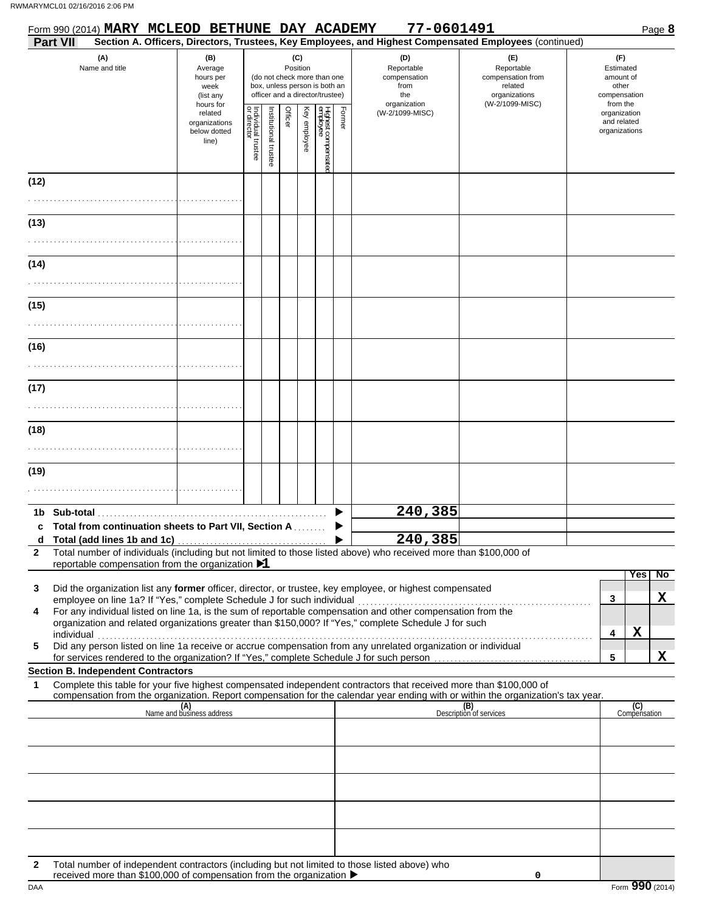|        | Form 990 (2014) MARY MCLEOD BETHUNE DAY ACADEMY                                                                                                                                                                                                                                                                                                                                                            |                                                                |                                   |                      |         |                 |                                                                                                 |                                                  | 77-0601491                      |                                                                    | Page 8                                                   |
|--------|------------------------------------------------------------------------------------------------------------------------------------------------------------------------------------------------------------------------------------------------------------------------------------------------------------------------------------------------------------------------------------------------------------|----------------------------------------------------------------|-----------------------------------|----------------------|---------|-----------------|-------------------------------------------------------------------------------------------------|--------------------------------------------------|---------------------------------|--------------------------------------------------------------------|----------------------------------------------------------|
|        | <b>Part VII</b><br>Section A. Officers, Directors, Trustees, Key Employees, and Highest Compensated Employees (continued)<br>(A)<br>Name and title                                                                                                                                                                                                                                                         | (B)<br>Average<br>hours per<br>week<br>(list any               |                                   |                      |         | (C)<br>Position | (do not check more than one<br>box, unless person is both an<br>officer and a director/trustee) | (D)<br>Reportable<br>compensation<br>from<br>the |                                 | (E)<br>Reportable<br>compensation from<br>related<br>organizations | (F)<br>Estimated<br>amount of<br>other<br>compensation   |
|        |                                                                                                                                                                                                                                                                                                                                                                                                            | hours for<br>related<br>organizations<br>below dotted<br>line) | Individual trustee<br>or director | nstitutional trustee | Officer | Key employee    | Highest compensatec<br>employee                                                                 | Former                                           | organization<br>(W-2/1099-MISC) | (W-2/1099-MISC)                                                    | from the<br>organization<br>and related<br>organizations |
| (12)   |                                                                                                                                                                                                                                                                                                                                                                                                            |                                                                |                                   |                      |         |                 |                                                                                                 |                                                  |                                 |                                                                    |                                                          |
| (13)   |                                                                                                                                                                                                                                                                                                                                                                                                            |                                                                |                                   |                      |         |                 |                                                                                                 |                                                  |                                 |                                                                    |                                                          |
| (14)   |                                                                                                                                                                                                                                                                                                                                                                                                            |                                                                |                                   |                      |         |                 |                                                                                                 |                                                  |                                 |                                                                    |                                                          |
| (15)   |                                                                                                                                                                                                                                                                                                                                                                                                            |                                                                |                                   |                      |         |                 |                                                                                                 |                                                  |                                 |                                                                    |                                                          |
| (16)   |                                                                                                                                                                                                                                                                                                                                                                                                            |                                                                |                                   |                      |         |                 |                                                                                                 |                                                  |                                 |                                                                    |                                                          |
| (17)   |                                                                                                                                                                                                                                                                                                                                                                                                            |                                                                |                                   |                      |         |                 |                                                                                                 |                                                  |                                 |                                                                    |                                                          |
| (18)   |                                                                                                                                                                                                                                                                                                                                                                                                            |                                                                |                                   |                      |         |                 |                                                                                                 |                                                  |                                 |                                                                    |                                                          |
|        |                                                                                                                                                                                                                                                                                                                                                                                                            |                                                                |                                   |                      |         |                 |                                                                                                 |                                                  |                                 |                                                                    |                                                          |
| (19)   |                                                                                                                                                                                                                                                                                                                                                                                                            |                                                                |                                   |                      |         |                 |                                                                                                 |                                                  |                                 |                                                                    |                                                          |
|        | c Total from continuation sheets to Part VII, Section A                                                                                                                                                                                                                                                                                                                                                    |                                                                |                                   |                      |         |                 |                                                                                                 |                                                  | 240,385<br>240,385              |                                                                    |                                                          |
| 2      | Total number of individuals (including but not limited to those listed above) who received more than \$100,000 of<br>reportable compensation from the organization $\blacktriangleright$ 1                                                                                                                                                                                                                 |                                                                |                                   |                      |         |                 |                                                                                                 |                                                  |                                 |                                                                    | Yes<br>No                                                |
| 3<br>4 | Did the organization list any former officer, director, or trustee, key employee, or highest compensated<br>employee on line 1a? If "Yes," complete Schedule J for such individual<br>For any individual listed on line 1a, is the sum of reportable compensation and other compensation from the<br>organization and related organizations greater than \$150,000? If "Yes," complete Schedule J for such |                                                                |                                   |                      |         |                 |                                                                                                 |                                                  |                                 |                                                                    | X<br>3<br>$\mathbf X$<br>4                               |
| 5      | Did any person listed on line 1a receive or accrue compensation from any unrelated organization or individual<br><b>Section B. Independent Contractors</b>                                                                                                                                                                                                                                                 |                                                                |                                   |                      |         |                 |                                                                                                 |                                                  |                                 |                                                                    | X<br>5                                                   |
| 1      | Complete this table for your five highest compensated independent contractors that received more than \$100,000 of<br>compensation from the organization. Report compensation for the calendar year ending with or within the organization's tax year.                                                                                                                                                     |                                                                |                                   |                      |         |                 |                                                                                                 |                                                  |                                 |                                                                    |                                                          |
|        |                                                                                                                                                                                                                                                                                                                                                                                                            | (A)<br>Name and business address                               |                                   |                      |         |                 |                                                                                                 |                                                  |                                 | (B)<br>Description of services                                     | (C)<br>Compensation                                      |
|        |                                                                                                                                                                                                                                                                                                                                                                                                            |                                                                |                                   |                      |         |                 |                                                                                                 |                                                  |                                 |                                                                    |                                                          |
|        |                                                                                                                                                                                                                                                                                                                                                                                                            |                                                                |                                   |                      |         |                 |                                                                                                 |                                                  |                                 |                                                                    |                                                          |
|        |                                                                                                                                                                                                                                                                                                                                                                                                            |                                                                |                                   |                      |         |                 |                                                                                                 |                                                  |                                 |                                                                    |                                                          |
| 2      | Total number of independent contractors (including but not limited to those listed above) who<br>received more than \$100,000 of compensation from the organization ▶                                                                                                                                                                                                                                      |                                                                |                                   |                      |         |                 |                                                                                                 |                                                  |                                 | 0                                                                  |                                                          |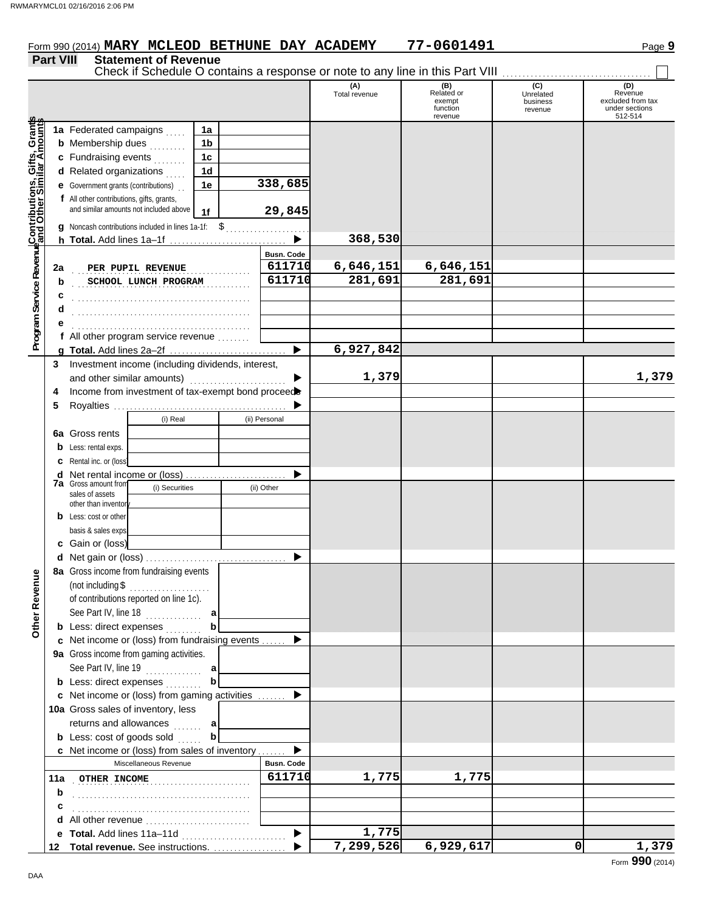|                                                                                                                  |             |                                                                                           |                                                   |                |  |               |                      | Check if Schedule O contains a response or note to any line in this Part VIII |                                         |                                                                  |
|------------------------------------------------------------------------------------------------------------------|-------------|-------------------------------------------------------------------------------------------|---------------------------------------------------|----------------|--|---------------|----------------------|-------------------------------------------------------------------------------|-----------------------------------------|------------------------------------------------------------------|
|                                                                                                                  |             |                                                                                           |                                                   |                |  |               | (A)<br>Total revenue | (B)<br>Related or<br>exempt<br>function<br>revenue                            | (C)<br>Unrelated<br>business<br>revenue | (D)<br>Revenue<br>excluded from tax<br>under sections<br>512-514 |
|                                                                                                                  |             | 1a Federated campaigns                                                                    | $\ldots$                                          | 1a             |  |               |                      |                                                                               |                                         |                                                                  |
|                                                                                                                  |             | <b>b</b> Membership dues                                                                  | .                                                 | 1 <sub>b</sub> |  |               |                      |                                                                               |                                         |                                                                  |
|                                                                                                                  |             | c Fundraising events                                                                      | .                                                 | 1 <sub>c</sub> |  |               |                      |                                                                               |                                         |                                                                  |
|                                                                                                                  |             | d Related organizations                                                                   |                                                   | 1 <sub>d</sub> |  |               |                      |                                                                               |                                         |                                                                  |
|                                                                                                                  | е           | Government grants (contributions)                                                         |                                                   | 1e             |  | 338,685       |                      |                                                                               |                                         |                                                                  |
|                                                                                                                  |             | f All other contributions, gifts, grants,                                                 |                                                   |                |  |               |                      |                                                                               |                                         |                                                                  |
|                                                                                                                  |             |                                                                                           | and similar amounts not included above            | 1f             |  | 29,845        |                      |                                                                               |                                         |                                                                  |
|                                                                                                                  |             | Noncash contributions included in lines $1a-1f$ : $\$$                                    |                                                   |                |  |               |                      |                                                                               |                                         |                                                                  |
|                                                                                                                  | h.          |                                                                                           |                                                   |                |  |               | 368,530              |                                                                               |                                         |                                                                  |
| <b>Program Service Revenue Contributions, Gifts, Grants</b><br>Program Service Revenue and Other Similar Amounts |             |                                                                                           |                                                   |                |  | Busn. Code    |                      |                                                                               |                                         |                                                                  |
|                                                                                                                  | 2a          |                                                                                           | PER PUPIL REVENUE                                 |                |  | 611710        | 6,646,151            | 6,646,151                                                                     |                                         |                                                                  |
|                                                                                                                  | b           |                                                                                           | SCHOOL LUNCH PROGRAM                              |                |  | 611710        | 281,691              | 281,691                                                                       |                                         |                                                                  |
|                                                                                                                  | c           |                                                                                           |                                                   |                |  |               |                      |                                                                               |                                         |                                                                  |
|                                                                                                                  | d           |                                                                                           |                                                   |                |  |               |                      |                                                                               |                                         |                                                                  |
|                                                                                                                  |             |                                                                                           |                                                   |                |  |               |                      |                                                                               |                                         |                                                                  |
|                                                                                                                  |             | f All other program service revenue                                                       |                                                   |                |  |               |                      |                                                                               |                                         |                                                                  |
|                                                                                                                  |             |                                                                                           |                                                   |                |  |               | 6,927,842            |                                                                               |                                         |                                                                  |
|                                                                                                                  | 3           | Investment income (including dividends, interest,                                         |                                                   |                |  |               |                      |                                                                               |                                         |                                                                  |
|                                                                                                                  |             | and other similar amounts)                                                                |                                                   |                |  |               | 1,379                |                                                                               |                                         | 1,379                                                            |
|                                                                                                                  | 4           |                                                                                           | Income from investment of tax-exempt bond proceed |                |  |               |                      |                                                                               |                                         |                                                                  |
|                                                                                                                  | 5           |                                                                                           |                                                   |                |  |               |                      |                                                                               |                                         |                                                                  |
|                                                                                                                  |             |                                                                                           | (i) Real                                          |                |  | (ii) Personal |                      |                                                                               |                                         |                                                                  |
|                                                                                                                  | 6a          | Gross rents                                                                               |                                                   |                |  |               |                      |                                                                               |                                         |                                                                  |
|                                                                                                                  | b           | Less: rental exps.                                                                        |                                                   |                |  |               |                      |                                                                               |                                         |                                                                  |
|                                                                                                                  | с           | Rental inc. or (loss)                                                                     |                                                   |                |  |               |                      |                                                                               |                                         |                                                                  |
|                                                                                                                  | d           | Net rental income or (loss)<br><b>7a</b> Gross amount from                                |                                                   |                |  |               |                      |                                                                               |                                         |                                                                  |
|                                                                                                                  |             | (i) Securities<br>sales of assets                                                         |                                                   | (ii) Other     |  |               |                      |                                                                               |                                         |                                                                  |
|                                                                                                                  |             | other than inventor                                                                       |                                                   |                |  |               |                      |                                                                               |                                         |                                                                  |
|                                                                                                                  | b           | Less: cost or other                                                                       |                                                   |                |  |               |                      |                                                                               |                                         |                                                                  |
|                                                                                                                  |             | basis & sales exps                                                                        |                                                   |                |  |               |                      |                                                                               |                                         |                                                                  |
|                                                                                                                  |             | Gain or (loss)                                                                            |                                                   |                |  |               |                      |                                                                               |                                         |                                                                  |
|                                                                                                                  |             |                                                                                           |                                                   |                |  |               |                      |                                                                               |                                         |                                                                  |
| ₫                                                                                                                |             | 8a Gross income from fundraising events                                                   |                                                   |                |  |               |                      |                                                                               |                                         |                                                                  |
|                                                                                                                  |             |                                                                                           |                                                   |                |  |               |                      |                                                                               |                                         |                                                                  |
|                                                                                                                  |             |                                                                                           | of contributions reported on line 1c).            |                |  |               |                      |                                                                               |                                         |                                                                  |
| Other Rever                                                                                                      |             |                                                                                           | See Part IV, line 18                              | a              |  |               |                      |                                                                               |                                         |                                                                  |
|                                                                                                                  |             | <b>b</b> Less: direct expenses                                                            |                                                   | b              |  |               |                      |                                                                               |                                         |                                                                  |
|                                                                                                                  |             | c Net income or (loss) from fundraising events<br>9a Gross income from gaming activities. |                                                   |                |  |               |                      |                                                                               |                                         |                                                                  |
|                                                                                                                  |             |                                                                                           | See Part IV, line 19 $\ldots$ $\ldots$ a          |                |  |               |                      |                                                                               |                                         |                                                                  |
|                                                                                                                  |             | <b>b</b> Less: direct expenses                                                            |                                                   | b              |  |               |                      |                                                                               |                                         |                                                                  |
|                                                                                                                  |             | c Net income or (loss) from gaming activities                                             |                                                   |                |  |               |                      |                                                                               |                                         |                                                                  |
|                                                                                                                  |             | 10a Gross sales of inventory, less                                                        |                                                   |                |  |               |                      |                                                                               |                                         |                                                                  |
|                                                                                                                  |             | returns and allowances                                                                    |                                                   | а              |  |               |                      |                                                                               |                                         |                                                                  |
|                                                                                                                  |             | <b>b</b> Less: cost of goods sold                                                         |                                                   | .<br>b         |  |               |                      |                                                                               |                                         |                                                                  |
|                                                                                                                  |             | c Net income or (loss) from sales of inventory                                            |                                                   |                |  |               |                      |                                                                               |                                         |                                                                  |
|                                                                                                                  |             |                                                                                           | Miscellaneous Revenue                             |                |  | Busn. Code    |                      |                                                                               |                                         |                                                                  |
|                                                                                                                  | 11a         | <b>OTHER INCOME</b>                                                                       |                                                   |                |  | 611710        | 1,775                | 1,775                                                                         |                                         |                                                                  |
|                                                                                                                  | $\mathbf b$ |                                                                                           |                                                   |                |  |               |                      |                                                                               |                                         |                                                                  |
|                                                                                                                  | с           |                                                                                           |                                                   |                |  |               |                      |                                                                               |                                         |                                                                  |
|                                                                                                                  | d           | All other revenue                                                                         |                                                   |                |  |               |                      |                                                                               |                                         |                                                                  |
|                                                                                                                  | е           | Total. Add lines 11a-11d                                                                  |                                                   |                |  | ▶             | 1,775                |                                                                               |                                         |                                                                  |
|                                                                                                                  | 12          | Total revenue. See instructions.                                                          |                                                   |                |  |               | 7,299,526            | 6,929,617                                                                     | $\mathbf 0$                             | 1,379                                                            |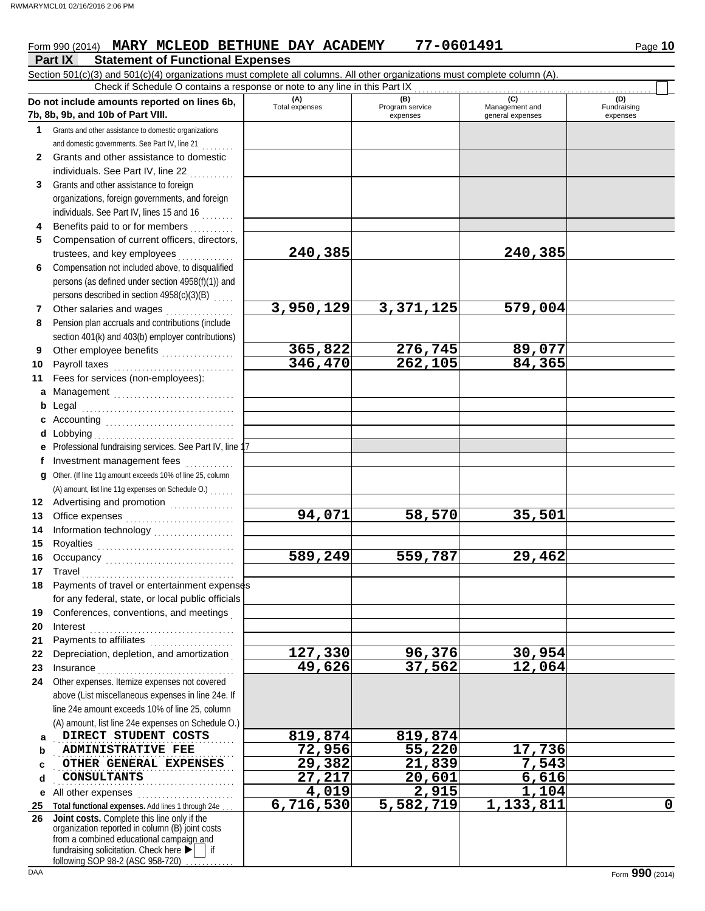### **Part IX Statement of Functional Expenses** Form 990 (2014) **MARY MCLEOD BETHUNE DAY ACADEMY** 77-0601491 Page 10

|              | Section 501(c)(3) and 501(c)(4) organizations must complete all columns. All other organizations must complete column (A).<br>Check if Schedule O contains a response or note to any line in this Part IX                                         |                       |                                    |                                           |                                |
|--------------|---------------------------------------------------------------------------------------------------------------------------------------------------------------------------------------------------------------------------------------------------|-----------------------|------------------------------------|-------------------------------------------|--------------------------------|
|              | Do not include amounts reported on lines 6b,<br>7b, 8b, 9b, and 10b of Part VIII.                                                                                                                                                                 | (A)<br>Total expenses | (B)<br>Program service<br>expenses | (C)<br>Management and<br>general expenses | (D)<br>Fundraising<br>expenses |
| 1            | Grants and other assistance to domestic organizations                                                                                                                                                                                             |                       |                                    |                                           |                                |
|              | and domestic governments. See Part IV, line 21                                                                                                                                                                                                    |                       |                                    |                                           |                                |
| $\mathbf{2}$ | Grants and other assistance to domestic                                                                                                                                                                                                           |                       |                                    |                                           |                                |
|              | individuals. See Part IV, line 22                                                                                                                                                                                                                 |                       |                                    |                                           |                                |
| 3            | Grants and other assistance to foreign                                                                                                                                                                                                            |                       |                                    |                                           |                                |
|              | organizations, foreign governments, and foreign                                                                                                                                                                                                   |                       |                                    |                                           |                                |
|              | individuals. See Part IV, lines 15 and 16                                                                                                                                                                                                         |                       |                                    |                                           |                                |
| 4            | Benefits paid to or for members                                                                                                                                                                                                                   |                       |                                    |                                           |                                |
| 5            | Compensation of current officers, directors,                                                                                                                                                                                                      |                       |                                    |                                           |                                |
|              | trustees, and key employees                                                                                                                                                                                                                       | 240,385               |                                    | 240,385                                   |                                |
| 6            | Compensation not included above, to disqualified                                                                                                                                                                                                  |                       |                                    |                                           |                                |
|              | persons (as defined under section 4958(f)(1)) and                                                                                                                                                                                                 |                       |                                    |                                           |                                |
|              | persons described in section 4958(c)(3)(B)                                                                                                                                                                                                        |                       |                                    |                                           |                                |
| 7            | Other salaries and wages                                                                                                                                                                                                                          | 3,950,129             | 3,371,125                          | 579,004                                   |                                |
| 8            | Pension plan accruals and contributions (include                                                                                                                                                                                                  |                       |                                    |                                           |                                |
|              | section 401(k) and 403(b) employer contributions)                                                                                                                                                                                                 |                       |                                    |                                           |                                |
| 9            |                                                                                                                                                                                                                                                   | 365,822               | 276,745                            | 89,077                                    |                                |
| 10           | Payroll taxes                                                                                                                                                                                                                                     | 346,470               | 262,105                            | 84,365                                    |                                |
| 11           | Fees for services (non-employees):                                                                                                                                                                                                                |                       |                                    |                                           |                                |
|              | a Management                                                                                                                                                                                                                                      |                       |                                    |                                           |                                |
| b            | Legal                                                                                                                                                                                                                                             |                       |                                    |                                           |                                |
|              | c Accounting $\begin{bmatrix} 1 & 0 & 0 \\ 0 & 1 & 0 \\ 0 & 0 & 1 \end{bmatrix}$                                                                                                                                                                  |                       |                                    |                                           |                                |
|              | <b>d</b> Lobbying                                                                                                                                                                                                                                 |                       |                                    |                                           |                                |
|              | e Professional fundraising services. See Part IV, line 1                                                                                                                                                                                          |                       |                                    |                                           |                                |
|              | Investment management fees                                                                                                                                                                                                                        |                       |                                    |                                           |                                |
| g            | Other. (If line 11g amount exceeds 10% of line 25, column                                                                                                                                                                                         |                       |                                    |                                           |                                |
|              | (A) amount, list line 11g expenses on Schedule O.)                                                                                                                                                                                                |                       |                                    |                                           |                                |
|              |                                                                                                                                                                                                                                                   |                       |                                    |                                           |                                |
| 13           |                                                                                                                                                                                                                                                   | 94,071                | 58,570                             | 35,501                                    |                                |
| 14           |                                                                                                                                                                                                                                                   |                       |                                    |                                           |                                |
| 15           |                                                                                                                                                                                                                                                   |                       |                                    |                                           |                                |
| 16           | Occupancy                                                                                                                                                                                                                                         | 589,249               | 559,787                            | 29,462                                    |                                |
| 17           | Payments of travel or entertainment expenses                                                                                                                                                                                                      |                       |                                    |                                           |                                |
|              | for any federal, state, or local public officials                                                                                                                                                                                                 |                       |                                    |                                           |                                |
| 19           | Conferences, conventions, and meetings                                                                                                                                                                                                            |                       |                                    |                                           |                                |
| 20           | Interest                                                                                                                                                                                                                                          |                       |                                    |                                           |                                |
| 21           | Payments to affiliates                                                                                                                                                                                                                            |                       |                                    |                                           |                                |
| 22           | Depreciation, depletion, and amortization                                                                                                                                                                                                         | 127,330               | 96,376                             | 30,954                                    |                                |
| 23           | Insurance                                                                                                                                                                                                                                         | 49,626                | 37,562                             | 12,064                                    |                                |
| 24           | Other expenses. Itemize expenses not covered                                                                                                                                                                                                      |                       |                                    |                                           |                                |
|              | above (List miscellaneous expenses in line 24e. If                                                                                                                                                                                                |                       |                                    |                                           |                                |
|              | line 24e amount exceeds 10% of line 25, column                                                                                                                                                                                                    |                       |                                    |                                           |                                |
|              | (A) amount, list line 24e expenses on Schedule O.)                                                                                                                                                                                                |                       |                                    |                                           |                                |
| a            | DIRECT STUDENT COSTS                                                                                                                                                                                                                              | 819,874               | 819,874                            |                                           |                                |
| b            | <b>ADMINISTRATIVE FEE</b>                                                                                                                                                                                                                         | 72,956                | $\overline{55,220}$                | 17,736                                    |                                |
| c            | OTHER GENERAL EXPENSES                                                                                                                                                                                                                            | 29,382                | 21,839                             | 7,543                                     |                                |
| d            | <b>CONSULTANTS</b>                                                                                                                                                                                                                                | 27,217                | 20,601                             | 6,616                                     |                                |
| е            | All other expenses                                                                                                                                                                                                                                | 4,019                 | 2,915                              | 1,104                                     |                                |
| 25           | Total functional expenses. Add lines 1 through 24e                                                                                                                                                                                                | 6,716,530             | 5,582,719                          | 1,133,811                                 | $\mathbf 0$                    |
| 26           | Joint costs. Complete this line only if the<br>organization reported in column (B) joint costs<br>from a combined educational campaign and<br>fundraising solicitation. Check here $\blacktriangleright$   if<br>following SOP 98-2 (ASC 958-720) |                       |                                    |                                           |                                |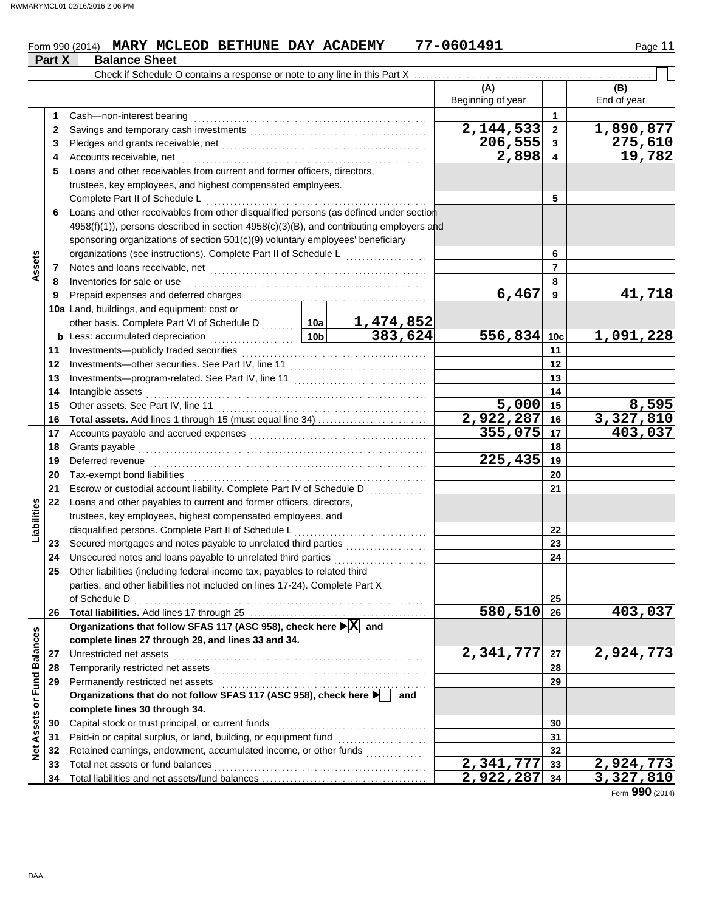## Form 990 (2014) **MARY MCLEOD BETHUNE DAY ACADEMY** 77-0601491 Page 11 **Part X** Balance Sheet

|                         |    | Check if Schedule O contains a response or note to any line in this Part X              |                 |                                                   |                          |                 |                    |
|-------------------------|----|-----------------------------------------------------------------------------------------|-----------------|---------------------------------------------------|--------------------------|-----------------|--------------------|
|                         |    |                                                                                         |                 |                                                   | (A)<br>Beginning of year |                 | (B)<br>End of year |
|                         | 1  | Cash-non-interest bearing                                                               |                 |                                                   |                          | 1               |                    |
|                         | 2  |                                                                                         |                 |                                                   | 2,144,533                | $\overline{2}$  | 1,890,877          |
|                         | 3  |                                                                                         |                 |                                                   | 206,555                  | 3               | 275,610            |
|                         | 4  | Accounts receivable, net                                                                |                 |                                                   | 2,898                    | 4               | 19,782             |
|                         | 5  | Loans and other receivables from current and former officers, directors,                |                 |                                                   |                          |                 |                    |
|                         |    | trustees, key employees, and highest compensated employees.                             |                 |                                                   |                          |                 |                    |
|                         |    | Complete Part II of Schedule L                                                          |                 |                                                   |                          | 5               |                    |
|                         | 6  | Loans and other receivables from other disqualified persons (as defined under section   |                 |                                                   |                          |                 |                    |
|                         |    | 4958(f)(1)), persons described in section 4958(c)(3)(B), and contributing employers and |                 |                                                   |                          |                 |                    |
|                         |    | sponsoring organizations of section 501(c)(9) voluntary employees' beneficiary          |                 |                                                   |                          |                 |                    |
|                         |    | organizations (see instructions). Complete Part II of Schedule L                        |                 |                                                   |                          | 6               |                    |
| Assets                  | 7  |                                                                                         |                 |                                                   |                          | $\overline{7}$  |                    |
|                         | 8  | Inventories for sale or use                                                             |                 |                                                   |                          | 8               |                    |
|                         | 9  | Prepaid expenses and deferred charges                                                   |                 |                                                   | 6,467                    | 9               | 41,718             |
|                         |    | 10a Land, buildings, and equipment: cost or                                             |                 |                                                   |                          |                 |                    |
|                         |    | other basis. Complete Part VI of Schedule D  10a                                        |                 |                                                   |                          |                 |                    |
|                         |    | <b>b</b> Less: accumulated depreciation<br>.                                            | 10 <sub>b</sub> | $\frac{1,474,852}{383,624}$                       | 556,834                  | 10 <sub>c</sub> | 1,091,228          |
|                         | 11 | Investments-publicly traded securities                                                  |                 |                                                   |                          | 11              |                    |
|                         | 12 |                                                                                         |                 |                                                   | 12                       |                 |                    |
|                         | 13 |                                                                                         |                 |                                                   |                          | 13              |                    |
|                         | 14 | Intangible assets                                                                       |                 |                                                   | 14                       |                 |                    |
|                         | 15 | Other assets. See Part IV, line 11                                                      |                 | 5,000                                             | 15                       | 8,595           |                    |
|                         | 16 |                                                                                         |                 |                                                   | 2,922,287                | 16              | 3,327,810          |
|                         | 17 |                                                                                         |                 |                                                   | 355,075                  | 17              | 403,037            |
|                         | 18 | Grants payable                                                                          |                 |                                                   | 18                       |                 |                    |
|                         | 19 | Deferred revenue                                                                        |                 | 225,435                                           | 19                       |                 |                    |
|                         | 20 | Tax-exempt bond liabilities                                                             |                 |                                                   |                          | 20              |                    |
|                         | 21 | Escrow or custodial account liability. Complete Part IV of Schedule D                   |                 |                                                   |                          | 21              |                    |
|                         | 22 | Loans and other payables to current and former officers, directors,                     |                 |                                                   |                          |                 |                    |
| Liabilities             |    | trustees, key employees, highest compensated employees, and                             |                 |                                                   |                          |                 |                    |
|                         |    | disqualified persons. Complete Part II of Schedule L                                    |                 |                                                   |                          | 22              |                    |
|                         | 23 |                                                                                         |                 |                                                   |                          | 23              |                    |
|                         | 24 | Unsecured notes and loans payable to unrelated third parties                            |                 |                                                   |                          | 24              |                    |
|                         | 25 | Other liabilities (including federal income tax, payables to related third              |                 |                                                   |                          |                 |                    |
|                         |    | parties, and other liabilities not included on lines 17-24). Complete Part X            |                 |                                                   |                          |                 |                    |
|                         |    | of Schedule D                                                                           |                 |                                                   |                          | 25              |                    |
|                         | 26 |                                                                                         |                 |                                                   | 580,510                  | 26              | 403,037            |
|                         |    | Organizations that follow SFAS 117 (ASC 958), check here ▶ X and                        |                 |                                                   |                          |                 |                    |
|                         |    | complete lines 27 through 29, and lines 33 and 34.                                      |                 |                                                   |                          |                 |                    |
|                         | 27 | Unrestricted net assets                                                                 |                 |                                                   | 2,341,777                | 27              | 2,924,773          |
|                         | 28 | Temporarily restricted net assets                                                       |                 |                                                   | 28                       |                 |                    |
|                         | 29 |                                                                                         |                 |                                                   |                          | 29              |                    |
|                         |    | Organizations that do not follow SFAS 117 (ASC 958), check here                         |                 | and                                               |                          |                 |                    |
| Assets or Fund Balances |    | complete lines 30 through 34.                                                           |                 |                                                   |                          |                 |                    |
|                         | 30 | Capital stock or trust principal, or current funds                                      |                 |                                                   |                          | 30              |                    |
|                         | 31 | Paid-in or capital surplus, or land, building, or equipment fund                        |                 | <u> 1966 - Johann Stoff, Amerikaansk kanton (</u> |                          | 31              |                    |
| <b>Net</b>              | 32 | Retained earnings, endowment, accumulated income, or other funds                        |                 |                                                   |                          | 32              |                    |
|                         | 33 | Total net assets or fund balances                                                       |                 |                                                   | $\overline{2,}341,777$   | 33              | 2,924,773          |
|                         | 34 |                                                                                         |                 |                                                   | 2,922,287                | 34              | 3,327,810          |

Form **990** (2014)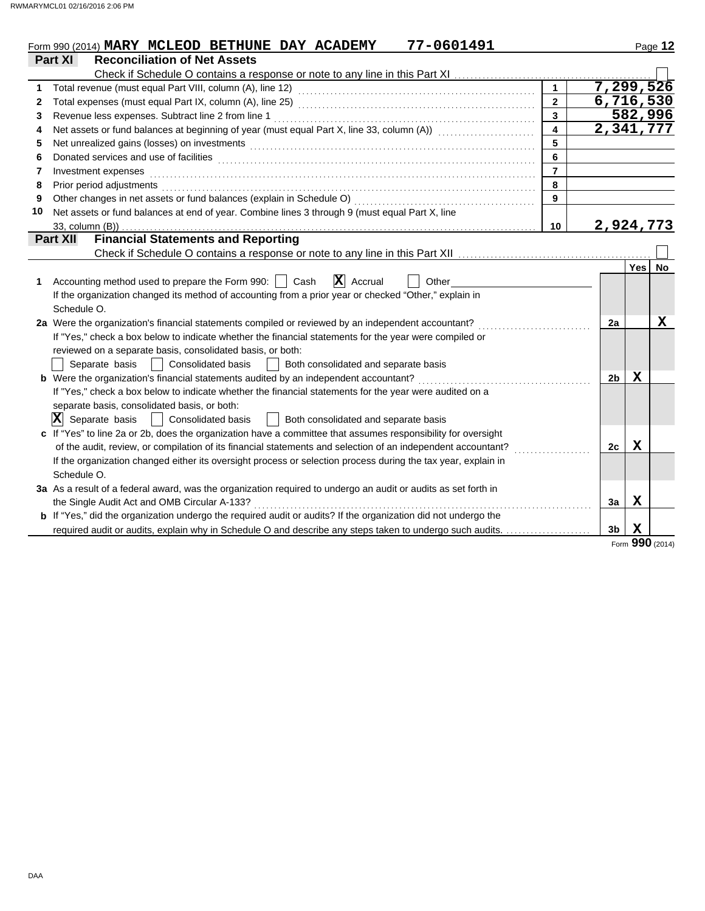|              | 77-0601491<br>Form 990 (2014) MARY MCLEOD BETHUNE DAY ACADEMY                                                         |                         |                |             | Page 12         |
|--------------|-----------------------------------------------------------------------------------------------------------------------|-------------------------|----------------|-------------|-----------------|
|              | <b>Reconciliation of Net Assets</b><br><b>Part XI</b>                                                                 |                         |                |             |                 |
|              |                                                                                                                       |                         |                |             |                 |
| 1            |                                                                                                                       | $\mathbf{1}$            | 7,299,526      |             |                 |
| $\mathbf{2}$ |                                                                                                                       | $\overline{2}$          | 6,716,530      |             |                 |
| 3            | Revenue less expenses. Subtract line 2 from line 1                                                                    | 3                       |                | 582,996     |                 |
| 4            | Net assets or fund balances at beginning of year (must equal Part X, line 33, column (A)) [[[[[[[[[[[[[[[[[[[         | $\overline{\mathbf{4}}$ | 2,341,777      |             |                 |
| 5            |                                                                                                                       | 5                       |                |             |                 |
| 6            |                                                                                                                       | 6                       |                |             |                 |
| 7            | Investment expenses                                                                                                   | $\overline{7}$          |                |             |                 |
| 8            | Prior period adjustments                                                                                              | 8                       |                |             |                 |
| 9            | Other changes in net assets or fund balances (explain in Schedule O)                                                  | $\mathbf{Q}$            |                |             |                 |
| 10           | Net assets or fund balances at end of year. Combine lines 3 through 9 (must equal Part X, line                        |                         |                |             |                 |
|              | $33$ , column $(B)$ )                                                                                                 | 10                      | 2,924,773      |             |                 |
|              | <b>Financial Statements and Reporting</b><br><b>Part XII</b>                                                          |                         |                |             |                 |
|              |                                                                                                                       |                         |                |             |                 |
|              |                                                                                                                       |                         |                | <b>Yes</b>  | No              |
| 1            | $\mathbf{X}$ Accrual<br>Accounting method used to prepare the Form 990:<br>Cash<br>Other                              |                         |                |             |                 |
|              | If the organization changed its method of accounting from a prior year or checked "Other," explain in                 |                         |                |             |                 |
|              | Schedule O.                                                                                                           |                         |                |             |                 |
|              | 2a Were the organization's financial statements compiled or reviewed by an independent accountant?                    |                         | 2a             |             | х               |
|              | If "Yes," check a box below to indicate whether the financial statements for the year were compiled or                |                         |                |             |                 |
|              | reviewed on a separate basis, consolidated basis, or both:                                                            |                         |                |             |                 |
|              | Separate basis<br><b>Consolidated basis</b><br>Both consolidated and separate basis                                   |                         |                |             |                 |
|              | b Were the organization's financial statements audited by an independent accountant?                                  |                         | 2 <sub>b</sub> | $\mathbf x$ |                 |
|              | If "Yes," check a box below to indicate whether the financial statements for the year were audited on a               |                         |                |             |                 |
|              | separate basis, consolidated basis, or both:                                                                          |                         |                |             |                 |
|              | $ \mathbf{X} $ Separate basis<br>Both consolidated and separate basis<br><b>Consolidated basis</b>                    |                         |                |             |                 |
|              | c If "Yes" to line 2a or 2b, does the organization have a committee that assumes responsibility for oversight         |                         |                |             |                 |
|              | of the audit, review, or compilation of its financial statements and selection of an independent accountant?          |                         | 2c             | X           |                 |
|              | If the organization changed either its oversight process or selection process during the tax year, explain in         |                         |                |             |                 |
|              | Schedule O.                                                                                                           |                         |                |             |                 |
|              | 3a As a result of a federal award, was the organization required to undergo an audit or audits as set forth in        |                         |                |             |                 |
|              | the Single Audit Act and OMB Circular A-133?<br>.                                                                     |                         | 3a             | $\mathbf X$ |                 |
|              | <b>b</b> If "Yes," did the organization undergo the required audit or audits? If the organization did not undergo the |                         |                |             |                 |
|              | required audit or audits, explain why in Schedule O and describe any steps taken to undergo such audits.              |                         | 3 <sub>b</sub> | $\mathbf x$ |                 |
|              |                                                                                                                       |                         |                |             | Form 990 (2014) |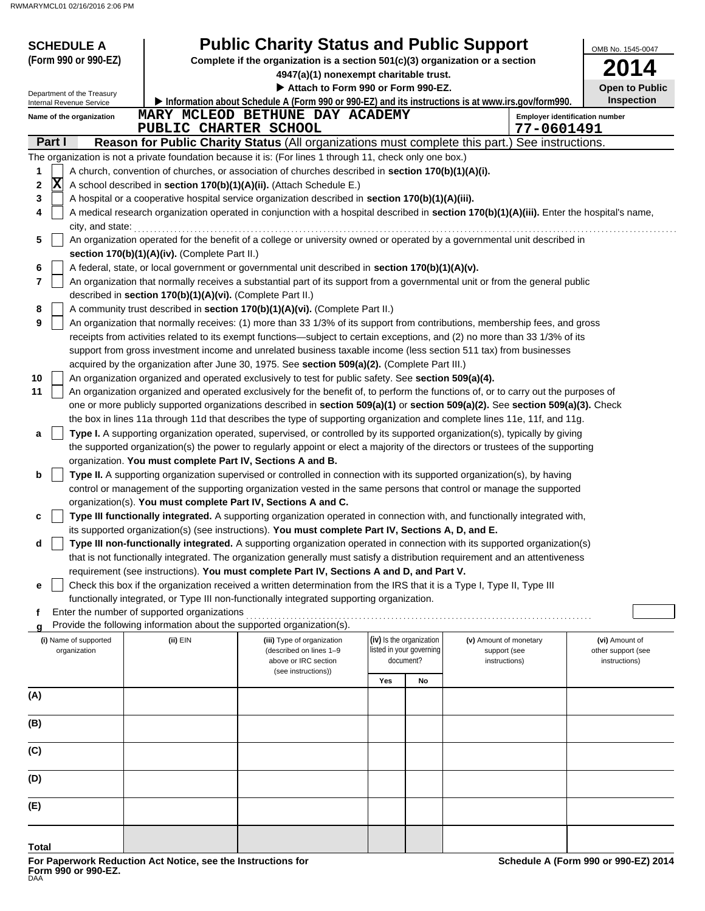| <b>SCHEDULE A</b>                                      |                                                                                                                           | <b>Public Charity Status and Public Support</b>                                                                                                                                                                                                                       |                          |    |                        |            | OMB No. 1545-0047                     |  |  |  |  |  |
|--------------------------------------------------------|---------------------------------------------------------------------------------------------------------------------------|-----------------------------------------------------------------------------------------------------------------------------------------------------------------------------------------------------------------------------------------------------------------------|--------------------------|----|------------------------|------------|---------------------------------------|--|--|--|--|--|
| (Form 990 or 990-EZ)                                   |                                                                                                                           | Complete if the organization is a section 501(c)(3) organization or a section                                                                                                                                                                                         |                          |    |                        |            |                                       |  |  |  |  |  |
|                                                        |                                                                                                                           | 4947(a)(1) nonexempt charitable trust.<br>Attach to Form 990 or Form 990-EZ.                                                                                                                                                                                          |                          |    |                        |            | <b>Open to Public</b>                 |  |  |  |  |  |
| Department of the Treasury<br>Internal Revenue Service |                                                                                                                           | Information about Schedule A (Form 990 or 990-EZ) and its instructions is at www.irs.gov/form990.                                                                                                                                                                     |                          |    |                        |            | Inspection                            |  |  |  |  |  |
| Name of the organization                               |                                                                                                                           | MARY MCLEOD BETHUNE DAY ACADEMY                                                                                                                                                                                                                                       |                          |    |                        |            | <b>Employer identification number</b> |  |  |  |  |  |
|                                                        | PUBLIC CHARTER SCHOOL                                                                                                     |                                                                                                                                                                                                                                                                       |                          |    |                        | 77-0601491 |                                       |  |  |  |  |  |
| Part I                                                 |                                                                                                                           | Reason for Public Charity Status (All organizations must complete this part.) See instructions.                                                                                                                                                                       |                          |    |                        |            |                                       |  |  |  |  |  |
|                                                        |                                                                                                                           | The organization is not a private foundation because it is: (For lines 1 through 11, check only one box.)                                                                                                                                                             |                          |    |                        |            |                                       |  |  |  |  |  |
| 1<br>X                                                 |                                                                                                                           | A church, convention of churches, or association of churches described in section 170(b)(1)(A)(i).                                                                                                                                                                    |                          |    |                        |            |                                       |  |  |  |  |  |
| 2<br>3                                                 |                                                                                                                           | A school described in section 170(b)(1)(A)(ii). (Attach Schedule E.)<br>A hospital or a cooperative hospital service organization described in section 170(b)(1)(A)(iii).                                                                                             |                          |    |                        |            |                                       |  |  |  |  |  |
| 4                                                      |                                                                                                                           | A medical research organization operated in conjunction with a hospital described in section 170(b)(1)(A)(iii). Enter the hospital's name,                                                                                                                            |                          |    |                        |            |                                       |  |  |  |  |  |
| city, and state:                                       |                                                                                                                           |                                                                                                                                                                                                                                                                       |                          |    |                        |            |                                       |  |  |  |  |  |
| 5                                                      | An organization operated for the benefit of a college or university owned or operated by a governmental unit described in |                                                                                                                                                                                                                                                                       |                          |    |                        |            |                                       |  |  |  |  |  |
|                                                        | section 170(b)(1)(A)(iv). (Complete Part II.)                                                                             |                                                                                                                                                                                                                                                                       |                          |    |                        |            |                                       |  |  |  |  |  |
| 6                                                      |                                                                                                                           | A federal, state, or local government or governmental unit described in section 170(b)(1)(A)(v).                                                                                                                                                                      |                          |    |                        |            |                                       |  |  |  |  |  |
| 7                                                      | described in section 170(b)(1)(A)(vi). (Complete Part II.)                                                                | An organization that normally receives a substantial part of its support from a governmental unit or from the general public                                                                                                                                          |                          |    |                        |            |                                       |  |  |  |  |  |
| 8                                                      |                                                                                                                           | A community trust described in section 170(b)(1)(A)(vi). (Complete Part II.)                                                                                                                                                                                          |                          |    |                        |            |                                       |  |  |  |  |  |
| 9                                                      |                                                                                                                           | An organization that normally receives: (1) more than 33 1/3% of its support from contributions, membership fees, and gross                                                                                                                                           |                          |    |                        |            |                                       |  |  |  |  |  |
|                                                        |                                                                                                                           | receipts from activities related to its exempt functions—subject to certain exceptions, and (2) no more than 33 1/3% of its                                                                                                                                           |                          |    |                        |            |                                       |  |  |  |  |  |
|                                                        |                                                                                                                           | support from gross investment income and unrelated business taxable income (less section 511 tax) from businesses                                                                                                                                                     |                          |    |                        |            |                                       |  |  |  |  |  |
|                                                        |                                                                                                                           | acquired by the organization after June 30, 1975. See section 509(a)(2). (Complete Part III.)                                                                                                                                                                         |                          |    |                        |            |                                       |  |  |  |  |  |
| 10                                                     |                                                                                                                           | An organization organized and operated exclusively to test for public safety. See section 509(a)(4).                                                                                                                                                                  |                          |    |                        |            |                                       |  |  |  |  |  |
| 11                                                     |                                                                                                                           | An organization organized and operated exclusively for the benefit of, to perform the functions of, or to carry out the purposes of<br>one or more publicly supported organizations described in section 509(a)(1) or section 509(a)(2). See section 509(a)(3). Check |                          |    |                        |            |                                       |  |  |  |  |  |
|                                                        |                                                                                                                           | the box in lines 11a through 11d that describes the type of supporting organization and complete lines 11e, 11f, and 11g.                                                                                                                                             |                          |    |                        |            |                                       |  |  |  |  |  |
| a                                                      |                                                                                                                           | Type I. A supporting organization operated, supervised, or controlled by its supported organization(s), typically by giving                                                                                                                                           |                          |    |                        |            |                                       |  |  |  |  |  |
|                                                        |                                                                                                                           | the supported organization(s) the power to regularly appoint or elect a majority of the directors or trustees of the supporting                                                                                                                                       |                          |    |                        |            |                                       |  |  |  |  |  |
|                                                        | organization. You must complete Part IV, Sections A and B.                                                                |                                                                                                                                                                                                                                                                       |                          |    |                        |            |                                       |  |  |  |  |  |
| b                                                      |                                                                                                                           | Type II. A supporting organization supervised or controlled in connection with its supported organization(s), by having                                                                                                                                               |                          |    |                        |            |                                       |  |  |  |  |  |
|                                                        |                                                                                                                           | control or management of the supporting organization vested in the same persons that control or manage the supported<br>organization(s). You must complete Part IV, Sections A and C.                                                                                 |                          |    |                        |            |                                       |  |  |  |  |  |
| c                                                      |                                                                                                                           | Type III functionally integrated. A supporting organization operated in connection with, and functionally integrated with,                                                                                                                                            |                          |    |                        |            |                                       |  |  |  |  |  |
|                                                        |                                                                                                                           | its supported organization(s) (see instructions). You must complete Part IV, Sections A, D, and E.                                                                                                                                                                    |                          |    |                        |            |                                       |  |  |  |  |  |
| d                                                      |                                                                                                                           | Type III non-functionally integrated. A supporting organization operated in connection with its supported organization(s)                                                                                                                                             |                          |    |                        |            |                                       |  |  |  |  |  |
|                                                        |                                                                                                                           | that is not functionally integrated. The organization generally must satisfy a distribution requirement and an attentiveness                                                                                                                                          |                          |    |                        |            |                                       |  |  |  |  |  |
|                                                        |                                                                                                                           | requirement (see instructions). You must complete Part IV, Sections A and D, and Part V.                                                                                                                                                                              |                          |    |                        |            |                                       |  |  |  |  |  |
| е                                                      |                                                                                                                           | Check this box if the organization received a written determination from the IRS that it is a Type I, Type II, Type III                                                                                                                                               |                          |    |                        |            |                                       |  |  |  |  |  |
| f                                                      | Enter the number of supported organizations                                                                               | functionally integrated, or Type III non-functionally integrated supporting organization.                                                                                                                                                                             |                          |    |                        |            |                                       |  |  |  |  |  |
|                                                        |                                                                                                                           | Provide the following information about the supported organization(s).                                                                                                                                                                                                |                          |    |                        |            |                                       |  |  |  |  |  |
| (i) Name of supported                                  | (ii) EIN                                                                                                                  | (iii) Type of organization                                                                                                                                                                                                                                            | (iv) Is the organization |    | (v) Amount of monetary |            | (vi) Amount of                        |  |  |  |  |  |
| organization                                           |                                                                                                                           | (described on lines 1-9<br>above or IRC section                                                                                                                                                                                                                       | listed in your governing |    | support (see           |            | other support (see                    |  |  |  |  |  |
|                                                        |                                                                                                                           | (see instructions))                                                                                                                                                                                                                                                   | document?                |    | instructions)          |            | instructions)                         |  |  |  |  |  |
|                                                        |                                                                                                                           |                                                                                                                                                                                                                                                                       | Yes                      | No |                        |            |                                       |  |  |  |  |  |
| (A)                                                    |                                                                                                                           |                                                                                                                                                                                                                                                                       |                          |    |                        |            |                                       |  |  |  |  |  |
| (B)                                                    |                                                                                                                           |                                                                                                                                                                                                                                                                       |                          |    |                        |            |                                       |  |  |  |  |  |
|                                                        |                                                                                                                           |                                                                                                                                                                                                                                                                       |                          |    |                        |            |                                       |  |  |  |  |  |
| (C)                                                    |                                                                                                                           |                                                                                                                                                                                                                                                                       |                          |    |                        |            |                                       |  |  |  |  |  |
| (D)                                                    |                                                                                                                           |                                                                                                                                                                                                                                                                       |                          |    |                        |            |                                       |  |  |  |  |  |
| (E)                                                    |                                                                                                                           |                                                                                                                                                                                                                                                                       |                          |    |                        |            |                                       |  |  |  |  |  |
|                                                        |                                                                                                                           |                                                                                                                                                                                                                                                                       |                          |    |                        |            |                                       |  |  |  |  |  |
| Total                                                  |                                                                                                                           |                                                                                                                                                                                                                                                                       |                          |    |                        |            |                                       |  |  |  |  |  |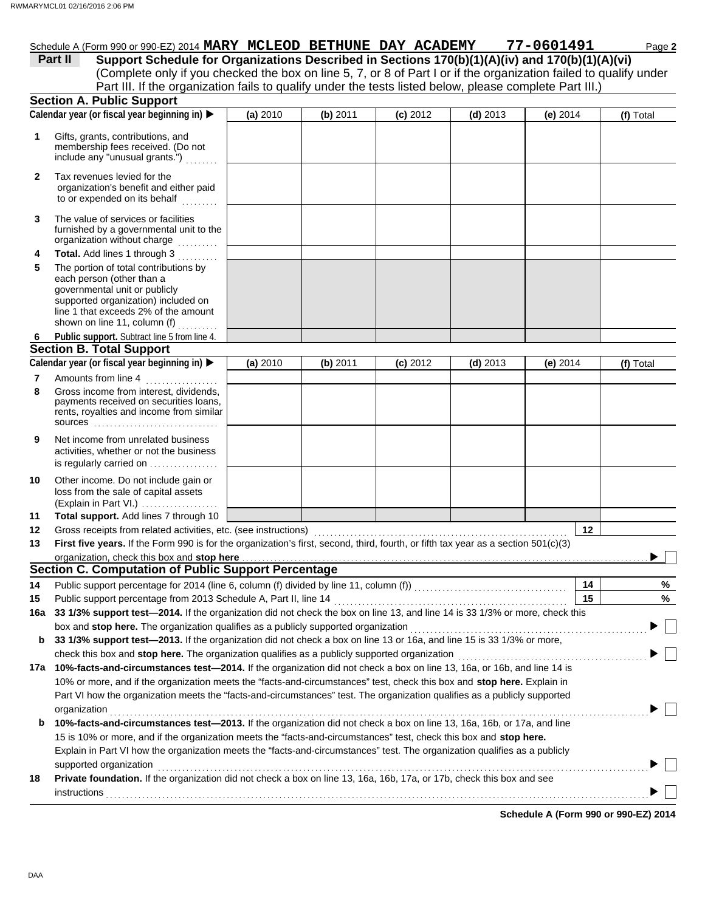## Schedule A (Form 990 or 990-EZ) 2014 **MARY MCLEOD BETHUNE DAY ACADEMY 77-0601491** Page 2

(Complete only if you checked the box on line 5, 7, or 8 of Part I or if the organization failed to qualify under **Part II** Support Schedule for Organizations Described in Sections 170(b)(1)(A)(iv) and 170(b)(1)(A)(vi) Part III. If the organization fails to qualify under the tests listed below, please complete Part III.)

|              | <b>Section A. Public Support</b>                                                                                                                                                                                                                                                                                                                                                          |          |            |            |            |            |            |
|--------------|-------------------------------------------------------------------------------------------------------------------------------------------------------------------------------------------------------------------------------------------------------------------------------------------------------------------------------------------------------------------------------------------|----------|------------|------------|------------|------------|------------|
|              | Calendar year (or fiscal year beginning in)                                                                                                                                                                                                                                                                                                                                               | (a) 2010 | $(b)$ 2011 | $(c)$ 2012 | $(d)$ 2013 | (e) $2014$ | (f) Total  |
| 1            | Gifts, grants, contributions, and<br>membership fees received. (Do not<br>include any "unusual grants.")                                                                                                                                                                                                                                                                                  |          |            |            |            |            |            |
| $\mathbf{2}$ | Tax revenues levied for the<br>organization's benefit and either paid<br>to or expended on its behalf                                                                                                                                                                                                                                                                                     |          |            |            |            |            |            |
| 3            | The value of services or facilities<br>furnished by a governmental unit to the<br>organization without charge<br>.                                                                                                                                                                                                                                                                        |          |            |            |            |            |            |
| 4<br>5       | Total. Add lines 1 through 3<br>The portion of total contributions by<br>each person (other than a<br>governmental unit or publicly<br>supported organization) included on<br>line 1 that exceeds 2% of the amount<br>shown on line 11, column (f)                                                                                                                                        |          |            |            |            |            |            |
| 6            | Public support. Subtract line 5 from line 4.                                                                                                                                                                                                                                                                                                                                              |          |            |            |            |            |            |
|              | <b>Section B. Total Support</b>                                                                                                                                                                                                                                                                                                                                                           |          |            |            |            |            |            |
|              | Calendar year (or fiscal year beginning in) >                                                                                                                                                                                                                                                                                                                                             | (a) 2010 | $(b)$ 2011 | $(c)$ 2012 | $(d)$ 2013 | (e) $2014$ | (f) Total  |
| 7            | Amounts from line 4<br>.                                                                                                                                                                                                                                                                                                                                                                  |          |            |            |            |            |            |
| 8            | Gross income from interest, dividends,<br>payments received on securities loans,<br>rents, royalties and income from similar<br>$sources$                                                                                                                                                                                                                                                 |          |            |            |            |            |            |
| 9            | Net income from unrelated business<br>activities, whether or not the business<br>is regularly carried on                                                                                                                                                                                                                                                                                  |          |            |            |            |            |            |
| 10           | Other income. Do not include gain or<br>loss from the sale of capital assets<br>(Explain in Part VI.)                                                                                                                                                                                                                                                                                     |          |            |            |            |            |            |
| 11           | Total support. Add lines 7 through 10                                                                                                                                                                                                                                                                                                                                                     |          |            |            |            |            |            |
| 12           |                                                                                                                                                                                                                                                                                                                                                                                           |          |            |            |            |            | 12         |
| 13           | First five years. If the Form 990 is for the organization's first, second, third, fourth, or fifth tax year as a section 501(c)(3)                                                                                                                                                                                                                                                        |          |            |            |            |            |            |
|              | organization, check this box and stop here                                                                                                                                                                                                                                                                                                                                                |          |            |            |            |            |            |
|              | Section C. Computation of Public Support Percentage                                                                                                                                                                                                                                                                                                                                       |          |            |            |            |            |            |
| 14           |                                                                                                                                                                                                                                                                                                                                                                                           |          |            |            |            |            | 14<br>%    |
| 15           | Public support percentage from 2013 Schedule A, Part II, line 14 [2010] [2010] [2010] [2010] [2010] [2010] [20                                                                                                                                                                                                                                                                            |          |            |            |            |            | 15<br>$\%$ |
|              | 16a 33 1/3% support test—2014. If the organization did not check the box on line 13, and line 14 is 33 1/3% or more, check this                                                                                                                                                                                                                                                           |          |            |            |            |            |            |
|              | box and stop here. The organization qualifies as a publicly supported organization                                                                                                                                                                                                                                                                                                        |          |            |            |            |            |            |
| b            | 33 1/3% support test-2013. If the organization did not check a box on line 13 or 16a, and line 15 is 33 1/3% or more,<br>check this box and stop here. The organization qualifies as a publicly supported organization                                                                                                                                                                    |          |            |            |            |            |            |
|              | 17a 10%-facts-and-circumstances test-2014. If the organization did not check a box on line 13, 16a, or 16b, and line 14 is                                                                                                                                                                                                                                                                |          |            |            |            |            |            |
|              | 10% or more, and if the organization meets the "facts-and-circumstances" test, check this box and stop here. Explain in<br>Part VI how the organization meets the "facts-and-circumstances" test. The organization qualifies as a publicly supported                                                                                                                                      |          |            |            |            |            |            |
| b            | organization<br>10%-facts-and-circumstances test-2013. If the organization did not check a box on line 13, 16a, 16b, or 17a, and line<br>15 is 10% or more, and if the organization meets the "facts-and-circumstances" test, check this box and stop here.<br>Explain in Part VI how the organization meets the "facts-and-circumstances" test. The organization qualifies as a publicly |          |            |            |            |            |            |
| 18           | supported organization<br>Private foundation. If the organization did not check a box on line 13, 16a, 16b, 17a, or 17b, check this box and see<br>instructions                                                                                                                                                                                                                           |          |            |            |            |            |            |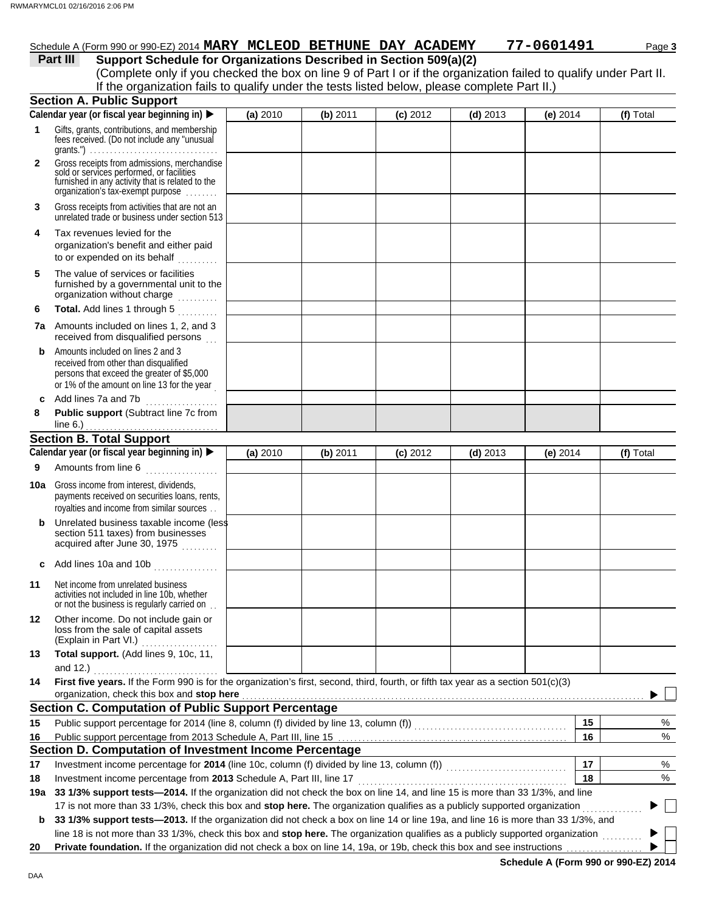## Schedule A (Form 990 or 990-EZ) 2014 **MARY MCLEOD BETHUNE DAY ACADEMY 77-0601491** Page 3

| Part III | Support Schedule for Organizations Described in Section 509(a)(2)                                                 |
|----------|-------------------------------------------------------------------------------------------------------------------|
|          | (Complete only if you checked the box on line 9 of Part I or if the organization failed to qualify under Part II. |
|          | If the organization fails to qualify under the tests listed below, please complete Part II.)                      |
|          | aatian A Duhlia Qunnart                                                                                           |

|              | <b>Section A. Public Support</b>                                                                                                                                                  |          |            |            |            |            |           |
|--------------|-----------------------------------------------------------------------------------------------------------------------------------------------------------------------------------|----------|------------|------------|------------|------------|-----------|
|              | Calendar year (or fiscal year beginning in)                                                                                                                                       | (a) 2010 | $(b)$ 2011 | $(c)$ 2012 | $(d)$ 2013 | (e) $2014$ | (f) Total |
| 1            | Gifts, grants, contributions, and membership<br>fees received. (Do not include any "unusual                                                                                       |          |            |            |            |            |           |
| $\mathbf{2}$ | Gross receipts from admissions, merchandise<br>sold or services performed, or facilities<br>furnished in any activity that is related to the<br>organization's fax-exempt purpose |          |            |            |            |            |           |
| 3            | Gross receipts from activities that are not an<br>unrelated trade or business under section 513                                                                                   |          |            |            |            |            |           |
| 4            | Tax revenues levied for the<br>organization's benefit and either paid<br>to or expended on its behalf                                                                             |          |            |            |            |            |           |
| 5            | The value of services or facilities<br>furnished by a governmental unit to the<br>organization without charge                                                                     |          |            |            |            |            |           |
| 6            | Total. Add lines 1 through 5                                                                                                                                                      |          |            |            |            |            |           |
|              | <b>7a</b> Amounts included on lines 1, 2, and 3<br>received from disqualified persons                                                                                             |          |            |            |            |            |           |
| b            | Amounts included on lines 2 and 3<br>received from other than disqualified<br>persons that exceed the greater of \$5,000<br>or 1% of the amount on line 13 for the year           |          |            |            |            |            |           |
| c            | Add lines 7a and 7b                                                                                                                                                               |          |            |            |            |            |           |
| 8            | Public support (Subtract line 7c from<br>line $6.$ )                                                                                                                              |          |            |            |            |            |           |
|              | <b>Section B. Total Support</b>                                                                                                                                                   |          |            |            |            |            |           |
|              | Calendar year (or fiscal year beginning in)                                                                                                                                       | (a) 2010 | $(b)$ 2011 | $(c)$ 2012 | $(d)$ 2013 | (e) $2014$ | (f) Total |
| 9            | Amounts from line 6                                                                                                                                                               |          |            |            |            |            |           |
|              | <b>10a</b> Gross income from interest, dividends,<br>payments received on securities loans, rents,<br>royalties and income from similar sources                                   |          |            |            |            |            |           |
| b            | Unrelated business taxable income (less<br>section 511 taxes) from businesses<br>acquired after June 30, 1975                                                                     |          |            |            |            |            |           |
|              | Add lines 10a and 10b                                                                                                                                                             |          |            |            |            |            |           |
| 11           | Net income from unrelated business<br>activities not included in line 10b, whether<br>or not the business is regularly carried on                                                 |          |            |            |            |            |           |
| 12           | Other income. Do not include gain or<br>loss from the sale of capital assets<br>(Explain in Part VI.)                                                                             |          |            |            |            |            |           |
| 13           | Total support. (Add lines 9, 10c, 11,                                                                                                                                             |          |            |            |            |            |           |
|              | and $12.$ )                                                                                                                                                                       |          |            |            |            |            |           |
| 14           | First five years. If the Form 990 is for the organization's first, second, third, fourth, or fifth tax year as a section 501(c)(3)<br>organization, check this box and stop here  |          |            |            |            |            |           |
|              | <b>Section C. Computation of Public Support Percentage</b>                                                                                                                        |          |            |            |            |            |           |
| 15           | Public support percentage for 2014 (line 8, column (f) divided by line 13, column (f)) [[[[[[[[[[[[[[[[[[[[[[                                                                     |          |            |            |            | 15         | %         |
| 16           |                                                                                                                                                                                   |          |            |            |            | 16         | %         |
|              | Section D. Computation of Investment Income Percentage                                                                                                                            |          |            |            |            |            |           |
| 17           | Investment income percentage for 2014 (line 10c, column (f) divided by line 13, column (f)) [[[[[[[[[[[[[[[[[[                                                                    |          |            |            |            | 17         | %         |
| 18           | Investment income percentage from 2013 Schedule A, Part III, line 17                                                                                                              |          |            |            |            | 18         | %         |
| 19a          | 33 1/3% support tests-2014. If the organization did not check the box on line 14, and line 15 is more than 33 1/3%, and line                                                      |          |            |            |            |            |           |
|              | 17 is not more than 33 1/3%, check this box and stop here. The organization qualifies as a publicly supported organization                                                        |          |            |            |            |            |           |
| b            | 33 1/3% support tests-2013. If the organization did not check a box on line 14 or line 19a, and line 16 is more than 33 1/3%, and                                                 |          |            |            |            |            |           |
|              | line 18 is not more than 33 1/3%, check this box and stop here. The organization qualifies as a publicly supported organization                                                   |          |            |            |            |            |           |
| 20           | Private foundation. If the organization did not check a box on line 14, 19a, or 19b, check this box and see instructions                                                          |          |            |            |            |            |           |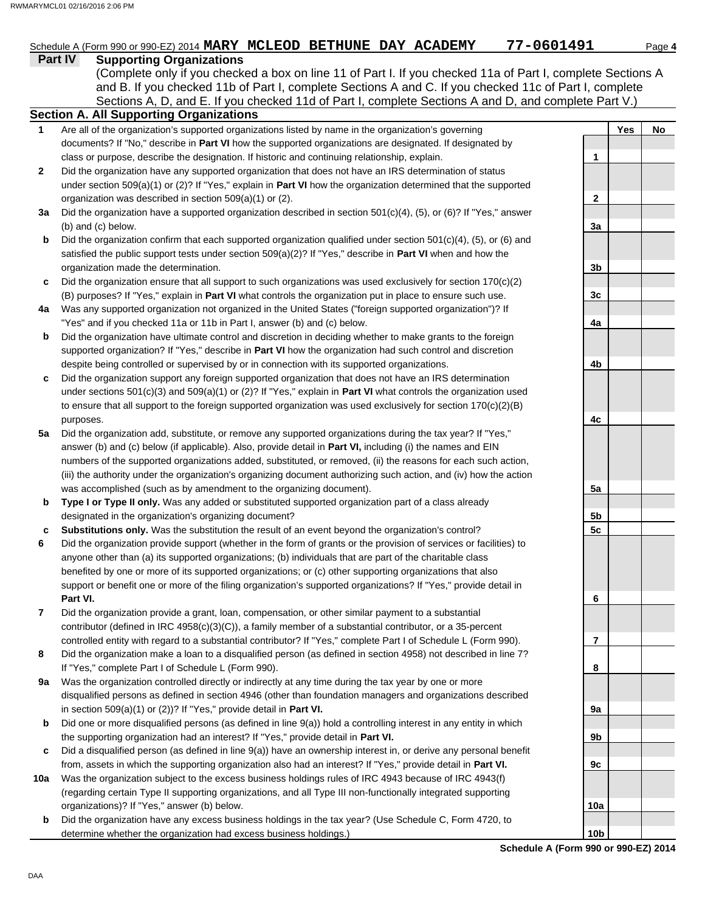**1**

**2**

## Schedule A (Form 990 or 990-EZ) 2014 **MARY MCLEOD BETHUNE DAY ACADEMY 77-0601491** Page 4

**Part IV Supporting Organizations** Sections A, D, and E. If you checked 11d of Part I, complete Sections A and D, and complete Part V.) (Complete only if you checked a box on line 11 of Part I. If you checked 11a of Part I, complete Sections A and B. If you checked 11b of Part I, complete Sections A and C. If you checked 11c of Part I, complete

#### **Schedule A (Form 990 or 990-EZ) 2014 Section A. All Supporting Organizations** Are all of the organization's supported organizations listed by name in the organization's governing documents? If "No," describe in **Part VI** how the supported organizations are designated. If designated by class or purpose, describe the designation. If historic and continuing relationship, explain. Did the organization have any supported organization that does not have an IRS determination of status under section 509(a)(1) or (2)? If "Yes," explain in **Part VI** how the organization determined that the supported organization was described in section 509(a)(1) or (2). **3a** Did the organization have a supported organization described in section 501(c)(4), (5), or (6)? If "Yes," answer **b c 4a b c** Did the organization support any foreign supported organization that does not have an IRS determination **5a** Did the organization add, substitute, or remove any supported organizations during the tax year? If "Yes," **b c 9a b c 10a b** (b) and (c) below. Did the organization confirm that each supported organization qualified under section  $501(c)(4)$ ,  $(5)$ , or  $(6)$  and satisfied the public support tests under section 509(a)(2)? If "Yes," describe in **Part VI** when and how the organization made the determination. Did the organization ensure that all support to such organizations was used exclusively for section 170(c)(2) (B) purposes? If "Yes," explain in **Part VI** what controls the organization put in place to ensure such use. Was any supported organization not organized in the United States ("foreign supported organization")? If "Yes" and if you checked 11a or 11b in Part I, answer (b) and (c) below. Did the organization have ultimate control and discretion in deciding whether to make grants to the foreign supported organization? If "Yes," describe in **Part VI** how the organization had such control and discretion despite being controlled or supervised by or in connection with its supported organizations. under sections 501(c)(3) and 509(a)(1) or (2)? If "Yes," explain in **Part VI** what controls the organization used to ensure that all support to the foreign supported organization was used exclusively for section 170(c)(2)(B) purposes. answer (b) and (c) below (if applicable). Also, provide detail in **Part VI,** including (i) the names and EIN numbers of the supported organizations added, substituted, or removed, (ii) the reasons for each such action, (iii) the authority under the organization's organizing document authorizing such action, and (iv) how the action was accomplished (such as by amendment to the organizing document). **Type I or Type II only.** Was any added or substituted supported organization part of a class already designated in the organization's organizing document? **Substitutions only.** Was the substitution the result of an event beyond the organization's control? Did the organization provide support (whether in the form of grants or the provision of services or facilities) to anyone other than (a) its supported organizations; (b) individuals that are part of the charitable class benefited by one or more of its supported organizations; or (c) other supporting organizations that also support or benefit one or more of the filing organization's supported organizations? If "Yes," provide detail in **Part VI.** Did the organization provide a grant, loan, compensation, or other similar payment to a substantial contributor (defined in IRC 4958(c)(3)(C)), a family member of a substantial contributor, or a 35-percent controlled entity with regard to a substantial contributor? If "Yes," complete Part I of Schedule L (Form 990). Did the organization make a loan to a disqualified person (as defined in section 4958) not described in line 7? If "Yes," complete Part I of Schedule L (Form 990). Was the organization controlled directly or indirectly at any time during the tax year by one or more disqualified persons as defined in section 4946 (other than foundation managers and organizations described in section 509(a)(1) or (2))? If "Yes," provide detail in **Part VI.** Did one or more disqualified persons (as defined in line 9(a)) hold a controlling interest in any entity in which the supporting organization had an interest? If "Yes," provide detail in **Part VI.** Did a disqualified person (as defined in line 9(a)) have an ownership interest in, or derive any personal benefit from, assets in which the supporting organization also had an interest? If "Yes," provide detail in **Part VI.** Was the organization subject to the excess business holdings rules of IRC 4943 because of IRC 4943(f) (regarding certain Type II supporting organizations, and all Type III non-functionally integrated supporting organizations)? If "Yes," answer (b) below. Did the organization have any excess business holdings in the tax year? (Use Schedule C, Form 4720, to determine whether the organization had excess business holdings.) **Yes No 1 2 3a 3b 3c 4a 4b 4c 5a 5b 5c 6 7 8 9a 9b 9c 10a 10b**

**6**

**7**

**8**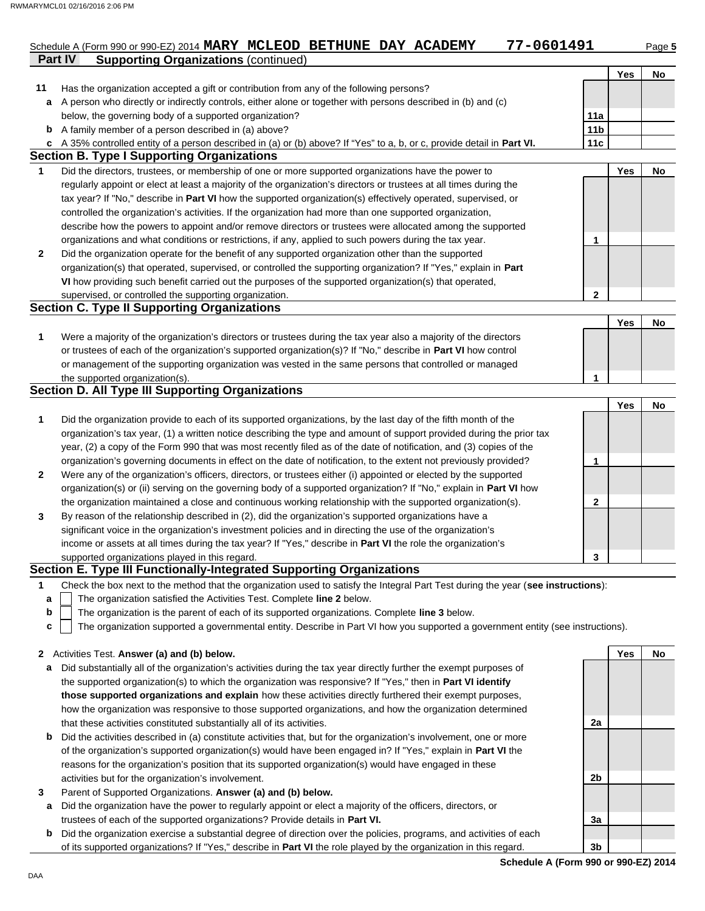## **Part IV Supporting Organizations** (continued) Schedule A (Form 990 or 990-EZ) 2014 **MARY MCLEOD BETHUNE DAY ACADEMY 77-0601491** Page 5

|              |                                                                                                                                   | Yes | No |
|--------------|-----------------------------------------------------------------------------------------------------------------------------------|-----|----|
| 11           | Has the organization accepted a gift or contribution from any of the following persons?                                           |     |    |
| a            | A person who directly or indirectly controls, either alone or together with persons described in (b) and (c)                      |     |    |
|              | below, the governing body of a supported organization?<br>11a                                                                     |     |    |
| b            | 11 <sub>b</sub><br>A family member of a person described in (a) above?                                                            |     |    |
| c            | 11c<br>A 35% controlled entity of a person described in (a) or (b) above? If "Yes" to a, b, or c, provide detail in Part VI.      |     |    |
|              | <b>Section B. Type I Supporting Organizations</b>                                                                                 |     |    |
| $\mathbf{1}$ | Did the directors, trustees, or membership of one or more supported organizations have the power to                               | Yes | No |
|              | regularly appoint or elect at least a majority of the organization's directors or trustees at all times during the                |     |    |
|              | tax year? If "No," describe in Part VI how the supported organization(s) effectively operated, supervised, or                     |     |    |
|              | controlled the organization's activities. If the organization had more than one supported organization,                           |     |    |
|              | describe how the powers to appoint and/or remove directors or trustees were allocated among the supported                         |     |    |
|              | organizations and what conditions or restrictions, if any, applied to such powers during the tax year.<br>1                       |     |    |
| $\mathbf{2}$ | Did the organization operate for the benefit of any supported organization other than the supported                               |     |    |
|              | organization(s) that operated, supervised, or controlled the supporting organization? If "Yes," explain in Part                   |     |    |
|              | VI how providing such benefit carried out the purposes of the supported organization(s) that operated,                            |     |    |
|              | $\mathbf{2}$<br>supervised, or controlled the supporting organization.                                                            |     |    |
|              | Section C. Type II Supporting Organizations                                                                                       |     |    |
|              |                                                                                                                                   | Yes | No |
| 1            | Were a majority of the organization's directors or trustees during the tax year also a majority of the directors                  |     |    |
|              | or trustees of each of the organization's supported organization(s)? If "No," describe in Part VI how control                     |     |    |
|              | or management of the supporting organization was vested in the same persons that controlled or managed                            |     |    |
|              | the supported organization(s).<br>1                                                                                               |     |    |
|              | <b>Section D. All Type III Supporting Organizations</b>                                                                           |     |    |
|              |                                                                                                                                   | Yes | No |
| 1            | Did the organization provide to each of its supported organizations, by the last day of the fifth month of the                    |     |    |
|              | organization's tax year, (1) a written notice describing the type and amount of support provided during the prior tax             |     |    |
|              | year, (2) a copy of the Form 990 that was most recently filed as of the date of notification, and (3) copies of the               |     |    |
|              | organization's governing documents in effect on the date of notification, to the extent not previously provided?<br>1             |     |    |
| $\mathbf{2}$ | Were any of the organization's officers, directors, or trustees either (i) appointed or elected by the supported                  |     |    |
|              | organization(s) or (ii) serving on the governing body of a supported organization? If "No," explain in Part VI how                |     |    |
|              | the organization maintained a close and continuous working relationship with the supported organization(s).<br>2                  |     |    |
| 3            | By reason of the relationship described in (2), did the organization's supported organizations have a                             |     |    |
|              | significant voice in the organization's investment policies and in directing the use of the organization's                        |     |    |
|              | income or assets at all times during the tax year? If "Yes," describe in Part VI the role the organization's                      |     |    |
|              | supported organizations played in this regard.<br>3                                                                               |     |    |
|              | Section E. Type III Functionally-Integrated Supporting Organizations                                                              |     |    |
| $\mathbf 1$  | Check the box next to the method that the organization used to satisfy the Integral Part Test during the year (see instructions): |     |    |
| a            | The organization satisfied the Activities Test. Complete line 2 below.                                                            |     |    |

- The organization is the parent of each of its supported organizations. Complete **line 3** below. **b**
- The organization supported a governmental entity. Describe in Part VI how you supported a government entity (see instructions). **c**

### **2** Activities Test. **Answer (a) and (b) below.**

- **a** Did substantially all of the organization's activities during the tax year directly further the exempt purposes of the supported organization(s) to which the organization was responsive? If "Yes," then in **Part VI identify those supported organizations and explain** how these activities directly furthered their exempt purposes, how the organization was responsive to those supported organizations, and how the organization determined that these activities constituted substantially all of its activities.
- **b** Did the activities described in (a) constitute activities that, but for the organization's involvement, one or more of the organization's supported organization(s) would have been engaged in? If "Yes," explain in **Part VI** the reasons for the organization's position that its supported organization(s) would have engaged in these activities but for the organization's involvement.
- **3** Parent of Supported Organizations. **Answer (a) and (b) below.**
	- **a** Did the organization have the power to regularly appoint or elect a majority of the officers, directors, or trustees of each of the supported organizations? Provide details in **Part VI.**
	- **b** Did the organization exercise a substantial degree of direction over the policies, programs, and activities of each of its supported organizations? If "Yes," describe in **Part VI** the role played by the organization in this regard.

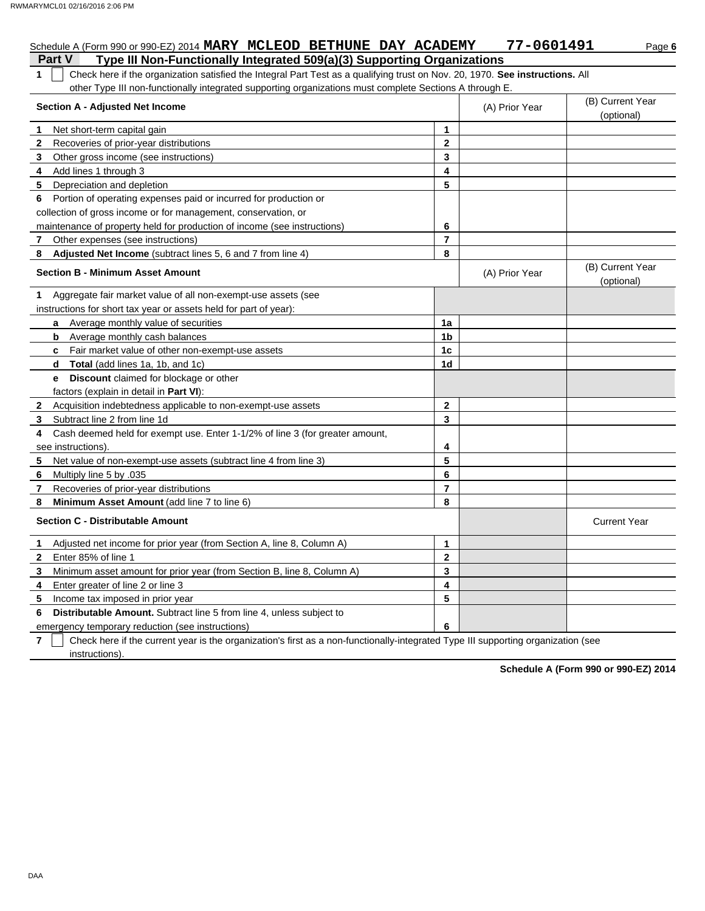# Schedule A (Form 990 or 990-EZ) 2014 **MARY MCLEOD BETHUNE DAY ACADEMY 77-0601491** Page 6

**Part V Type III Non-Functionally Integrated 509(a)(3) Supporting Organizations 1** Check here if the organization satisfied the Integral Part Test as a qualifying trust on Nov. 20, 1970. **See instructions.** All other Type III non-functionally integrated supporting organizations must complete Sections A through E.

|              | Section A - Adjusted Net Income                                              |                | (A) Prior Year | (B) Current Year<br>(optional) |
|--------------|------------------------------------------------------------------------------|----------------|----------------|--------------------------------|
| 1.           | Net short-term capital gain                                                  | 1              |                |                                |
| $\mathbf{2}$ | Recoveries of prior-year distributions                                       | $\overline{2}$ |                |                                |
| 3            | Other gross income (see instructions)                                        | 3              |                |                                |
| 4            | Add lines 1 through 3                                                        | 4              |                |                                |
| 5            | Depreciation and depletion                                                   | 5              |                |                                |
| 6            | Portion of operating expenses paid or incurred for production or             |                |                |                                |
|              | collection of gross income or for management, conservation, or               |                |                |                                |
|              | maintenance of property held for production of income (see instructions)     | 6              |                |                                |
| $\mathbf{7}$ | Other expenses (see instructions)                                            | $\overline{7}$ |                |                                |
| 8            | Adjusted Net Income (subtract lines 5, 6 and 7 from line 4)                  | 8              |                |                                |
|              | <b>Section B - Minimum Asset Amount</b>                                      |                | (A) Prior Year | (B) Current Year<br>(optional) |
| 1            | Aggregate fair market value of all non-exempt-use assets (see                |                |                |                                |
|              | instructions for short tax year or assets held for part of year):            |                |                |                                |
|              | a Average monthly value of securities                                        | 1a             |                |                                |
|              | Average monthly cash balances<br>b                                           | 1 <sub>b</sub> |                |                                |
|              | Fair market value of other non-exempt-use assets<br>c                        | 1c             |                |                                |
|              | d<br>Total (add lines 1a, 1b, and 1c)                                        | 1d             |                |                                |
|              | Discount claimed for blockage or other<br>e                                  |                |                |                                |
|              | factors (explain in detail in Part VI):                                      |                |                |                                |
| 2            | Acquisition indebtedness applicable to non-exempt-use assets                 | $\mathbf{2}$   |                |                                |
| 3            | Subtract line 2 from line 1d                                                 | 3              |                |                                |
| 4            | Cash deemed held for exempt use. Enter 1-1/2% of line 3 (for greater amount, |                |                |                                |
|              | see instructions)                                                            | 4              |                |                                |
| 5            | Net value of non-exempt-use assets (subtract line 4 from line 3)             | 5              |                |                                |
| 6            | Multiply line 5 by .035                                                      | 6              |                |                                |
| 7            | Recoveries of prior-year distributions                                       | $\overline{7}$ |                |                                |
| 8            | Minimum Asset Amount (add line 7 to line 6)                                  | 8              |                |                                |
|              | <b>Section C - Distributable Amount</b>                                      |                |                | <b>Current Year</b>            |
| $\mathbf 1$  | Adjusted net income for prior year (from Section A, line 8, Column A)        | 1              |                |                                |
| $\mathbf{2}$ | Enter 85% of line 1                                                          | $\mathbf 2$    |                |                                |
| 3            | Minimum asset amount for prior year (from Section B, line 8, Column A)       | 3              |                |                                |
| 4            | Enter greater of line 2 or line 3                                            | 4              |                |                                |
| 5            | Income tax imposed in prior year                                             | 5              |                |                                |
| 6            | Distributable Amount. Subtract line 5 from line 4, unless subject to         |                |                |                                |
|              | emergency temporary reduction (see instructions)                             | 6              |                |                                |

**7** instructions). Check here if the current year is the organization's first as a non-functionally-integrated Type III supporting organization (see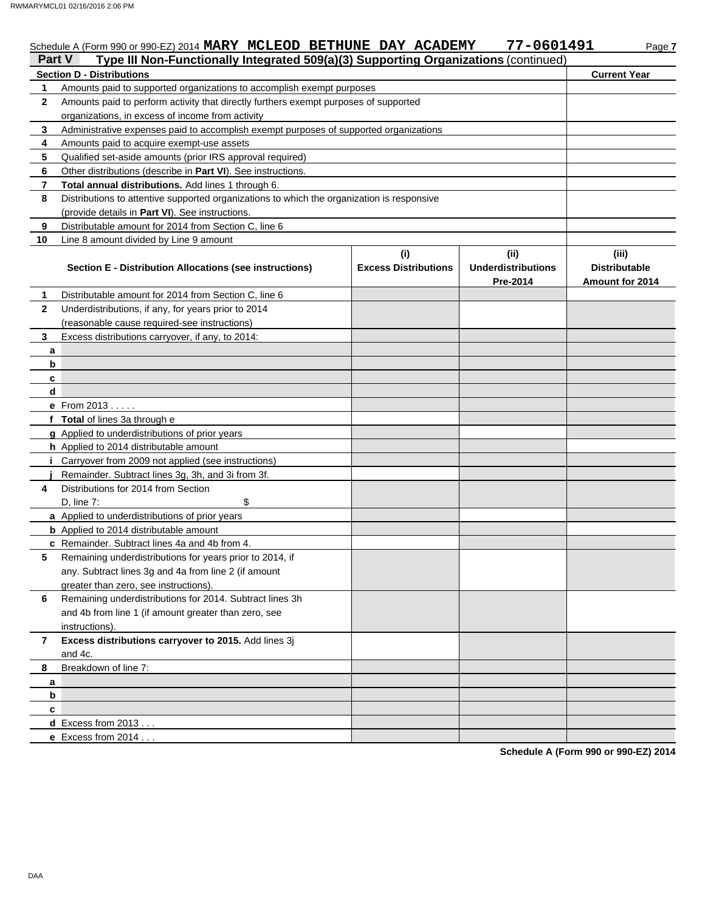|                     | Type III Non-Functionally Integrated 509(a)(3) Supporting Organizations (continued)<br>Part V<br><b>Section D - Distributions</b>         |                             |                           | <b>Current Year</b>    |
|---------------------|-------------------------------------------------------------------------------------------------------------------------------------------|-----------------------------|---------------------------|------------------------|
|                     | Amounts paid to supported organizations to accomplish exempt purposes                                                                     |                             |                           |                        |
| 1<br>$\mathbf{2}$   |                                                                                                                                           |                             |                           |                        |
|                     | Amounts paid to perform activity that directly furthers exempt purposes of supported                                                      |                             |                           |                        |
| 3                   | organizations, in excess of income from activity<br>Administrative expenses paid to accomplish exempt purposes of supported organizations |                             |                           |                        |
| 4                   |                                                                                                                                           |                             |                           |                        |
| 5                   | Amounts paid to acquire exempt-use assets                                                                                                 |                             |                           |                        |
| 6                   | Qualified set-aside amounts (prior IRS approval required)                                                                                 |                             |                           |                        |
|                     | Other distributions (describe in Part VI). See instructions.                                                                              |                             |                           |                        |
| $\overline{7}$<br>8 | Total annual distributions. Add lines 1 through 6.                                                                                        |                             |                           |                        |
|                     | Distributions to attentive supported organizations to which the organization is responsive                                                |                             |                           |                        |
|                     | (provide details in Part VI). See instructions.                                                                                           |                             |                           |                        |
| 9                   | Distributable amount for 2014 from Section C, line 6                                                                                      |                             |                           |                        |
| 10                  | Line 8 amount divided by Line 9 amount                                                                                                    |                             |                           |                        |
|                     |                                                                                                                                           | (i)                         | (i)                       | (iii)                  |
|                     | <b>Section E - Distribution Allocations (see instructions)</b>                                                                            | <b>Excess Distributions</b> | <b>Underdistributions</b> | <b>Distributable</b>   |
|                     |                                                                                                                                           |                             | Pre-2014                  | <b>Amount for 2014</b> |
| 1                   | Distributable amount for 2014 from Section C, line 6                                                                                      |                             |                           |                        |
| $\mathbf{2}$        | Underdistributions, if any, for years prior to 2014                                                                                       |                             |                           |                        |
|                     | (reasonable cause required-see instructions)                                                                                              |                             |                           |                        |
| 3                   | Excess distributions carryover, if any, to 2014:                                                                                          |                             |                           |                        |
| a                   |                                                                                                                                           |                             |                           |                        |
| b                   |                                                                                                                                           |                             |                           |                        |
| C                   |                                                                                                                                           |                             |                           |                        |
| d                   |                                                                                                                                           |                             |                           |                        |
|                     | <b>e</b> From $2013$ .                                                                                                                    |                             |                           |                        |
|                     | f Total of lines 3a through e                                                                                                             |                             |                           |                        |
|                     | g Applied to underdistributions of prior years                                                                                            |                             |                           |                        |
|                     | h Applied to 2014 distributable amount                                                                                                    |                             |                           |                        |
|                     | <i>i</i> Carryover from 2009 not applied (see instructions)                                                                               |                             |                           |                        |
|                     |                                                                                                                                           |                             |                           |                        |
|                     | Remainder. Subtract lines 3g, 3h, and 3i from 3f.                                                                                         |                             |                           |                        |
| 4                   | Distributions for 2014 from Section                                                                                                       |                             |                           |                        |

| 4  | Distributions for 2014 from Section                                                                                                                       |  |  |
|----|-----------------------------------------------------------------------------------------------------------------------------------------------------------|--|--|
|    | \$<br>D, line $7:$                                                                                                                                        |  |  |
|    | a Applied to underdistributions of prior years                                                                                                            |  |  |
|    | <b>b</b> Applied to 2014 distributable amount                                                                                                             |  |  |
|    | c Remainder. Subtract lines 4a and 4b from 4.                                                                                                             |  |  |
| 5  | Remaining underdistributions for years prior to 2014, if<br>any. Subtract lines 3g and 4a from line 2 (if amount<br>greater than zero, see instructions). |  |  |
| 6  | Remaining underdistributions for 2014. Subtract lines 3h<br>and 4b from line 1 (if amount greater than zero, see<br>instructions).                        |  |  |
|    | Excess distributions carryover to 2015. Add lines 3j<br>and 4c.                                                                                           |  |  |
|    | Breakdown of line 7:                                                                                                                                      |  |  |
| а  |                                                                                                                                                           |  |  |
| b. |                                                                                                                                                           |  |  |
| c  |                                                                                                                                                           |  |  |
|    | $d$ Excess from 2013                                                                                                                                      |  |  |
|    | <b>e</b> Excess from $2014$                                                                                                                               |  |  |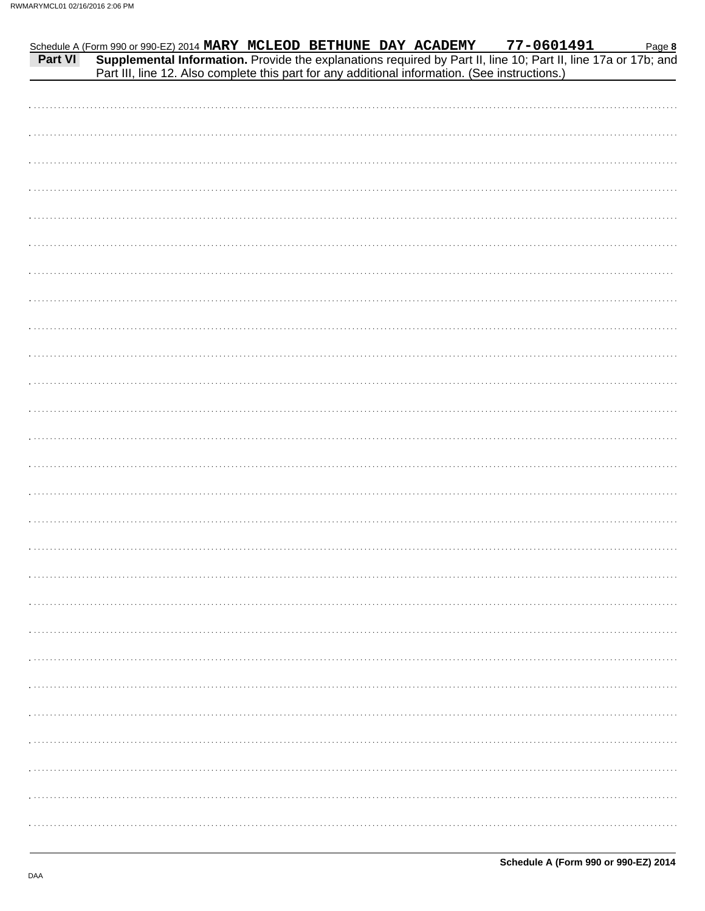|         | Schedule A (Form 990 or 990-EZ) 2014 MARY MCLEOD BETHUNE DAY ACADEMY |  |                                                                                                |  | 77-0601491 | Page 8                                                                                                         |
|---------|----------------------------------------------------------------------|--|------------------------------------------------------------------------------------------------|--|------------|----------------------------------------------------------------------------------------------------------------|
| Part VI |                                                                      |  |                                                                                                |  |            | Supplemental Information. Provide the explanations required by Part II, line 10; Part II, line 17a or 17b; and |
|         |                                                                      |  | Part III, line 12. Also complete this part for any additional information. (See instructions.) |  |            |                                                                                                                |
|         |                                                                      |  |                                                                                                |  |            |                                                                                                                |
|         |                                                                      |  |                                                                                                |  |            |                                                                                                                |
|         |                                                                      |  |                                                                                                |  |            |                                                                                                                |
|         |                                                                      |  |                                                                                                |  |            |                                                                                                                |
|         |                                                                      |  |                                                                                                |  |            |                                                                                                                |
|         |                                                                      |  |                                                                                                |  |            |                                                                                                                |
|         |                                                                      |  |                                                                                                |  |            |                                                                                                                |
|         |                                                                      |  |                                                                                                |  |            |                                                                                                                |
|         |                                                                      |  |                                                                                                |  |            |                                                                                                                |
|         |                                                                      |  |                                                                                                |  |            |                                                                                                                |
|         |                                                                      |  |                                                                                                |  |            |                                                                                                                |
|         |                                                                      |  |                                                                                                |  |            |                                                                                                                |
|         |                                                                      |  |                                                                                                |  |            |                                                                                                                |
|         |                                                                      |  |                                                                                                |  |            |                                                                                                                |
|         |                                                                      |  |                                                                                                |  |            |                                                                                                                |
|         |                                                                      |  |                                                                                                |  |            |                                                                                                                |
|         |                                                                      |  |                                                                                                |  |            |                                                                                                                |
|         |                                                                      |  |                                                                                                |  |            |                                                                                                                |
|         |                                                                      |  |                                                                                                |  |            |                                                                                                                |
|         |                                                                      |  |                                                                                                |  |            |                                                                                                                |
|         |                                                                      |  |                                                                                                |  |            |                                                                                                                |
|         |                                                                      |  |                                                                                                |  |            |                                                                                                                |
|         |                                                                      |  |                                                                                                |  |            |                                                                                                                |
|         |                                                                      |  |                                                                                                |  |            |                                                                                                                |
|         |                                                                      |  |                                                                                                |  |            |                                                                                                                |
|         |                                                                      |  |                                                                                                |  |            |                                                                                                                |
|         |                                                                      |  |                                                                                                |  |            |                                                                                                                |
|         |                                                                      |  |                                                                                                |  |            |                                                                                                                |
|         |                                                                      |  |                                                                                                |  |            |                                                                                                                |
|         |                                                                      |  |                                                                                                |  |            |                                                                                                                |
|         |                                                                      |  |                                                                                                |  |            |                                                                                                                |
|         |                                                                      |  |                                                                                                |  |            |                                                                                                                |
|         |                                                                      |  |                                                                                                |  |            |                                                                                                                |
|         |                                                                      |  |                                                                                                |  |            |                                                                                                                |
|         |                                                                      |  |                                                                                                |  |            |                                                                                                                |
|         |                                                                      |  |                                                                                                |  |            |                                                                                                                |
|         |                                                                      |  |                                                                                                |  |            |                                                                                                                |
|         |                                                                      |  |                                                                                                |  |            |                                                                                                                |
|         |                                                                      |  |                                                                                                |  |            |                                                                                                                |
|         |                                                                      |  |                                                                                                |  |            |                                                                                                                |
|         |                                                                      |  |                                                                                                |  |            |                                                                                                                |
|         |                                                                      |  |                                                                                                |  |            |                                                                                                                |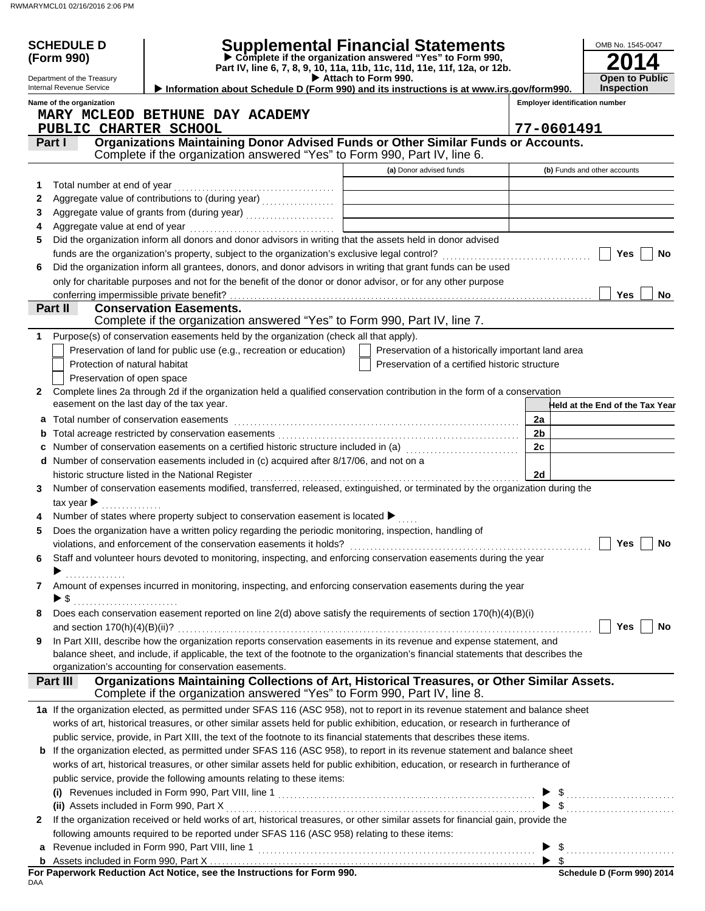|    | <b>SCHEDULE D</b>                         |                                                                                                                                   | <b>Supplemental Financial Statements</b>                                                                                             |          |                         | OMB No. 1545-0047                     |
|----|-------------------------------------------|-----------------------------------------------------------------------------------------------------------------------------------|--------------------------------------------------------------------------------------------------------------------------------------|----------|-------------------------|---------------------------------------|
|    | (Form 990)                                |                                                                                                                                   | Complete if the organization answered "Yes" to Form 990,<br>Part IV, line 6, 7, 8, 9, 10, 11a, 11b, 11c, 11d, 11e, 11f, 12a, or 12b. |          |                         |                                       |
|    | Department of the Treasury                |                                                                                                                                   | Attach to Form 990.                                                                                                                  |          |                         | <b>Open to Public</b>                 |
|    | Internal Revenue Service                  | Information about Schedule D (Form 990) and its instructions is at www.irs.gov/form990.                                           |                                                                                                                                      |          |                         | <b>Inspection</b>                     |
|    | Name of the organization                  |                                                                                                                                   |                                                                                                                                      |          |                         | <b>Employer identification number</b> |
|    |                                           | MARY MCLEOD BETHUNE DAY ACADEMY                                                                                                   |                                                                                                                                      |          |                         |                                       |
|    | PUBLIC CHARTER SCHOOL                     | Organizations Maintaining Donor Advised Funds or Other Similar Funds or Accounts.                                                 |                                                                                                                                      |          | 77-0601491              |                                       |
|    | Part I                                    | Complete if the organization answered "Yes" to Form 990, Part IV, line 6.                                                         |                                                                                                                                      |          |                         |                                       |
|    |                                           |                                                                                                                                   | (a) Donor advised funds                                                                                                              |          |                         | (b) Funds and other accounts          |
| 1. | Total number at end of year               |                                                                                                                                   |                                                                                                                                      |          |                         |                                       |
| 2  |                                           |                                                                                                                                   |                                                                                                                                      |          |                         |                                       |
| 3  |                                           |                                                                                                                                   |                                                                                                                                      |          |                         |                                       |
| 4  |                                           |                                                                                                                                   |                                                                                                                                      |          |                         |                                       |
| 5  |                                           | Did the organization inform all donors and donor advisors in writing that the assets held in donor advised                        |                                                                                                                                      |          |                         |                                       |
|    |                                           |                                                                                                                                   |                                                                                                                                      |          |                         | Yes<br>No                             |
| 6  |                                           | Did the organization inform all grantees, donors, and donor advisors in writing that grant funds can be used                      |                                                                                                                                      |          |                         |                                       |
|    |                                           | only for charitable purposes and not for the benefit of the donor or donor advisor, or for any other purpose                      |                                                                                                                                      |          |                         |                                       |
|    |                                           |                                                                                                                                   |                                                                                                                                      |          |                         | Yes<br>No                             |
|    | Part II                                   | <b>Conservation Easements.</b>                                                                                                    |                                                                                                                                      |          |                         |                                       |
|    |                                           | Complete if the organization answered "Yes" to Form 990, Part IV, line 7.                                                         |                                                                                                                                      |          |                         |                                       |
| 1  |                                           | Purpose(s) of conservation easements held by the organization (check all that apply).                                             |                                                                                                                                      |          |                         |                                       |
|    |                                           | Preservation of land for public use (e.g., recreation or education)                                                               | Preservation of a historically important land area                                                                                   |          |                         |                                       |
|    | Protection of natural habitat             |                                                                                                                                   | Preservation of a certified historic structure                                                                                       |          |                         |                                       |
|    | Preservation of open space                |                                                                                                                                   |                                                                                                                                      |          |                         |                                       |
| 2  | easement on the last day of the tax year. | Complete lines 2a through 2d if the organization held a qualified conservation contribution in the form of a conservation         |                                                                                                                                      |          |                         |                                       |
|    |                                           |                                                                                                                                   |                                                                                                                                      |          |                         | Held at the End of the Tax Year       |
| a  | Total number of conservation easements    |                                                                                                                                   |                                                                                                                                      | 2a<br>2b |                         |                                       |
| b  |                                           | Number of conservation easements on a certified historic structure included in (a) [11] Number of conservation                    |                                                                                                                                      | 2c       |                         |                                       |
| c  |                                           | d Number of conservation easements included in (c) acquired after 8/17/06, and not on a                                           |                                                                                                                                      |          |                         |                                       |
|    |                                           | historic structure listed in the National Register                                                                                |                                                                                                                                      | 2d       |                         |                                       |
| 3  |                                           | Number of conservation easements modified, transferred, released, extinguished, or terminated by the organization during the      |                                                                                                                                      |          |                         |                                       |
|    | tax year $\blacktriangleright$            |                                                                                                                                   |                                                                                                                                      |          |                         |                                       |
|    |                                           | Number of states where property subject to conservation easement is located ▶                                                     |                                                                                                                                      |          |                         |                                       |
|    |                                           | Does the organization have a written policy regarding the periodic monitoring, inspection, handling of                            |                                                                                                                                      |          |                         |                                       |
|    |                                           |                                                                                                                                   |                                                                                                                                      |          |                         |                                       |
| 6  |                                           | Staff and volunteer hours devoted to monitoring, inspecting, and enforcing conservation easements during the year                 |                                                                                                                                      |          |                         |                                       |
|    |                                           |                                                                                                                                   |                                                                                                                                      |          |                         |                                       |
| 7  |                                           | Amount of expenses incurred in monitoring, inspecting, and enforcing conservation easements during the year                       |                                                                                                                                      |          |                         |                                       |
|    | $\blacktriangleright$ s                   |                                                                                                                                   |                                                                                                                                      |          |                         |                                       |
| 8  |                                           | Does each conservation easement reported on line $2(d)$ above satisfy the requirements of section $170(h)(4)(B)(i)$               |                                                                                                                                      |          |                         |                                       |
|    |                                           |                                                                                                                                   |                                                                                                                                      |          |                         | Yes<br>No                             |
| 9  |                                           | In Part XIII, describe how the organization reports conservation easements in its revenue and expense statement, and              |                                                                                                                                      |          |                         |                                       |
|    |                                           | balance sheet, and include, if applicable, the text of the footnote to the organization's financial statements that describes the |                                                                                                                                      |          |                         |                                       |
|    |                                           | organization's accounting for conservation easements.                                                                             |                                                                                                                                      |          |                         |                                       |
|    | Part III                                  | Organizations Maintaining Collections of Art, Historical Treasures, or Other Similar Assets.                                      |                                                                                                                                      |          |                         |                                       |
|    |                                           | Complete if the organization answered "Yes" to Form 990, Part IV, line 8.                                                         |                                                                                                                                      |          |                         |                                       |
|    |                                           | 1a If the organization elected, as permitted under SFAS 116 (ASC 958), not to report in its revenue statement and balance sheet   |                                                                                                                                      |          |                         |                                       |
|    |                                           | works of art, historical treasures, or other similar assets held for public exhibition, education, or research in furtherance of  |                                                                                                                                      |          |                         |                                       |
|    |                                           | public service, provide, in Part XIII, the text of the footnote to its financial statements that describes these items.           |                                                                                                                                      |          |                         |                                       |
|    |                                           | <b>b</b> If the organization elected, as permitted under SFAS 116 (ASC 958), to report in its revenue statement and balance sheet |                                                                                                                                      |          |                         |                                       |
|    |                                           | works of art, historical treasures, or other similar assets held for public exhibition, education, or research in furtherance of  |                                                                                                                                      |          |                         |                                       |
|    |                                           | public service, provide the following amounts relating to these items:                                                            |                                                                                                                                      |          |                         |                                       |
|    |                                           |                                                                                                                                   |                                                                                                                                      |          |                         |                                       |
| 2  |                                           | If the organization received or held works of art, historical treasures, or other similar assets for financial gain, provide the  |                                                                                                                                      |          |                         |                                       |
|    |                                           | following amounts required to be reported under SFAS 116 (ASC 958) relating to these items:                                       |                                                                                                                                      |          |                         |                                       |
|    |                                           |                                                                                                                                   |                                                                                                                                      | ▶        | - \$                    |                                       |
|    |                                           |                                                                                                                                   |                                                                                                                                      |          | $\blacktriangleright$ s |                                       |
|    |                                           |                                                                                                                                   |                                                                                                                                      |          |                         | Schedule D (Form 990) 2014            |

DAA **For Paperwork Reduction Act Notice, see the Instructions for Form 990.**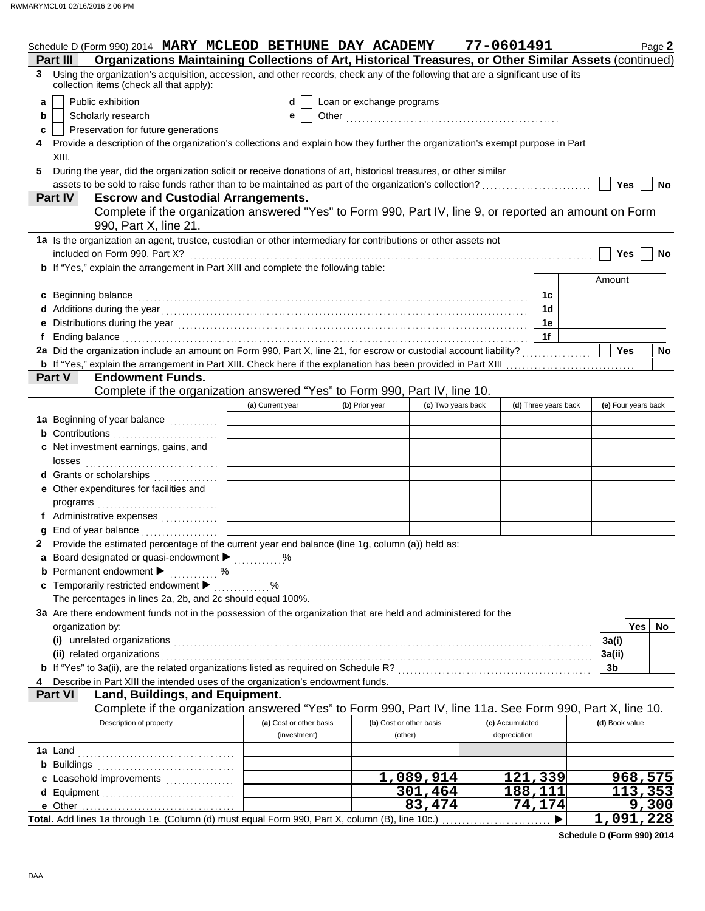|   | Schedule D (Form 990) 2014 MARY MCLEOD BETHUNE DAY ACADEMY                                                                                                                     |                                         |                |                                    |                    | 77-0601491                      |                      | Page 2              |     |
|---|--------------------------------------------------------------------------------------------------------------------------------------------------------------------------------|-----------------------------------------|----------------|------------------------------------|--------------------|---------------------------------|----------------------|---------------------|-----|
|   | Organizations Maintaining Collections of Art, Historical Treasures, or Other Similar Assets (continued)<br>Part III                                                            |                                         |                |                                    |                    |                                 |                      |                     |     |
|   | 3 Using the organization's acquisition, accession, and other records, check any of the following that are a significant use of its<br>collection items (check all that apply): |                                         |                |                                    |                    |                                 |                      |                     |     |
| a | Public exhibition                                                                                                                                                              | d                                       |                | Loan or exchange programs          |                    |                                 |                      |                     |     |
| b | Scholarly research                                                                                                                                                             | е                                       |                |                                    |                    |                                 |                      |                     |     |
| c | Preservation for future generations                                                                                                                                            |                                         |                |                                    |                    |                                 |                      |                     |     |
|   | Provide a description of the organization's collections and explain how they further the organization's exempt purpose in Part                                                 |                                         |                |                                    |                    |                                 |                      |                     |     |
|   | XIII.                                                                                                                                                                          |                                         |                |                                    |                    |                                 |                      |                     |     |
| 5 | During the year, did the organization solicit or receive donations of art, historical treasures, or other similar                                                              |                                         |                |                                    |                    |                                 |                      |                     |     |
|   | assets to be sold to raise funds rather than to be maintained as part of the organization's collection?                                                                        |                                         |                |                                    |                    |                                 |                      | <b>Yes</b>          | No  |
|   | <b>Escrow and Custodial Arrangements.</b><br>Part IV                                                                                                                           |                                         |                |                                    |                    |                                 |                      |                     |     |
|   | Complete if the organization answered "Yes" to Form 990, Part IV, line 9, or reported an amount on Form                                                                        |                                         |                |                                    |                    |                                 |                      |                     |     |
|   | 990, Part X, line 21.                                                                                                                                                          |                                         |                |                                    |                    |                                 |                      |                     |     |
|   | 1a Is the organization an agent, trustee, custodian or other intermediary for contributions or other assets not                                                                |                                         |                |                                    |                    |                                 |                      |                     |     |
|   | included on Form 990, Part X?                                                                                                                                                  |                                         |                |                                    |                    |                                 |                      | Yes                 | No  |
|   | <b>b</b> If "Yes," explain the arrangement in Part XIII and complete the following table:                                                                                      |                                         |                |                                    |                    |                                 |                      |                     |     |
|   |                                                                                                                                                                                |                                         |                |                                    |                    |                                 |                      | Amount              |     |
|   | c Beginning balance                                                                                                                                                            |                                         |                |                                    |                    |                                 | 1c                   |                     |     |
|   |                                                                                                                                                                                |                                         |                |                                    |                    |                                 | 1 <sub>d</sub>       |                     |     |
|   |                                                                                                                                                                                |                                         |                |                                    |                    |                                 | 1e                   |                     |     |
|   |                                                                                                                                                                                |                                         |                |                                    |                    |                                 | 1f                   |                     |     |
|   | 2a Did the organization include an amount on Form 990, Part X, line 21, for escrow or custodial account liability?                                                             |                                         |                |                                    |                    |                                 |                      | Yes                 | No  |
|   | <b>b</b> If "Yes," explain the arrangement in Part XIII. Check here if the explanation has been provided in Part XIII                                                          |                                         |                |                                    |                    |                                 |                      |                     |     |
|   | Part V<br><b>Endowment Funds.</b>                                                                                                                                              |                                         |                |                                    |                    |                                 |                      |                     |     |
|   | Complete if the organization answered "Yes" to Form 990, Part IV, line 10.                                                                                                     |                                         |                |                                    |                    |                                 |                      |                     |     |
|   |                                                                                                                                                                                | (a) Current year                        | (b) Prior year |                                    | (c) Two years back |                                 | (d) Three years back | (e) Four years back |     |
|   | 1a Beginning of year balance                                                                                                                                                   |                                         |                |                                    |                    |                                 |                      |                     |     |
|   | <b>b</b> Contributions <b>contributions</b>                                                                                                                                    |                                         |                |                                    |                    |                                 |                      |                     |     |
|   | c Net investment earnings, gains, and                                                                                                                                          |                                         |                |                                    |                    |                                 |                      |                     |     |
|   | losses                                                                                                                                                                         |                                         |                |                                    |                    |                                 |                      |                     |     |
|   | d Grants or scholarships<br>.                                                                                                                                                  |                                         |                |                                    |                    |                                 |                      |                     |     |
|   | e Other expenditures for facilities and                                                                                                                                        |                                         |                |                                    |                    |                                 |                      |                     |     |
|   |                                                                                                                                                                                |                                         |                |                                    |                    |                                 |                      |                     |     |
|   | f Administrative expenses                                                                                                                                                      |                                         |                |                                    |                    |                                 |                      |                     |     |
|   | End of year balance <i>[[[[[[[[[[[[[[[[[[[[[[[[[[[[[]]]</i> ]]]                                                                                                                |                                         |                |                                    |                    |                                 |                      |                     |     |
|   | 2 Provide the estimated percentage of the current year end balance (line 1g, column (a)) held as:                                                                              |                                         |                |                                    |                    |                                 |                      |                     |     |
|   | Board designated or quasi-endowment > %                                                                                                                                        |                                         |                |                                    |                    |                                 |                      |                     |     |
|   | <b>b</b> Permanent endowment $\blacktriangleright$<br>. %                                                                                                                      |                                         |                |                                    |                    |                                 |                      |                     |     |
|   | c Temporarily restricted endowment                                                                                                                                             | $\%$                                    |                |                                    |                    |                                 |                      |                     |     |
|   | The percentages in lines 2a, 2b, and 2c should equal 100%.                                                                                                                     |                                         |                |                                    |                    |                                 |                      |                     |     |
|   | 3a Are there endowment funds not in the possession of the organization that are held and administered for the                                                                  |                                         |                |                                    |                    |                                 |                      |                     |     |
|   | organization by:                                                                                                                                                               |                                         |                |                                    |                    |                                 |                      | <b>Yes</b>          | No. |
|   | (i) unrelated organizations                                                                                                                                                    |                                         |                |                                    |                    |                                 |                      | 3a(i)               |     |
|   | (ii) related organizations                                                                                                                                                     |                                         |                |                                    |                    |                                 |                      | 3a(ii)              |     |
|   |                                                                                                                                                                                |                                         |                |                                    |                    |                                 |                      | 3b                  |     |
|   |                                                                                                                                                                                |                                         |                |                                    |                    |                                 |                      |                     |     |
|   | Describe in Part XIII the intended uses of the organization's endowment funds.<br><b>Part VI</b>                                                                               |                                         |                |                                    |                    |                                 |                      |                     |     |
|   | Land, Buildings, and Equipment.                                                                                                                                                |                                         |                |                                    |                    |                                 |                      |                     |     |
|   | Complete if the organization answered "Yes" to Form 990, Part IV, line 11a. See Form 990, Part X, line 10.                                                                     |                                         |                |                                    |                    |                                 |                      |                     |     |
|   | Description of property                                                                                                                                                        | (a) Cost or other basis<br>(investment) |                | (b) Cost or other basis<br>(other) |                    | (c) Accumulated<br>depreciation |                      | (d) Book value      |     |
|   |                                                                                                                                                                                |                                         |                |                                    |                    |                                 |                      |                     |     |
|   | <b>1a</b> Land                                                                                                                                                                 |                                         |                |                                    |                    |                                 |                      |                     |     |
|   | <b>b</b> Buildings                                                                                                                                                             |                                         |                |                                    |                    |                                 |                      |                     |     |
|   | c Leasehold improvements                                                                                                                                                       |                                         |                | 1,089,914                          |                    | 121,339                         |                      | <u>968,575</u>      |     |
|   | d Equipment                                                                                                                                                                    |                                         |                | 301,464                            |                    | 188,111                         |                      | 113,353             |     |
|   |                                                                                                                                                                                |                                         |                | 83,474                             |                    | 74,174                          |                      | 9,300               |     |
|   | Total. Add lines 1a through 1e. (Column (d) must equal Form 990, Part X, column (B), line 10c.)                                                                                |                                         |                |                                    |                    |                                 |                      | 1,091,228           |     |

**Schedule D (Form 990) 2014**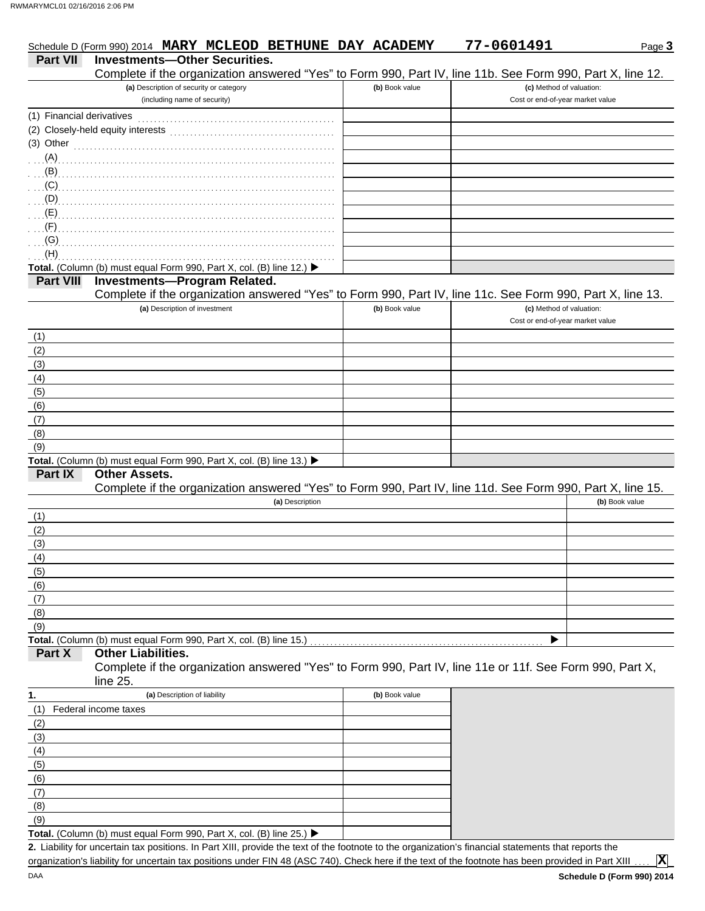|                           | Schedule D (Form 990) 2014 MARY MCLEOD BETHUNE DAY ACADEMY                                                                            |                | 77-0601491                       | Page 3         |
|---------------------------|---------------------------------------------------------------------------------------------------------------------------------------|----------------|----------------------------------|----------------|
| <b>Part VII</b>           | <b>Investments-Other Securities.</b>                                                                                                  |                |                                  |                |
|                           | Complete if the organization answered "Yes" to Form 990, Part IV, line 11b. See Form 990, Part X, line 12.                            |                |                                  |                |
|                           | (a) Description of security or category                                                                                               | (b) Book value | (c) Method of valuation:         |                |
|                           | (including name of security)                                                                                                          |                | Cost or end-of-year market value |                |
| (1) Financial derivatives |                                                                                                                                       |                |                                  |                |
|                           | (2) Closely-held equity interests                                                                                                     |                |                                  |                |
|                           | $(3)$ Other                                                                                                                           |                |                                  |                |
| (A)                       |                                                                                                                                       |                |                                  |                |
| (B)                       |                                                                                                                                       |                |                                  |                |
| (C)                       |                                                                                                                                       |                |                                  |                |
| (D)                       |                                                                                                                                       |                |                                  |                |
| (E)                       |                                                                                                                                       |                |                                  |                |
| (F)                       |                                                                                                                                       |                |                                  |                |
| (G)                       |                                                                                                                                       |                |                                  |                |
| (H)                       |                                                                                                                                       |                |                                  |                |
| <b>Part VIII</b>          | Total. (Column (b) must equal Form 990, Part X, col. (B) line 12.) ▶<br><b>Investments-Program Related.</b>                           |                |                                  |                |
|                           | Complete if the organization answered "Yes" to Form 990, Part IV, line 11c. See Form 990, Part X, line 13.                            |                |                                  |                |
|                           | (a) Description of investment                                                                                                         | (b) Book value | (c) Method of valuation:         |                |
|                           |                                                                                                                                       |                | Cost or end-of-year market value |                |
|                           |                                                                                                                                       |                |                                  |                |
| (1)<br>(2)                |                                                                                                                                       |                |                                  |                |
| (3)                       |                                                                                                                                       |                |                                  |                |
| (4)                       |                                                                                                                                       |                |                                  |                |
| (5)                       |                                                                                                                                       |                |                                  |                |
| (6)                       |                                                                                                                                       |                |                                  |                |
| (7)                       |                                                                                                                                       |                |                                  |                |
| (8)                       |                                                                                                                                       |                |                                  |                |
| (9)                       |                                                                                                                                       |                |                                  |                |
|                           | Total. (Column (b) must equal Form 990, Part X, col. (B) line 13.) ▶                                                                  |                |                                  |                |
| Part IX                   | <b>Other Assets.</b>                                                                                                                  |                |                                  |                |
|                           | Complete if the organization answered "Yes" to Form 990, Part IV, line 11d. See Form 990, Part X, line 15.                            |                |                                  |                |
|                           | (a) Description                                                                                                                       |                |                                  | (b) Book value |
| (1)                       |                                                                                                                                       |                |                                  |                |
| (2)                       |                                                                                                                                       |                |                                  |                |
| (3)                       |                                                                                                                                       |                |                                  |                |
| (4)                       |                                                                                                                                       |                |                                  |                |
| (5)                       |                                                                                                                                       |                |                                  |                |
| (6)                       |                                                                                                                                       |                |                                  |                |
| (7)                       |                                                                                                                                       |                |                                  |                |
| (8)                       |                                                                                                                                       |                |                                  |                |
| (9)                       |                                                                                                                                       |                |                                  |                |
|                           | Total. (Column (b) must equal Form 990, Part X, col. (B) line 15.)                                                                    |                |                                  |                |
| Part X                    | <b>Other Liabilities.</b><br>Complete if the organization answered "Yes" to Form 990, Part IV, line 11e or 11f. See Form 990, Part X, |                |                                  |                |
|                           | line 25.                                                                                                                              |                |                                  |                |
|                           | (a) Description of liability                                                                                                          |                |                                  |                |
| 1.                        |                                                                                                                                       | (b) Book value |                                  |                |
| (1)                       | Federal income taxes                                                                                                                  |                |                                  |                |
| (2)                       |                                                                                                                                       |                |                                  |                |
| (3)                       |                                                                                                                                       |                |                                  |                |
| (4)                       |                                                                                                                                       |                |                                  |                |
| (5)                       |                                                                                                                                       |                |                                  |                |
| (6)<br>(7)                |                                                                                                                                       |                |                                  |                |
| (8)                       |                                                                                                                                       |                |                                  |                |
| (9)                       |                                                                                                                                       |                |                                  |                |
|                           |                                                                                                                                       |                |                                  |                |

Total. (Column (b) must equal Form 990, Part X, col. (B) line 25.) ▶

Liability for uncertain tax positions. In Part XIII, provide the text of the footnote to the organization's financial statements that reports the **2.** organization's liability for uncertain tax positions under FIN 48 (ASC 740). Check here if the text of the footnote has been provided in Part XIII

**X**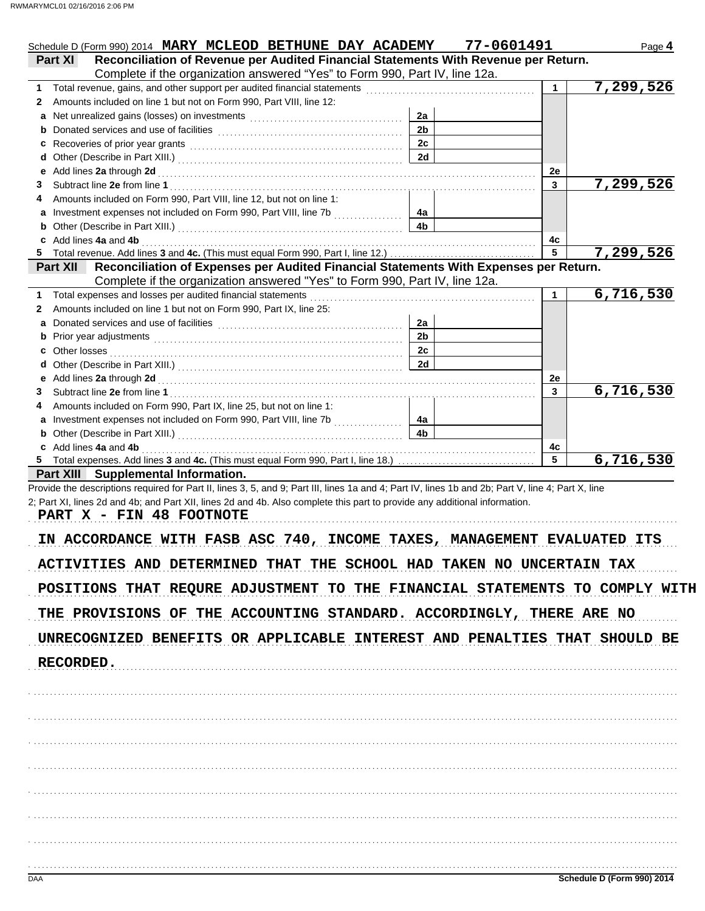|                                                                                                                                                                                                                                                                                                                                                                                                                                                                                                                                                            |                | Schedule D (Form 990) 2014 MARY MCLEOD BETHUNE DAY ACADEMY 77-0601491 |    | Page 4    |
|------------------------------------------------------------------------------------------------------------------------------------------------------------------------------------------------------------------------------------------------------------------------------------------------------------------------------------------------------------------------------------------------------------------------------------------------------------------------------------------------------------------------------------------------------------|----------------|-----------------------------------------------------------------------|----|-----------|
| Reconciliation of Revenue per Audited Financial Statements With Revenue per Return.<br><b>Part XI</b>                                                                                                                                                                                                                                                                                                                                                                                                                                                      |                |                                                                       |    |           |
| Complete if the organization answered "Yes" to Form 990, Part IV, line 12a.                                                                                                                                                                                                                                                                                                                                                                                                                                                                                |                |                                                                       | 1  | 7,299,526 |
| Amounts included on line 1 but not on Form 990, Part VIII, line 12:<br>2                                                                                                                                                                                                                                                                                                                                                                                                                                                                                   |                |                                                                       |    |           |
|                                                                                                                                                                                                                                                                                                                                                                                                                                                                                                                                                            | 2a             |                                                                       |    |           |
|                                                                                                                                                                                                                                                                                                                                                                                                                                                                                                                                                            | 2 <sub>b</sub> |                                                                       |    |           |
|                                                                                                                                                                                                                                                                                                                                                                                                                                                                                                                                                            | 2c             |                                                                       |    |           |
|                                                                                                                                                                                                                                                                                                                                                                                                                                                                                                                                                            | 2d             |                                                                       |    |           |
| Add lines 2a through 2d [[[[[[[[[[[[[[[[[[[[[[[[]]]]]]]]]] Add lines 2a through 2d                                                                                                                                                                                                                                                                                                                                                                                                                                                                         |                |                                                                       | 2e |           |
|                                                                                                                                                                                                                                                                                                                                                                                                                                                                                                                                                            |                |                                                                       | 3  | 7,299,526 |
| Amounts included on Form 990, Part VIII, line 12, but not on line 1:                                                                                                                                                                                                                                                                                                                                                                                                                                                                                       | 4a             |                                                                       |    |           |
|                                                                                                                                                                                                                                                                                                                                                                                                                                                                                                                                                            | 4b             |                                                                       |    |           |
| c Add lines 4a and 4b <b>contract and 4b</b> and 4b and 4b and 4b and 4b and 4b and 4b and 4b and 4b and 4b and 4b and 4b and 4b and 4b and 4b and 4b and 4b and 4b and 4b and 4b and 4b and 4b and 4b and 4b and 4b and 4b and 4b                                                                                                                                                                                                                                                                                                                         |                |                                                                       | 4c |           |
|                                                                                                                                                                                                                                                                                                                                                                                                                                                                                                                                                            |                |                                                                       | 5  | 7,299,526 |
| Reconciliation of Expenses per Audited Financial Statements With Expenses per Return.<br><b>Part XII</b>                                                                                                                                                                                                                                                                                                                                                                                                                                                   |                |                                                                       |    |           |
| Complete if the organization answered "Yes" to Form 990, Part IV, line 12a.                                                                                                                                                                                                                                                                                                                                                                                                                                                                                |                |                                                                       |    |           |
|                                                                                                                                                                                                                                                                                                                                                                                                                                                                                                                                                            |                |                                                                       | 1. | 6,716,530 |
| Amounts included on line 1 but not on Form 990, Part IX, line 25:                                                                                                                                                                                                                                                                                                                                                                                                                                                                                          |                |                                                                       |    |           |
| a                                                                                                                                                                                                                                                                                                                                                                                                                                                                                                                                                          | 2a             |                                                                       |    |           |
|                                                                                                                                                                                                                                                                                                                                                                                                                                                                                                                                                            | 2 <sub>b</sub> |                                                                       |    |           |
|                                                                                                                                                                                                                                                                                                                                                                                                                                                                                                                                                            | 2c<br>2d       |                                                                       |    |           |
|                                                                                                                                                                                                                                                                                                                                                                                                                                                                                                                                                            |                |                                                                       | 2e |           |
|                                                                                                                                                                                                                                                                                                                                                                                                                                                                                                                                                            |                |                                                                       | 3  | 6,716,530 |
| Amounts included on Form 990, Part IX, line 25, but not on line 1:                                                                                                                                                                                                                                                                                                                                                                                                                                                                                         |                |                                                                       |    |           |
|                                                                                                                                                                                                                                                                                                                                                                                                                                                                                                                                                            | 4a             |                                                                       |    |           |
|                                                                                                                                                                                                                                                                                                                                                                                                                                                                                                                                                            | 4b             |                                                                       |    |           |
|                                                                                                                                                                                                                                                                                                                                                                                                                                                                                                                                                            |                |                                                                       |    |           |
|                                                                                                                                                                                                                                                                                                                                                                                                                                                                                                                                                            |                |                                                                       | 4с |           |
|                                                                                                                                                                                                                                                                                                                                                                                                                                                                                                                                                            |                |                                                                       | 5  |           |
| c Add lines 4a and 4b <b>contract and 4b</b> and 4b and 4b and 4b and 4b and 4b and 4b and 4b and 4b and 4b and 4b and 4b and 4b and 4b and 4b and 4b and 4b and 4b and 4b and 4b and 4b and 4b and 4b and 4b and 4b and 4b and 4b<br><b>Part XIII</b> Supplemental Information.                                                                                                                                                                                                                                                                           |                |                                                                       |    |           |
| Provide the descriptions required for Part II, lines 3, 5, and 9; Part III, lines 1a and 4; Part IV, lines 1b and 2b; Part V, line 4; Part X, line                                                                                                                                                                                                                                                                                                                                                                                                         |                |                                                                       |    |           |
|                                                                                                                                                                                                                                                                                                                                                                                                                                                                                                                                                            |                |                                                                       |    |           |
|                                                                                                                                                                                                                                                                                                                                                                                                                                                                                                                                                            |                |                                                                       |    |           |
|                                                                                                                                                                                                                                                                                                                                                                                                                                                                                                                                                            |                |                                                                       |    |           |
|                                                                                                                                                                                                                                                                                                                                                                                                                                                                                                                                                            |                |                                                                       |    |           |
|                                                                                                                                                                                                                                                                                                                                                                                                                                                                                                                                                            |                |                                                                       |    |           |
|                                                                                                                                                                                                                                                                                                                                                                                                                                                                                                                                                            |                |                                                                       |    |           |
|                                                                                                                                                                                                                                                                                                                                                                                                                                                                                                                                                            |                |                                                                       |    |           |
|                                                                                                                                                                                                                                                                                                                                                                                                                                                                                                                                                            |                |                                                                       |    | 6,716,530 |
|                                                                                                                                                                                                                                                                                                                                                                                                                                                                                                                                                            |                |                                                                       |    |           |
|                                                                                                                                                                                                                                                                                                                                                                                                                                                                                                                                                            |                |                                                                       |    |           |
|                                                                                                                                                                                                                                                                                                                                                                                                                                                                                                                                                            |                |                                                                       |    |           |
|                                                                                                                                                                                                                                                                                                                                                                                                                                                                                                                                                            |                |                                                                       |    |           |
|                                                                                                                                                                                                                                                                                                                                                                                                                                                                                                                                                            |                |                                                                       |    |           |
|                                                                                                                                                                                                                                                                                                                                                                                                                                                                                                                                                            |                |                                                                       |    |           |
|                                                                                                                                                                                                                                                                                                                                                                                                                                                                                                                                                            |                |                                                                       |    |           |
|                                                                                                                                                                                                                                                                                                                                                                                                                                                                                                                                                            |                |                                                                       |    |           |
|                                                                                                                                                                                                                                                                                                                                                                                                                                                                                                                                                            |                |                                                                       |    |           |
|                                                                                                                                                                                                                                                                                                                                                                                                                                                                                                                                                            |                |                                                                       |    |           |
|                                                                                                                                                                                                                                                                                                                                                                                                                                                                                                                                                            |                |                                                                       |    |           |
| 2; Part XI, lines 2d and 4b; and Part XII, lines 2d and 4b. Also complete this part to provide any additional information.<br>PART X - FIN 48 FOOTNOTE<br>IN ACCORDANCE WITH FASB ASC 740, INCOME TAXES, MANAGEMENT EVALUATED ITS<br>ACTIVITIES AND DETERMINED THAT THE SCHOOL HAD TAKEN NO UNCERTAIN TAX<br>POSITIONS THAT REQURE ADJUSTMENT TO THE FINANCIAL STATEMENTS TO COMPLY WITH<br>THE PROVISIONS OF THE ACCOUNTING STANDARD. ACCORDINGLY, THERE ARE NO<br>UNRECOGNIZED BENEFITS OR APPLICABLE INTEREST AND PENALTIES THAT SHOULD BE<br>RECORDED. |                |                                                                       |    |           |
|                                                                                                                                                                                                                                                                                                                                                                                                                                                                                                                                                            |                |                                                                       |    |           |
|                                                                                                                                                                                                                                                                                                                                                                                                                                                                                                                                                            |                |                                                                       |    |           |
|                                                                                                                                                                                                                                                                                                                                                                                                                                                                                                                                                            |                |                                                                       |    |           |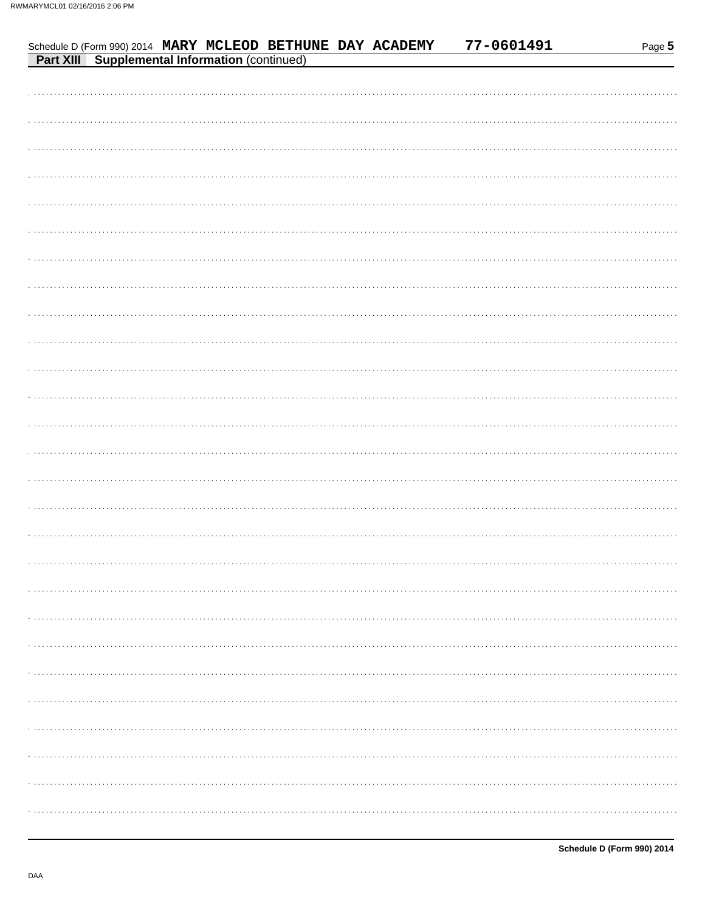| Schedule D (Form 990) 2014 MARY MCLEOD BETHUNE DAY ACADEMY<br><b>Part XIII</b> Supplemental Information (continued) |  |  | 77-0601491 | Page 5 |
|---------------------------------------------------------------------------------------------------------------------|--|--|------------|--------|
|                                                                                                                     |  |  |            |        |
|                                                                                                                     |  |  |            |        |
| $\cdots$                                                                                                            |  |  |            | .      |
|                                                                                                                     |  |  |            | .      |
| $\cdots$                                                                                                            |  |  |            | .      |
| $\cdots$                                                                                                            |  |  |            | .      |
| $\cdots$                                                                                                            |  |  |            |        |
|                                                                                                                     |  |  |            |        |
| 1.1111                                                                                                              |  |  |            |        |
| 1.1111                                                                                                              |  |  |            |        |
|                                                                                                                     |  |  |            |        |
|                                                                                                                     |  |  |            |        |
|                                                                                                                     |  |  |            |        |
| $\cdots$                                                                                                            |  |  |            |        |
| $\mathbf{r} = \mathbf{r} + \mathbf{r}$ .                                                                            |  |  |            |        |
|                                                                                                                     |  |  |            |        |
|                                                                                                                     |  |  |            |        |
|                                                                                                                     |  |  |            |        |
|                                                                                                                     |  |  |            |        |
|                                                                                                                     |  |  |            |        |
|                                                                                                                     |  |  |            |        |
|                                                                                                                     |  |  |            |        |
|                                                                                                                     |  |  |            |        |
|                                                                                                                     |  |  |            |        |
|                                                                                                                     |  |  |            |        |
|                                                                                                                     |  |  |            |        |
|                                                                                                                     |  |  |            |        |
|                                                                                                                     |  |  |            |        |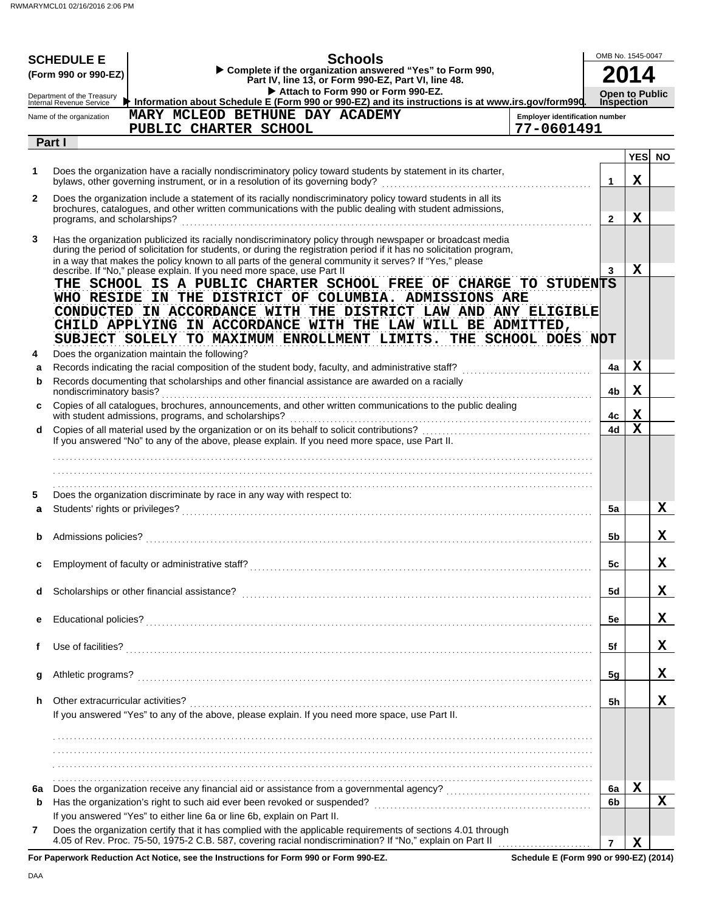|              | <b>SCHEDULE E</b><br>(Form 990 or 990-EZ)              | <b>Schools</b><br>Complete if the organization answered "Yes" to Form 990,<br>Part IV, line 13, or Form 990-EZ, Part VI, line 48.<br>Attach to Form 990 or Form 990-EZ.                                                                                                                                                                                                                                   |                                                     | OMB No. 1545-0047<br><b>Open to Public</b> |             |           |
|--------------|--------------------------------------------------------|-----------------------------------------------------------------------------------------------------------------------------------------------------------------------------------------------------------------------------------------------------------------------------------------------------------------------------------------------------------------------------------------------------------|-----------------------------------------------------|--------------------------------------------|-------------|-----------|
|              | Department of the Treasury<br>Internal Revenue Service | Information about Schedule E (Form 990 or 990-EZ) and its instructions is at www.irs.gov/form990.                                                                                                                                                                                                                                                                                                         |                                                     | <b>Inspection</b>                          |             |           |
|              | Name of the organization                               | MARY MCLEOD BETHUNE DAY ACADEMY<br>PUBLIC CHARTER SCHOOL                                                                                                                                                                                                                                                                                                                                                  | <b>Employer identification number</b><br>77-0601491 |                                            |             |           |
|              | Part I                                                 |                                                                                                                                                                                                                                                                                                                                                                                                           |                                                     |                                            |             |           |
|              |                                                        |                                                                                                                                                                                                                                                                                                                                                                                                           |                                                     |                                            | <b>YES</b>  | <b>NO</b> |
| 1            |                                                        | Does the organization have a racially nondiscriminatory policy toward students by statement in its charter,<br>bylaws, other governing instrument, or in a resolution of its governing body?                                                                                                                                                                                                              |                                                     | 1                                          | Х           |           |
| $\mathbf{2}$ | programs, and scholarships?                            | Does the organization include a statement of its racially nondiscriminatory policy toward students in all its<br>brochures, catalogues, and other written communications with the public dealing with student admissions,                                                                                                                                                                                 |                                                     | $\mathbf{2}$                               | Х           |           |
| 3            |                                                        | Has the organization publicized its racially nondiscriminatory policy through newspaper or broadcast media<br>during the period of solicitation for students, or during the registration period if it has no solicitation program,<br>in a way that makes the policy known to all parts of the general community it serves? If "Yes," please                                                              |                                                     | 3                                          | Х           |           |
|              |                                                        | describe. If "No," please explain. If you need more space, use Part II<br>THE SCHOOL IS A PUBLIC CHARTER SCHOOL FREE OF CHARGE TO STUDENTS<br>WHO RESIDE IN THE DISTRICT OF COLUMBIA. ADMISSIONS ARE<br>CONDUCTED IN ACCORDANCE WITH THE DISTRICT LAW AND ANY ELIGIBLE<br>CHILD APPLYING IN ACCORDANCE WITH THE LAW WILL BE ADMITTED,<br>SUBJECT SOLELY TO MAXIMUM ENROLLMENT LIMITS. THE SCHOOL DOES NOT |                                                     |                                            |             |           |
| 4            |                                                        | Does the organization maintain the following?                                                                                                                                                                                                                                                                                                                                                             |                                                     |                                            |             |           |
| a            |                                                        | Records indicating the racial composition of the student body, faculty, and administrative staff?<br>Records documenting that scholarships and other financial assistance are awarded on a racially                                                                                                                                                                                                       |                                                     | 4a                                         | X           |           |
| b<br>c       | nondiscriminatory basis?                               | Copies of all catalogues, brochures, announcements, and other written communications to the public dealing                                                                                                                                                                                                                                                                                                |                                                     | 4b                                         | X           |           |
|              |                                                        | with student admissions, programs, and scholarships?                                                                                                                                                                                                                                                                                                                                                      |                                                     | 4c                                         | X           |           |
| d            |                                                        | If you answered "No" to any of the above, please explain. If you need more space, use Part II.                                                                                                                                                                                                                                                                                                            |                                                     | 4d                                         | $\mathbf x$ |           |
| 5            |                                                        | Does the organization discriminate by race in any way with respect to:                                                                                                                                                                                                                                                                                                                                    |                                                     |                                            |             |           |
| a            |                                                        |                                                                                                                                                                                                                                                                                                                                                                                                           |                                                     | 5a                                         |             | X         |
|              | Admissions policies?                                   |                                                                                                                                                                                                                                                                                                                                                                                                           |                                                     | 5b                                         |             | x         |
|              |                                                        |                                                                                                                                                                                                                                                                                                                                                                                                           |                                                     |                                            |             |           |
|              |                                                        |                                                                                                                                                                                                                                                                                                                                                                                                           |                                                     | 5c                                         |             | X,        |
|              |                                                        | Scholarships or other financial assistance?                                                                                                                                                                                                                                                                                                                                                               |                                                     | 5d                                         |             | X         |
| е            |                                                        |                                                                                                                                                                                                                                                                                                                                                                                                           |                                                     | 5e                                         |             | X         |
| f.           | Use of facilities?                                     |                                                                                                                                                                                                                                                                                                                                                                                                           |                                                     | 5f                                         |             | X         |
| g            | Athletic programs?                                     |                                                                                                                                                                                                                                                                                                                                                                                                           |                                                     | 5g                                         |             | x         |
| h.           | Other extracurricular activities?                      | If you answered "Yes" to any of the above, please explain. If you need more space, use Part II.                                                                                                                                                                                                                                                                                                           |                                                     | 5h                                         |             | x         |
|              |                                                        |                                                                                                                                                                                                                                                                                                                                                                                                           |                                                     |                                            |             |           |
|              |                                                        |                                                                                                                                                                                                                                                                                                                                                                                                           |                                                     |                                            |             |           |
|              |                                                        |                                                                                                                                                                                                                                                                                                                                                                                                           |                                                     |                                            |             |           |
| 6а           |                                                        |                                                                                                                                                                                                                                                                                                                                                                                                           |                                                     | 6a                                         | X           |           |
| b            |                                                        |                                                                                                                                                                                                                                                                                                                                                                                                           |                                                     | 6 <sub>b</sub>                             |             | X         |
|              |                                                        | If you answered "Yes" to either line 6a or line 6b, explain on Part II.                                                                                                                                                                                                                                                                                                                                   |                                                     |                                            |             |           |
| 7            |                                                        | Does the organization certify that it has complied with the applicable requirements of sections 4.01 through<br>4.05 of Rev. Proc. 75-50, 1975-2 C.B. 587, covering racial nondiscrimination? If "No," explain on Part II                                                                                                                                                                                 |                                                     | $\overline{7}$                             | X           |           |
|              |                                                        | For Paperwork Reduction Act Notice, see the Instructions for Form 990 or Form 990-F7                                                                                                                                                                                                                                                                                                                      | Schodule F (Form 990 or 990-F7) (2014)              |                                            |             |           |

**Schedule E (Form 990 or 990-EZ) (2014)**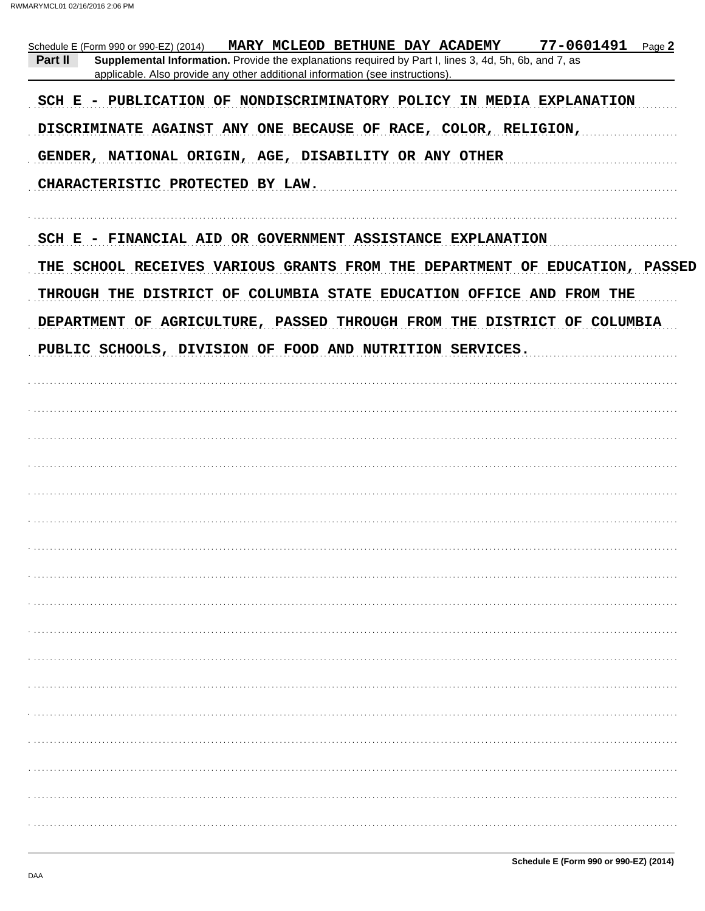|         | Schedule E (Form 990 or 990-EZ) (2014) MARY MCLEOD BETHUNE DAY ACADEMY                                                                                                                 |  | $77 - 0601491$ Page 2                                                       |  |
|---------|----------------------------------------------------------------------------------------------------------------------------------------------------------------------------------------|--|-----------------------------------------------------------------------------|--|
| Part II | Supplemental Information. Provide the explanations required by Part I, lines 3, 4d, 5h, 6b, and 7, as<br>applicable. Also provide any other additional information (see instructions). |  |                                                                             |  |
|         |                                                                                                                                                                                        |  | SCH E - PUBLICATION OF NONDISCRIMINATORY POLICY IN MEDIA EXPLANATION        |  |
|         | DISCRIMINATE AGAINST ANY ONE BECAUSE OF RACE, COLOR, RELIGION,                                                                                                                         |  |                                                                             |  |
|         | GENDER, NATIONAL ORIGIN, AGE, DISABILITY OR ANY OTHER                                                                                                                                  |  |                                                                             |  |
|         | CHARACTERISTIC PROTECTED BY LAW.                                                                                                                                                       |  |                                                                             |  |
|         | SCH E - FINANCIAL AID OR GOVERNMENT ASSISTANCE EXPLANATION                                                                                                                             |  |                                                                             |  |
|         |                                                                                                                                                                                        |  | THE SCHOOL RECEIVES VARIOUS GRANTS FROM THE DEPARTMENT OF EDUCATION, PASSED |  |
|         |                                                                                                                                                                                        |  | THROUGH THE DISTRICT OF COLUMBIA STATE EDUCATION OFFICE AND FROM THE        |  |
|         |                                                                                                                                                                                        |  | DEPARTMENT OF AGRICULTURE, PASSED THROUGH FROM THE DISTRICT OF COLUMBIA     |  |
|         | PUBLIC SCHOOLS, DIVISION OF FOOD AND NUTRITION SERVICES.                                                                                                                               |  |                                                                             |  |
|         |                                                                                                                                                                                        |  |                                                                             |  |
|         |                                                                                                                                                                                        |  |                                                                             |  |
|         |                                                                                                                                                                                        |  |                                                                             |  |
|         |                                                                                                                                                                                        |  |                                                                             |  |
|         |                                                                                                                                                                                        |  |                                                                             |  |
|         |                                                                                                                                                                                        |  |                                                                             |  |
|         |                                                                                                                                                                                        |  |                                                                             |  |
|         |                                                                                                                                                                                        |  |                                                                             |  |
|         |                                                                                                                                                                                        |  |                                                                             |  |
|         |                                                                                                                                                                                        |  |                                                                             |  |
|         |                                                                                                                                                                                        |  |                                                                             |  |
|         |                                                                                                                                                                                        |  |                                                                             |  |
|         |                                                                                                                                                                                        |  |                                                                             |  |
|         |                                                                                                                                                                                        |  |                                                                             |  |
|         |                                                                                                                                                                                        |  |                                                                             |  |
|         |                                                                                                                                                                                        |  |                                                                             |  |
|         |                                                                                                                                                                                        |  |                                                                             |  |
|         |                                                                                                                                                                                        |  |                                                                             |  |
|         |                                                                                                                                                                                        |  |                                                                             |  |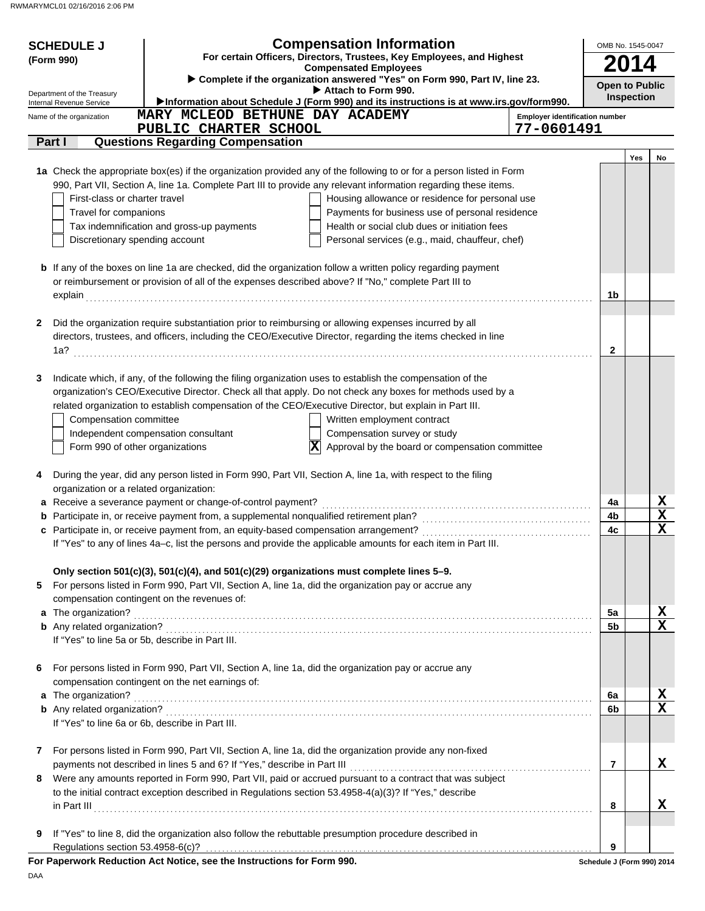| <b>Compensated Employees</b><br>Complete if the organization answered "Yes" on Form 990, Part IV, line 23.<br><b>Open to Public</b><br>Attach to Form 990.<br>Department of the Treasury<br>Inspection<br>Information about Schedule J (Form 990) and its instructions is at www.irs.gov/form990.<br>Internal Revenue Service<br>MARY MCLEOD BETHUNE DAY ACADEMY<br><b>Employer identification number</b><br>Name of the organization<br>PUBLIC CHARTER SCHOOL<br>77-0601491<br><b>Questions Regarding Compensation</b><br>Part I<br>Yes<br>No<br>1a Check the appropriate box(es) if the organization provided any of the following to or for a person listed in Form<br>990, Part VII, Section A, line 1a. Complete Part III to provide any relevant information regarding these items.<br>First-class or charter travel<br>Housing allowance or residence for personal use<br>Travel for companions<br>Payments for business use of personal residence<br>Tax indemnification and gross-up payments<br>Health or social club dues or initiation fees<br>Discretionary spending account<br>Personal services (e.g., maid, chauffeur, chef)<br><b>b</b> If any of the boxes on line 1a are checked, did the organization follow a written policy regarding payment<br>or reimbursement or provision of all of the expenses described above? If "No," complete Part III to<br>1b<br>explain<br>Did the organization require substantiation prior to reimbursing or allowing expenses incurred by all<br>2<br>directors, trustees, and officers, including the CEO/Executive Director, regarding the items checked in line<br>1a?<br>$\mathbf{2}$<br>Indicate which, if any, of the following the filing organization uses to establish the compensation of the<br>3<br>organization's CEO/Executive Director. Check all that apply. Do not check any boxes for methods used by a<br>related organization to establish compensation of the CEO/Executive Director, but explain in Part III.<br>Written employment contract<br>Compensation committee<br>Independent compensation consultant<br>Compensation survey or study<br>Form 990 of other organizations<br>$ \mathbf{X} $<br>Approval by the board or compensation committee<br>During the year, did any person listed in Form 990, Part VII, Section A, line 1a, with respect to the filing<br>4<br>organization or a related organization:<br>$rac{X}{X}$<br>a Receive a severance payment or change-of-control payment?<br>4a<br><b>b</b> Participate in, or receive payment from, a supplemental nonqualified retirement plan?<br>4b<br>$\overline{\mathbf{x}}$<br>4c<br>If "Yes" to any of lines 4a-c, list the persons and provide the applicable amounts for each item in Part III.<br>Only section 501(c)(3), 501(c)(4), and 501(c)(29) organizations must complete lines 5-9.<br>For persons listed in Form 990, Part VII, Section A, line 1a, did the organization pay or accrue any<br>compensation contingent on the revenues of:<br>$\overline{\mathbf{X}}$<br>a The organization?<br>5a<br>$\overline{\mathbf{x}}$<br>5b<br>If "Yes" to line 5a or 5b, describe in Part III.<br>For persons listed in Form 990, Part VII, Section A, line 1a, did the organization pay or accrue any<br>6<br>compensation contingent on the net earnings of:<br>X<br>a The organization?<br>6a<br>$\overline{\mathbf{x}}$<br>6b<br>If "Yes" to line 6a or 6b, describe in Part III.<br>For persons listed in Form 990, Part VII, Section A, line 1a, did the organization provide any non-fixed<br>7<br>X<br>payments not described in lines 5 and 6? If "Yes," describe in Part III<br>$\overline{7}$<br>Were any amounts reported in Form 990, Part VII, paid or accrued pursuant to a contract that was subject<br>8<br>to the initial contract exception described in Regulations section 53.4958-4(a)(3)? If "Yes," describe<br>x<br>8<br>If "Yes" to line 8, did the organization also follow the rebuttable presumption procedure described in<br>9<br>Regulations section 53.4958-6(c)?<br>9<br>For Paperwork Reduction Act Notice, see the Instructions for Form 990.<br>Schedule J (Form 990) 2014 | <b>SCHEDULE J</b><br>(Form 990) | <b>Compensation Information</b><br>For certain Officers, Directors, Trustees, Key Employees, and Highest |  |  | OMB No. 1545-0047 |  |  |  |
|------------------------------------------------------------------------------------------------------------------------------------------------------------------------------------------------------------------------------------------------------------------------------------------------------------------------------------------------------------------------------------------------------------------------------------------------------------------------------------------------------------------------------------------------------------------------------------------------------------------------------------------------------------------------------------------------------------------------------------------------------------------------------------------------------------------------------------------------------------------------------------------------------------------------------------------------------------------------------------------------------------------------------------------------------------------------------------------------------------------------------------------------------------------------------------------------------------------------------------------------------------------------------------------------------------------------------------------------------------------------------------------------------------------------------------------------------------------------------------------------------------------------------------------------------------------------------------------------------------------------------------------------------------------------------------------------------------------------------------------------------------------------------------------------------------------------------------------------------------------------------------------------------------------------------------------------------------------------------------------------------------------------------------------------------------------------------------------------------------------------------------------------------------------------------------------------------------------------------------------------------------------------------------------------------------------------------------------------------------------------------------------------------------------------------------------------------------------------------------------------------------------------------------------------------------------------------------------------------------------------------------------------------------------------------------------------------------------------------------------------------------------------------------------------------------------------------------------------------------------------------------------------------------------------------------------------------------------------------------------------------------------------------------------------------------------------------------------------------------------------------------------------------------------------------------------------------------------------------------------------------------------------------------------------------------------------------------------------------------------------------------------------------------------------------------------------------------------------------------------------------------------------------------------------------------------------------------------------------------------------------------------------------------------------------------------------------------------------------------------------------------------------------------------------------------------------------------------------------------------------------------------------------------------------------------------------------------------------------------------------------------------------------------------------------------------------------------------------------------------------------------------------------------------|---------------------------------|----------------------------------------------------------------------------------------------------------|--|--|-------------------|--|--|--|
|                                                                                                                                                                                                                                                                                                                                                                                                                                                                                                                                                                                                                                                                                                                                                                                                                                                                                                                                                                                                                                                                                                                                                                                                                                                                                                                                                                                                                                                                                                                                                                                                                                                                                                                                                                                                                                                                                                                                                                                                                                                                                                                                                                                                                                                                                                                                                                                                                                                                                                                                                                                                                                                                                                                                                                                                                                                                                                                                                                                                                                                                                                                                                                                                                                                                                                                                                                                                                                                                                                                                                                                                                                                                                                                                                                                                                                                                                                                                                                                                                                                                                                                                                                  |                                 |                                                                                                          |  |  |                   |  |  |  |
|                                                                                                                                                                                                                                                                                                                                                                                                                                                                                                                                                                                                                                                                                                                                                                                                                                                                                                                                                                                                                                                                                                                                                                                                                                                                                                                                                                                                                                                                                                                                                                                                                                                                                                                                                                                                                                                                                                                                                                                                                                                                                                                                                                                                                                                                                                                                                                                                                                                                                                                                                                                                                                                                                                                                                                                                                                                                                                                                                                                                                                                                                                                                                                                                                                                                                                                                                                                                                                                                                                                                                                                                                                                                                                                                                                                                                                                                                                                                                                                                                                                                                                                                                                  |                                 |                                                                                                          |  |  |                   |  |  |  |
|                                                                                                                                                                                                                                                                                                                                                                                                                                                                                                                                                                                                                                                                                                                                                                                                                                                                                                                                                                                                                                                                                                                                                                                                                                                                                                                                                                                                                                                                                                                                                                                                                                                                                                                                                                                                                                                                                                                                                                                                                                                                                                                                                                                                                                                                                                                                                                                                                                                                                                                                                                                                                                                                                                                                                                                                                                                                                                                                                                                                                                                                                                                                                                                                                                                                                                                                                                                                                                                                                                                                                                                                                                                                                                                                                                                                                                                                                                                                                                                                                                                                                                                                                                  |                                 |                                                                                                          |  |  |                   |  |  |  |
|                                                                                                                                                                                                                                                                                                                                                                                                                                                                                                                                                                                                                                                                                                                                                                                                                                                                                                                                                                                                                                                                                                                                                                                                                                                                                                                                                                                                                                                                                                                                                                                                                                                                                                                                                                                                                                                                                                                                                                                                                                                                                                                                                                                                                                                                                                                                                                                                                                                                                                                                                                                                                                                                                                                                                                                                                                                                                                                                                                                                                                                                                                                                                                                                                                                                                                                                                                                                                                                                                                                                                                                                                                                                                                                                                                                                                                                                                                                                                                                                                                                                                                                                                                  |                                 |                                                                                                          |  |  |                   |  |  |  |
|                                                                                                                                                                                                                                                                                                                                                                                                                                                                                                                                                                                                                                                                                                                                                                                                                                                                                                                                                                                                                                                                                                                                                                                                                                                                                                                                                                                                                                                                                                                                                                                                                                                                                                                                                                                                                                                                                                                                                                                                                                                                                                                                                                                                                                                                                                                                                                                                                                                                                                                                                                                                                                                                                                                                                                                                                                                                                                                                                                                                                                                                                                                                                                                                                                                                                                                                                                                                                                                                                                                                                                                                                                                                                                                                                                                                                                                                                                                                                                                                                                                                                                                                                                  |                                 |                                                                                                          |  |  |                   |  |  |  |
|                                                                                                                                                                                                                                                                                                                                                                                                                                                                                                                                                                                                                                                                                                                                                                                                                                                                                                                                                                                                                                                                                                                                                                                                                                                                                                                                                                                                                                                                                                                                                                                                                                                                                                                                                                                                                                                                                                                                                                                                                                                                                                                                                                                                                                                                                                                                                                                                                                                                                                                                                                                                                                                                                                                                                                                                                                                                                                                                                                                                                                                                                                                                                                                                                                                                                                                                                                                                                                                                                                                                                                                                                                                                                                                                                                                                                                                                                                                                                                                                                                                                                                                                                                  |                                 |                                                                                                          |  |  |                   |  |  |  |
|                                                                                                                                                                                                                                                                                                                                                                                                                                                                                                                                                                                                                                                                                                                                                                                                                                                                                                                                                                                                                                                                                                                                                                                                                                                                                                                                                                                                                                                                                                                                                                                                                                                                                                                                                                                                                                                                                                                                                                                                                                                                                                                                                                                                                                                                                                                                                                                                                                                                                                                                                                                                                                                                                                                                                                                                                                                                                                                                                                                                                                                                                                                                                                                                                                                                                                                                                                                                                                                                                                                                                                                                                                                                                                                                                                                                                                                                                                                                                                                                                                                                                                                                                                  |                                 |                                                                                                          |  |  |                   |  |  |  |
|                                                                                                                                                                                                                                                                                                                                                                                                                                                                                                                                                                                                                                                                                                                                                                                                                                                                                                                                                                                                                                                                                                                                                                                                                                                                                                                                                                                                                                                                                                                                                                                                                                                                                                                                                                                                                                                                                                                                                                                                                                                                                                                                                                                                                                                                                                                                                                                                                                                                                                                                                                                                                                                                                                                                                                                                                                                                                                                                                                                                                                                                                                                                                                                                                                                                                                                                                                                                                                                                                                                                                                                                                                                                                                                                                                                                                                                                                                                                                                                                                                                                                                                                                                  |                                 |                                                                                                          |  |  |                   |  |  |  |
|                                                                                                                                                                                                                                                                                                                                                                                                                                                                                                                                                                                                                                                                                                                                                                                                                                                                                                                                                                                                                                                                                                                                                                                                                                                                                                                                                                                                                                                                                                                                                                                                                                                                                                                                                                                                                                                                                                                                                                                                                                                                                                                                                                                                                                                                                                                                                                                                                                                                                                                                                                                                                                                                                                                                                                                                                                                                                                                                                                                                                                                                                                                                                                                                                                                                                                                                                                                                                                                                                                                                                                                                                                                                                                                                                                                                                                                                                                                                                                                                                                                                                                                                                                  |                                 |                                                                                                          |  |  |                   |  |  |  |
|                                                                                                                                                                                                                                                                                                                                                                                                                                                                                                                                                                                                                                                                                                                                                                                                                                                                                                                                                                                                                                                                                                                                                                                                                                                                                                                                                                                                                                                                                                                                                                                                                                                                                                                                                                                                                                                                                                                                                                                                                                                                                                                                                                                                                                                                                                                                                                                                                                                                                                                                                                                                                                                                                                                                                                                                                                                                                                                                                                                                                                                                                                                                                                                                                                                                                                                                                                                                                                                                                                                                                                                                                                                                                                                                                                                                                                                                                                                                                                                                                                                                                                                                                                  |                                 |                                                                                                          |  |  |                   |  |  |  |
|                                                                                                                                                                                                                                                                                                                                                                                                                                                                                                                                                                                                                                                                                                                                                                                                                                                                                                                                                                                                                                                                                                                                                                                                                                                                                                                                                                                                                                                                                                                                                                                                                                                                                                                                                                                                                                                                                                                                                                                                                                                                                                                                                                                                                                                                                                                                                                                                                                                                                                                                                                                                                                                                                                                                                                                                                                                                                                                                                                                                                                                                                                                                                                                                                                                                                                                                                                                                                                                                                                                                                                                                                                                                                                                                                                                                                                                                                                                                                                                                                                                                                                                                                                  |                                 |                                                                                                          |  |  |                   |  |  |  |
|                                                                                                                                                                                                                                                                                                                                                                                                                                                                                                                                                                                                                                                                                                                                                                                                                                                                                                                                                                                                                                                                                                                                                                                                                                                                                                                                                                                                                                                                                                                                                                                                                                                                                                                                                                                                                                                                                                                                                                                                                                                                                                                                                                                                                                                                                                                                                                                                                                                                                                                                                                                                                                                                                                                                                                                                                                                                                                                                                                                                                                                                                                                                                                                                                                                                                                                                                                                                                                                                                                                                                                                                                                                                                                                                                                                                                                                                                                                                                                                                                                                                                                                                                                  |                                 |                                                                                                          |  |  |                   |  |  |  |
|                                                                                                                                                                                                                                                                                                                                                                                                                                                                                                                                                                                                                                                                                                                                                                                                                                                                                                                                                                                                                                                                                                                                                                                                                                                                                                                                                                                                                                                                                                                                                                                                                                                                                                                                                                                                                                                                                                                                                                                                                                                                                                                                                                                                                                                                                                                                                                                                                                                                                                                                                                                                                                                                                                                                                                                                                                                                                                                                                                                                                                                                                                                                                                                                                                                                                                                                                                                                                                                                                                                                                                                                                                                                                                                                                                                                                                                                                                                                                                                                                                                                                                                                                                  |                                 |                                                                                                          |  |  |                   |  |  |  |
|                                                                                                                                                                                                                                                                                                                                                                                                                                                                                                                                                                                                                                                                                                                                                                                                                                                                                                                                                                                                                                                                                                                                                                                                                                                                                                                                                                                                                                                                                                                                                                                                                                                                                                                                                                                                                                                                                                                                                                                                                                                                                                                                                                                                                                                                                                                                                                                                                                                                                                                                                                                                                                                                                                                                                                                                                                                                                                                                                                                                                                                                                                                                                                                                                                                                                                                                                                                                                                                                                                                                                                                                                                                                                                                                                                                                                                                                                                                                                                                                                                                                                                                                                                  |                                 |                                                                                                          |  |  |                   |  |  |  |
|                                                                                                                                                                                                                                                                                                                                                                                                                                                                                                                                                                                                                                                                                                                                                                                                                                                                                                                                                                                                                                                                                                                                                                                                                                                                                                                                                                                                                                                                                                                                                                                                                                                                                                                                                                                                                                                                                                                                                                                                                                                                                                                                                                                                                                                                                                                                                                                                                                                                                                                                                                                                                                                                                                                                                                                                                                                                                                                                                                                                                                                                                                                                                                                                                                                                                                                                                                                                                                                                                                                                                                                                                                                                                                                                                                                                                                                                                                                                                                                                                                                                                                                                                                  |                                 |                                                                                                          |  |  |                   |  |  |  |
|                                                                                                                                                                                                                                                                                                                                                                                                                                                                                                                                                                                                                                                                                                                                                                                                                                                                                                                                                                                                                                                                                                                                                                                                                                                                                                                                                                                                                                                                                                                                                                                                                                                                                                                                                                                                                                                                                                                                                                                                                                                                                                                                                                                                                                                                                                                                                                                                                                                                                                                                                                                                                                                                                                                                                                                                                                                                                                                                                                                                                                                                                                                                                                                                                                                                                                                                                                                                                                                                                                                                                                                                                                                                                                                                                                                                                                                                                                                                                                                                                                                                                                                                                                  |                                 |                                                                                                          |  |  |                   |  |  |  |
|                                                                                                                                                                                                                                                                                                                                                                                                                                                                                                                                                                                                                                                                                                                                                                                                                                                                                                                                                                                                                                                                                                                                                                                                                                                                                                                                                                                                                                                                                                                                                                                                                                                                                                                                                                                                                                                                                                                                                                                                                                                                                                                                                                                                                                                                                                                                                                                                                                                                                                                                                                                                                                                                                                                                                                                                                                                                                                                                                                                                                                                                                                                                                                                                                                                                                                                                                                                                                                                                                                                                                                                                                                                                                                                                                                                                                                                                                                                                                                                                                                                                                                                                                                  |                                 |                                                                                                          |  |  |                   |  |  |  |
|                                                                                                                                                                                                                                                                                                                                                                                                                                                                                                                                                                                                                                                                                                                                                                                                                                                                                                                                                                                                                                                                                                                                                                                                                                                                                                                                                                                                                                                                                                                                                                                                                                                                                                                                                                                                                                                                                                                                                                                                                                                                                                                                                                                                                                                                                                                                                                                                                                                                                                                                                                                                                                                                                                                                                                                                                                                                                                                                                                                                                                                                                                                                                                                                                                                                                                                                                                                                                                                                                                                                                                                                                                                                                                                                                                                                                                                                                                                                                                                                                                                                                                                                                                  |                                 |                                                                                                          |  |  |                   |  |  |  |
|                                                                                                                                                                                                                                                                                                                                                                                                                                                                                                                                                                                                                                                                                                                                                                                                                                                                                                                                                                                                                                                                                                                                                                                                                                                                                                                                                                                                                                                                                                                                                                                                                                                                                                                                                                                                                                                                                                                                                                                                                                                                                                                                                                                                                                                                                                                                                                                                                                                                                                                                                                                                                                                                                                                                                                                                                                                                                                                                                                                                                                                                                                                                                                                                                                                                                                                                                                                                                                                                                                                                                                                                                                                                                                                                                                                                                                                                                                                                                                                                                                                                                                                                                                  |                                 |                                                                                                          |  |  |                   |  |  |  |
|                                                                                                                                                                                                                                                                                                                                                                                                                                                                                                                                                                                                                                                                                                                                                                                                                                                                                                                                                                                                                                                                                                                                                                                                                                                                                                                                                                                                                                                                                                                                                                                                                                                                                                                                                                                                                                                                                                                                                                                                                                                                                                                                                                                                                                                                                                                                                                                                                                                                                                                                                                                                                                                                                                                                                                                                                                                                                                                                                                                                                                                                                                                                                                                                                                                                                                                                                                                                                                                                                                                                                                                                                                                                                                                                                                                                                                                                                                                                                                                                                                                                                                                                                                  |                                 |                                                                                                          |  |  |                   |  |  |  |
|                                                                                                                                                                                                                                                                                                                                                                                                                                                                                                                                                                                                                                                                                                                                                                                                                                                                                                                                                                                                                                                                                                                                                                                                                                                                                                                                                                                                                                                                                                                                                                                                                                                                                                                                                                                                                                                                                                                                                                                                                                                                                                                                                                                                                                                                                                                                                                                                                                                                                                                                                                                                                                                                                                                                                                                                                                                                                                                                                                                                                                                                                                                                                                                                                                                                                                                                                                                                                                                                                                                                                                                                                                                                                                                                                                                                                                                                                                                                                                                                                                                                                                                                                                  |                                 |                                                                                                          |  |  |                   |  |  |  |
|                                                                                                                                                                                                                                                                                                                                                                                                                                                                                                                                                                                                                                                                                                                                                                                                                                                                                                                                                                                                                                                                                                                                                                                                                                                                                                                                                                                                                                                                                                                                                                                                                                                                                                                                                                                                                                                                                                                                                                                                                                                                                                                                                                                                                                                                                                                                                                                                                                                                                                                                                                                                                                                                                                                                                                                                                                                                                                                                                                                                                                                                                                                                                                                                                                                                                                                                                                                                                                                                                                                                                                                                                                                                                                                                                                                                                                                                                                                                                                                                                                                                                                                                                                  |                                 |                                                                                                          |  |  |                   |  |  |  |
|                                                                                                                                                                                                                                                                                                                                                                                                                                                                                                                                                                                                                                                                                                                                                                                                                                                                                                                                                                                                                                                                                                                                                                                                                                                                                                                                                                                                                                                                                                                                                                                                                                                                                                                                                                                                                                                                                                                                                                                                                                                                                                                                                                                                                                                                                                                                                                                                                                                                                                                                                                                                                                                                                                                                                                                                                                                                                                                                                                                                                                                                                                                                                                                                                                                                                                                                                                                                                                                                                                                                                                                                                                                                                                                                                                                                                                                                                                                                                                                                                                                                                                                                                                  |                                 |                                                                                                          |  |  |                   |  |  |  |
|                                                                                                                                                                                                                                                                                                                                                                                                                                                                                                                                                                                                                                                                                                                                                                                                                                                                                                                                                                                                                                                                                                                                                                                                                                                                                                                                                                                                                                                                                                                                                                                                                                                                                                                                                                                                                                                                                                                                                                                                                                                                                                                                                                                                                                                                                                                                                                                                                                                                                                                                                                                                                                                                                                                                                                                                                                                                                                                                                                                                                                                                                                                                                                                                                                                                                                                                                                                                                                                                                                                                                                                                                                                                                                                                                                                                                                                                                                                                                                                                                                                                                                                                                                  |                                 |                                                                                                          |  |  |                   |  |  |  |
|                                                                                                                                                                                                                                                                                                                                                                                                                                                                                                                                                                                                                                                                                                                                                                                                                                                                                                                                                                                                                                                                                                                                                                                                                                                                                                                                                                                                                                                                                                                                                                                                                                                                                                                                                                                                                                                                                                                                                                                                                                                                                                                                                                                                                                                                                                                                                                                                                                                                                                                                                                                                                                                                                                                                                                                                                                                                                                                                                                                                                                                                                                                                                                                                                                                                                                                                                                                                                                                                                                                                                                                                                                                                                                                                                                                                                                                                                                                                                                                                                                                                                                                                                                  |                                 |                                                                                                          |  |  |                   |  |  |  |
|                                                                                                                                                                                                                                                                                                                                                                                                                                                                                                                                                                                                                                                                                                                                                                                                                                                                                                                                                                                                                                                                                                                                                                                                                                                                                                                                                                                                                                                                                                                                                                                                                                                                                                                                                                                                                                                                                                                                                                                                                                                                                                                                                                                                                                                                                                                                                                                                                                                                                                                                                                                                                                                                                                                                                                                                                                                                                                                                                                                                                                                                                                                                                                                                                                                                                                                                                                                                                                                                                                                                                                                                                                                                                                                                                                                                                                                                                                                                                                                                                                                                                                                                                                  |                                 |                                                                                                          |  |  |                   |  |  |  |
|                                                                                                                                                                                                                                                                                                                                                                                                                                                                                                                                                                                                                                                                                                                                                                                                                                                                                                                                                                                                                                                                                                                                                                                                                                                                                                                                                                                                                                                                                                                                                                                                                                                                                                                                                                                                                                                                                                                                                                                                                                                                                                                                                                                                                                                                                                                                                                                                                                                                                                                                                                                                                                                                                                                                                                                                                                                                                                                                                                                                                                                                                                                                                                                                                                                                                                                                                                                                                                                                                                                                                                                                                                                                                                                                                                                                                                                                                                                                                                                                                                                                                                                                                                  |                                 |                                                                                                          |  |  |                   |  |  |  |
|                                                                                                                                                                                                                                                                                                                                                                                                                                                                                                                                                                                                                                                                                                                                                                                                                                                                                                                                                                                                                                                                                                                                                                                                                                                                                                                                                                                                                                                                                                                                                                                                                                                                                                                                                                                                                                                                                                                                                                                                                                                                                                                                                                                                                                                                                                                                                                                                                                                                                                                                                                                                                                                                                                                                                                                                                                                                                                                                                                                                                                                                                                                                                                                                                                                                                                                                                                                                                                                                                                                                                                                                                                                                                                                                                                                                                                                                                                                                                                                                                                                                                                                                                                  |                                 |                                                                                                          |  |  |                   |  |  |  |
|                                                                                                                                                                                                                                                                                                                                                                                                                                                                                                                                                                                                                                                                                                                                                                                                                                                                                                                                                                                                                                                                                                                                                                                                                                                                                                                                                                                                                                                                                                                                                                                                                                                                                                                                                                                                                                                                                                                                                                                                                                                                                                                                                                                                                                                                                                                                                                                                                                                                                                                                                                                                                                                                                                                                                                                                                                                                                                                                                                                                                                                                                                                                                                                                                                                                                                                                                                                                                                                                                                                                                                                                                                                                                                                                                                                                                                                                                                                                                                                                                                                                                                                                                                  |                                 |                                                                                                          |  |  |                   |  |  |  |
|                                                                                                                                                                                                                                                                                                                                                                                                                                                                                                                                                                                                                                                                                                                                                                                                                                                                                                                                                                                                                                                                                                                                                                                                                                                                                                                                                                                                                                                                                                                                                                                                                                                                                                                                                                                                                                                                                                                                                                                                                                                                                                                                                                                                                                                                                                                                                                                                                                                                                                                                                                                                                                                                                                                                                                                                                                                                                                                                                                                                                                                                                                                                                                                                                                                                                                                                                                                                                                                                                                                                                                                                                                                                                                                                                                                                                                                                                                                                                                                                                                                                                                                                                                  |                                 |                                                                                                          |  |  |                   |  |  |  |
|                                                                                                                                                                                                                                                                                                                                                                                                                                                                                                                                                                                                                                                                                                                                                                                                                                                                                                                                                                                                                                                                                                                                                                                                                                                                                                                                                                                                                                                                                                                                                                                                                                                                                                                                                                                                                                                                                                                                                                                                                                                                                                                                                                                                                                                                                                                                                                                                                                                                                                                                                                                                                                                                                                                                                                                                                                                                                                                                                                                                                                                                                                                                                                                                                                                                                                                                                                                                                                                                                                                                                                                                                                                                                                                                                                                                                                                                                                                                                                                                                                                                                                                                                                  |                                 |                                                                                                          |  |  |                   |  |  |  |
|                                                                                                                                                                                                                                                                                                                                                                                                                                                                                                                                                                                                                                                                                                                                                                                                                                                                                                                                                                                                                                                                                                                                                                                                                                                                                                                                                                                                                                                                                                                                                                                                                                                                                                                                                                                                                                                                                                                                                                                                                                                                                                                                                                                                                                                                                                                                                                                                                                                                                                                                                                                                                                                                                                                                                                                                                                                                                                                                                                                                                                                                                                                                                                                                                                                                                                                                                                                                                                                                                                                                                                                                                                                                                                                                                                                                                                                                                                                                                                                                                                                                                                                                                                  |                                 |                                                                                                          |  |  |                   |  |  |  |
|                                                                                                                                                                                                                                                                                                                                                                                                                                                                                                                                                                                                                                                                                                                                                                                                                                                                                                                                                                                                                                                                                                                                                                                                                                                                                                                                                                                                                                                                                                                                                                                                                                                                                                                                                                                                                                                                                                                                                                                                                                                                                                                                                                                                                                                                                                                                                                                                                                                                                                                                                                                                                                                                                                                                                                                                                                                                                                                                                                                                                                                                                                                                                                                                                                                                                                                                                                                                                                                                                                                                                                                                                                                                                                                                                                                                                                                                                                                                                                                                                                                                                                                                                                  |                                 |                                                                                                          |  |  |                   |  |  |  |
|                                                                                                                                                                                                                                                                                                                                                                                                                                                                                                                                                                                                                                                                                                                                                                                                                                                                                                                                                                                                                                                                                                                                                                                                                                                                                                                                                                                                                                                                                                                                                                                                                                                                                                                                                                                                                                                                                                                                                                                                                                                                                                                                                                                                                                                                                                                                                                                                                                                                                                                                                                                                                                                                                                                                                                                                                                                                                                                                                                                                                                                                                                                                                                                                                                                                                                                                                                                                                                                                                                                                                                                                                                                                                                                                                                                                                                                                                                                                                                                                                                                                                                                                                                  |                                 |                                                                                                          |  |  |                   |  |  |  |
|                                                                                                                                                                                                                                                                                                                                                                                                                                                                                                                                                                                                                                                                                                                                                                                                                                                                                                                                                                                                                                                                                                                                                                                                                                                                                                                                                                                                                                                                                                                                                                                                                                                                                                                                                                                                                                                                                                                                                                                                                                                                                                                                                                                                                                                                                                                                                                                                                                                                                                                                                                                                                                                                                                                                                                                                                                                                                                                                                                                                                                                                                                                                                                                                                                                                                                                                                                                                                                                                                                                                                                                                                                                                                                                                                                                                                                                                                                                                                                                                                                                                                                                                                                  |                                 |                                                                                                          |  |  |                   |  |  |  |
|                                                                                                                                                                                                                                                                                                                                                                                                                                                                                                                                                                                                                                                                                                                                                                                                                                                                                                                                                                                                                                                                                                                                                                                                                                                                                                                                                                                                                                                                                                                                                                                                                                                                                                                                                                                                                                                                                                                                                                                                                                                                                                                                                                                                                                                                                                                                                                                                                                                                                                                                                                                                                                                                                                                                                                                                                                                                                                                                                                                                                                                                                                                                                                                                                                                                                                                                                                                                                                                                                                                                                                                                                                                                                                                                                                                                                                                                                                                                                                                                                                                                                                                                                                  |                                 |                                                                                                          |  |  |                   |  |  |  |
|                                                                                                                                                                                                                                                                                                                                                                                                                                                                                                                                                                                                                                                                                                                                                                                                                                                                                                                                                                                                                                                                                                                                                                                                                                                                                                                                                                                                                                                                                                                                                                                                                                                                                                                                                                                                                                                                                                                                                                                                                                                                                                                                                                                                                                                                                                                                                                                                                                                                                                                                                                                                                                                                                                                                                                                                                                                                                                                                                                                                                                                                                                                                                                                                                                                                                                                                                                                                                                                                                                                                                                                                                                                                                                                                                                                                                                                                                                                                                                                                                                                                                                                                                                  |                                 |                                                                                                          |  |  |                   |  |  |  |
|                                                                                                                                                                                                                                                                                                                                                                                                                                                                                                                                                                                                                                                                                                                                                                                                                                                                                                                                                                                                                                                                                                                                                                                                                                                                                                                                                                                                                                                                                                                                                                                                                                                                                                                                                                                                                                                                                                                                                                                                                                                                                                                                                                                                                                                                                                                                                                                                                                                                                                                                                                                                                                                                                                                                                                                                                                                                                                                                                                                                                                                                                                                                                                                                                                                                                                                                                                                                                                                                                                                                                                                                                                                                                                                                                                                                                                                                                                                                                                                                                                                                                                                                                                  |                                 |                                                                                                          |  |  |                   |  |  |  |
|                                                                                                                                                                                                                                                                                                                                                                                                                                                                                                                                                                                                                                                                                                                                                                                                                                                                                                                                                                                                                                                                                                                                                                                                                                                                                                                                                                                                                                                                                                                                                                                                                                                                                                                                                                                                                                                                                                                                                                                                                                                                                                                                                                                                                                                                                                                                                                                                                                                                                                                                                                                                                                                                                                                                                                                                                                                                                                                                                                                                                                                                                                                                                                                                                                                                                                                                                                                                                                                                                                                                                                                                                                                                                                                                                                                                                                                                                                                                                                                                                                                                                                                                                                  |                                 |                                                                                                          |  |  |                   |  |  |  |
|                                                                                                                                                                                                                                                                                                                                                                                                                                                                                                                                                                                                                                                                                                                                                                                                                                                                                                                                                                                                                                                                                                                                                                                                                                                                                                                                                                                                                                                                                                                                                                                                                                                                                                                                                                                                                                                                                                                                                                                                                                                                                                                                                                                                                                                                                                                                                                                                                                                                                                                                                                                                                                                                                                                                                                                                                                                                                                                                                                                                                                                                                                                                                                                                                                                                                                                                                                                                                                                                                                                                                                                                                                                                                                                                                                                                                                                                                                                                                                                                                                                                                                                                                                  |                                 |                                                                                                          |  |  |                   |  |  |  |
|                                                                                                                                                                                                                                                                                                                                                                                                                                                                                                                                                                                                                                                                                                                                                                                                                                                                                                                                                                                                                                                                                                                                                                                                                                                                                                                                                                                                                                                                                                                                                                                                                                                                                                                                                                                                                                                                                                                                                                                                                                                                                                                                                                                                                                                                                                                                                                                                                                                                                                                                                                                                                                                                                                                                                                                                                                                                                                                                                                                                                                                                                                                                                                                                                                                                                                                                                                                                                                                                                                                                                                                                                                                                                                                                                                                                                                                                                                                                                                                                                                                                                                                                                                  |                                 |                                                                                                          |  |  |                   |  |  |  |
|                                                                                                                                                                                                                                                                                                                                                                                                                                                                                                                                                                                                                                                                                                                                                                                                                                                                                                                                                                                                                                                                                                                                                                                                                                                                                                                                                                                                                                                                                                                                                                                                                                                                                                                                                                                                                                                                                                                                                                                                                                                                                                                                                                                                                                                                                                                                                                                                                                                                                                                                                                                                                                                                                                                                                                                                                                                                                                                                                                                                                                                                                                                                                                                                                                                                                                                                                                                                                                                                                                                                                                                                                                                                                                                                                                                                                                                                                                                                                                                                                                                                                                                                                                  |                                 |                                                                                                          |  |  |                   |  |  |  |
|                                                                                                                                                                                                                                                                                                                                                                                                                                                                                                                                                                                                                                                                                                                                                                                                                                                                                                                                                                                                                                                                                                                                                                                                                                                                                                                                                                                                                                                                                                                                                                                                                                                                                                                                                                                                                                                                                                                                                                                                                                                                                                                                                                                                                                                                                                                                                                                                                                                                                                                                                                                                                                                                                                                                                                                                                                                                                                                                                                                                                                                                                                                                                                                                                                                                                                                                                                                                                                                                                                                                                                                                                                                                                                                                                                                                                                                                                                                                                                                                                                                                                                                                                                  |                                 |                                                                                                          |  |  |                   |  |  |  |
|                                                                                                                                                                                                                                                                                                                                                                                                                                                                                                                                                                                                                                                                                                                                                                                                                                                                                                                                                                                                                                                                                                                                                                                                                                                                                                                                                                                                                                                                                                                                                                                                                                                                                                                                                                                                                                                                                                                                                                                                                                                                                                                                                                                                                                                                                                                                                                                                                                                                                                                                                                                                                                                                                                                                                                                                                                                                                                                                                                                                                                                                                                                                                                                                                                                                                                                                                                                                                                                                                                                                                                                                                                                                                                                                                                                                                                                                                                                                                                                                                                                                                                                                                                  |                                 |                                                                                                          |  |  |                   |  |  |  |
|                                                                                                                                                                                                                                                                                                                                                                                                                                                                                                                                                                                                                                                                                                                                                                                                                                                                                                                                                                                                                                                                                                                                                                                                                                                                                                                                                                                                                                                                                                                                                                                                                                                                                                                                                                                                                                                                                                                                                                                                                                                                                                                                                                                                                                                                                                                                                                                                                                                                                                                                                                                                                                                                                                                                                                                                                                                                                                                                                                                                                                                                                                                                                                                                                                                                                                                                                                                                                                                                                                                                                                                                                                                                                                                                                                                                                                                                                                                                                                                                                                                                                                                                                                  |                                 |                                                                                                          |  |  |                   |  |  |  |
|                                                                                                                                                                                                                                                                                                                                                                                                                                                                                                                                                                                                                                                                                                                                                                                                                                                                                                                                                                                                                                                                                                                                                                                                                                                                                                                                                                                                                                                                                                                                                                                                                                                                                                                                                                                                                                                                                                                                                                                                                                                                                                                                                                                                                                                                                                                                                                                                                                                                                                                                                                                                                                                                                                                                                                                                                                                                                                                                                                                                                                                                                                                                                                                                                                                                                                                                                                                                                                                                                                                                                                                                                                                                                                                                                                                                                                                                                                                                                                                                                                                                                                                                                                  |                                 |                                                                                                          |  |  |                   |  |  |  |
|                                                                                                                                                                                                                                                                                                                                                                                                                                                                                                                                                                                                                                                                                                                                                                                                                                                                                                                                                                                                                                                                                                                                                                                                                                                                                                                                                                                                                                                                                                                                                                                                                                                                                                                                                                                                                                                                                                                                                                                                                                                                                                                                                                                                                                                                                                                                                                                                                                                                                                                                                                                                                                                                                                                                                                                                                                                                                                                                                                                                                                                                                                                                                                                                                                                                                                                                                                                                                                                                                                                                                                                                                                                                                                                                                                                                                                                                                                                                                                                                                                                                                                                                                                  |                                 |                                                                                                          |  |  |                   |  |  |  |
|                                                                                                                                                                                                                                                                                                                                                                                                                                                                                                                                                                                                                                                                                                                                                                                                                                                                                                                                                                                                                                                                                                                                                                                                                                                                                                                                                                                                                                                                                                                                                                                                                                                                                                                                                                                                                                                                                                                                                                                                                                                                                                                                                                                                                                                                                                                                                                                                                                                                                                                                                                                                                                                                                                                                                                                                                                                                                                                                                                                                                                                                                                                                                                                                                                                                                                                                                                                                                                                                                                                                                                                                                                                                                                                                                                                                                                                                                                                                                                                                                                                                                                                                                                  |                                 |                                                                                                          |  |  |                   |  |  |  |
|                                                                                                                                                                                                                                                                                                                                                                                                                                                                                                                                                                                                                                                                                                                                                                                                                                                                                                                                                                                                                                                                                                                                                                                                                                                                                                                                                                                                                                                                                                                                                                                                                                                                                                                                                                                                                                                                                                                                                                                                                                                                                                                                                                                                                                                                                                                                                                                                                                                                                                                                                                                                                                                                                                                                                                                                                                                                                                                                                                                                                                                                                                                                                                                                                                                                                                                                                                                                                                                                                                                                                                                                                                                                                                                                                                                                                                                                                                                                                                                                                                                                                                                                                                  |                                 |                                                                                                          |  |  |                   |  |  |  |
|                                                                                                                                                                                                                                                                                                                                                                                                                                                                                                                                                                                                                                                                                                                                                                                                                                                                                                                                                                                                                                                                                                                                                                                                                                                                                                                                                                                                                                                                                                                                                                                                                                                                                                                                                                                                                                                                                                                                                                                                                                                                                                                                                                                                                                                                                                                                                                                                                                                                                                                                                                                                                                                                                                                                                                                                                                                                                                                                                                                                                                                                                                                                                                                                                                                                                                                                                                                                                                                                                                                                                                                                                                                                                                                                                                                                                                                                                                                                                                                                                                                                                                                                                                  |                                 |                                                                                                          |  |  |                   |  |  |  |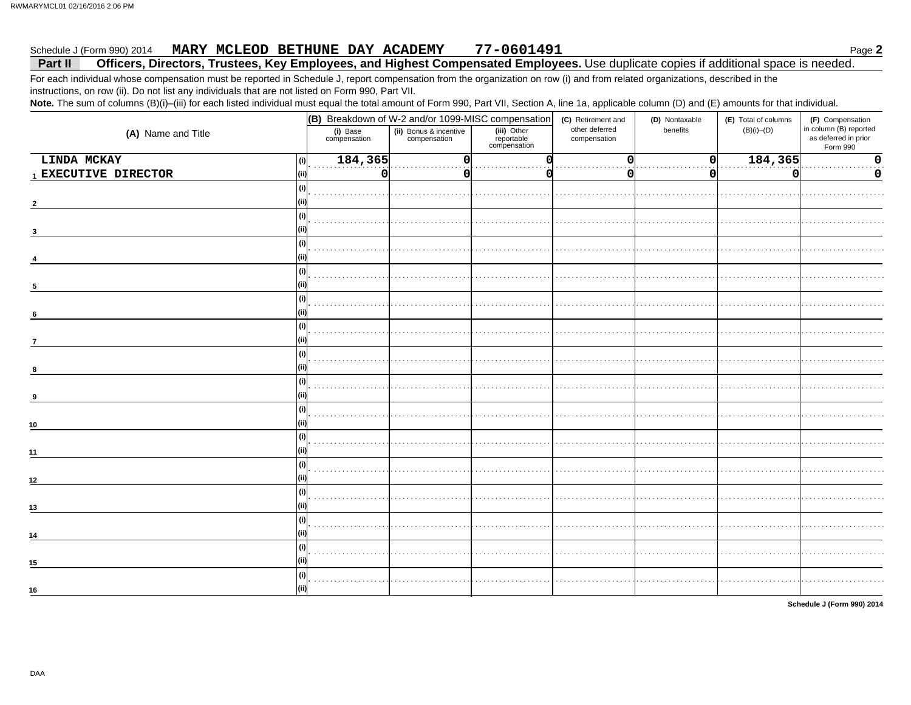#### 77-0601491 Schedule J (Form 990) 2014 MARY MCLEOD BETHUNE DAY ACADEMY

#### Officers, Directors, Trustees, Key Employees, and Highest Compensated Employees. Use duplicate copies if additional space is needed. Part II

For each individual whose compensation must be reported in Schedule J, report compensation from the organization on row (i) and from related organizations, described in the instructions, on row (ii). Do not list any individuals that are not listed on Form 990, Part VII.

Note. The sum of columns (B)(i)-(iii) for each listed individual must equal the total amount of Form 990, Part VII, Section A, line 1a, applicable column (D) and (E) amounts for that individual.

|                      | (B) Breakdown of W-2 and/or 1099-MISC compensation |                                        |                                           | (C) Retirement and             | (D) Nontaxable | (E) Total of columns | (F) Compensation<br>in column (B) reported |  |
|----------------------|----------------------------------------------------|----------------------------------------|-------------------------------------------|--------------------------------|----------------|----------------------|--------------------------------------------|--|
| (A) Name and Title   | (i) Base<br>compensation                           | (ii) Bonus & incentive<br>compensation | (iii) Other<br>reportable<br>compensation | other deferred<br>compensation | benefits       | $(B)(i)$ - $(D)$     | as deferred in prior<br>Form 990           |  |
| LINDA MCKAY<br>(i)   | 184,365                                            |                                        |                                           | O                              |                | 184,365              | 0                                          |  |
| 1 EXECUTIVE DIRECTOR | 0                                                  |                                        |                                           |                                |                | O                    | 0                                          |  |
|                      |                                                    |                                        |                                           |                                |                |                      |                                            |  |
|                      |                                                    |                                        |                                           |                                |                |                      |                                            |  |
| (i)                  |                                                    |                                        |                                           |                                |                |                      |                                            |  |
| з                    |                                                    |                                        |                                           |                                |                |                      |                                            |  |
| (i)                  |                                                    |                                        |                                           |                                |                |                      |                                            |  |
| (i)                  |                                                    |                                        |                                           |                                |                |                      |                                            |  |
|                      |                                                    |                                        |                                           |                                |                |                      |                                            |  |
| (i)<br>6             |                                                    |                                        |                                           |                                |                |                      |                                            |  |
| (i)                  |                                                    |                                        |                                           |                                |                |                      |                                            |  |
| $\overline{7}$       |                                                    |                                        |                                           |                                |                |                      |                                            |  |
| (i)<br>8             |                                                    |                                        |                                           |                                |                |                      |                                            |  |
| (i)                  |                                                    |                                        |                                           |                                |                |                      |                                            |  |
| 9                    |                                                    |                                        |                                           |                                |                |                      |                                            |  |
| 10                   |                                                    |                                        |                                           |                                |                |                      |                                            |  |
| (i)                  |                                                    |                                        |                                           |                                |                |                      |                                            |  |
| 11                   |                                                    |                                        |                                           |                                |                |                      |                                            |  |
| (i)                  |                                                    |                                        |                                           |                                |                |                      |                                            |  |
| 12                   |                                                    |                                        |                                           |                                |                |                      |                                            |  |
| (i)<br>13            |                                                    |                                        |                                           |                                |                |                      |                                            |  |
| (i)                  |                                                    |                                        |                                           |                                |                |                      |                                            |  |
| 14                   |                                                    |                                        |                                           |                                |                |                      |                                            |  |
| (i)                  |                                                    |                                        |                                           |                                |                |                      |                                            |  |
| 15                   |                                                    |                                        |                                           |                                |                |                      |                                            |  |
| (i)                  |                                                    |                                        |                                           |                                |                |                      |                                            |  |
| 16                   |                                                    |                                        |                                           |                                |                |                      |                                            |  |

Schedule J (Form 990) 2014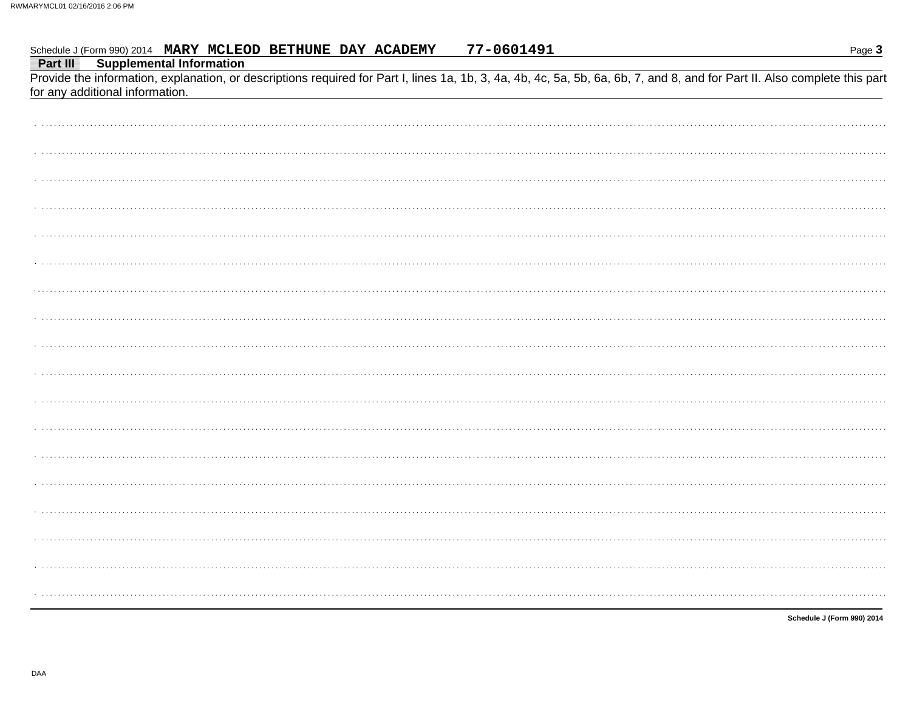#### 77-0601491 Schedule J (Form 990) 2014 MARY MCLEOD BETHUNE DAY ACADEMY

Part III **Supplemental Information** 

Provide the information, explanation, or descriptions required for Part I, lines 1a, 1b, 3, 4a, 4b, 4c, 5a, 5b, 6a, 6b, 7, and 8, and for Part II. Also complete this part for any additional information.

Schedule J (Form 990) 2014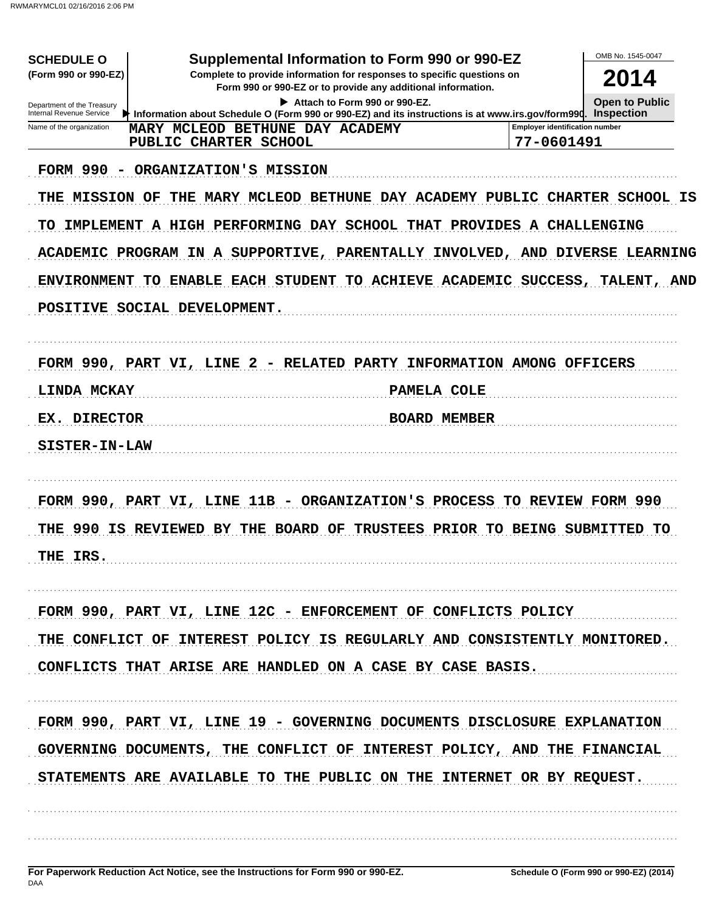| <b>SCHEDULE O</b><br>(Form 990 or 990-EZ)              | Supplemental Information to Form 990 or 990-EZ<br>Complete to provide information for responses to specific questions on<br>Form 990 or 990-EZ or to provide any additional information.                                                                              |                                                     | OMB No. 1545-0047<br>2014 |
|--------------------------------------------------------|-----------------------------------------------------------------------------------------------------------------------------------------------------------------------------------------------------------------------------------------------------------------------|-----------------------------------------------------|---------------------------|
| Department of the Treasury<br>Internal Revenue Service | <b>Open to Public</b><br>Information about Schedule O (Form 990 or 990-EZ) and its instructions is at www.irs.gov/form990. Inspection                                                                                                                                 |                                                     |                           |
| Name of the organization                               | MARY MCLEOD BETHUNE DAY ACADEMY<br>PUBLIC CHARTER SCHOOL                                                                                                                                                                                                              | <b>Employer identification number</b><br>77-0601491 |                           |
| TO                                                     | FORM 990 - ORGANIZATION'S MISSION<br>THE MISSION OF THE MARY MCLEOD BETHUNE DAY ACADEMY PUBLIC CHARTER SCHOOL IS<br>IMPLEMENT A HIGH PERFORMING DAY SCHOOL THAT PROVIDES A CHALLENGING<br>ACADEMIC PROGRAM IN A SUPPORTIVE, PARENTALLY INVOLVED, AND DIVERSE LEARNING |                                                     |                           |
| POSITIVE SOCIAL DEVELOPMENT.                           | ENVIRONMENT TO ENABLE EACH STUDENT TO ACHIEVE ACADEMIC SUCCESS, TALENT, AND                                                                                                                                                                                           |                                                     |                           |
| <b>LINDA MCKAY</b>                                     | FORM 990, PART VI, LINE 2 - RELATED PARTY INFORMATION AMONG OFFICERS<br>PAMELA COLE                                                                                                                                                                                   |                                                     |                           |
| EX. DIRECTOR                                           | <b>BOARD MEMBER</b>                                                                                                                                                                                                                                                   |                                                     |                           |
| SISTER-IN-LAW                                          |                                                                                                                                                                                                                                                                       |                                                     |                           |
| THE IRS.                                               | FORM 990, PART VI, LINE 11B - ORGANIZATION'S PROCESS TO REVIEW FORM 990<br>THE 990 IS REVIEWED BY THE BOARD OF TRUSTEES PRIOR TO BEING SUBMITTED TO                                                                                                                   |                                                     |                           |
|                                                        | FORM 990, PART VI, LINE 12C - ENFORCEMENT OF CONFLICTS POLICY                                                                                                                                                                                                         |                                                     |                           |
|                                                        | THE CONFLICT OF INTEREST POLICY IS REGULARLY AND CONSISTENTLY MONITORED.<br>CONFLICTS THAT ARISE ARE HANDLED ON A CASE BY CASE BASIS.                                                                                                                                 |                                                     |                           |
|                                                        | FORM 990, PART VI, LINE 19 - GOVERNING DOCUMENTS DISCLOSURE EXPLANATION<br>GOVERNING DOCUMENTS, THE CONFLICT OF INTEREST POLICY, AND THE FINANCIAL<br>STATEMENTS ARE AVAILABLE TO THE PUBLIC ON THE INTERNET OR BY REQUEST.                                           |                                                     |                           |
|                                                        |                                                                                                                                                                                                                                                                       |                                                     |                           |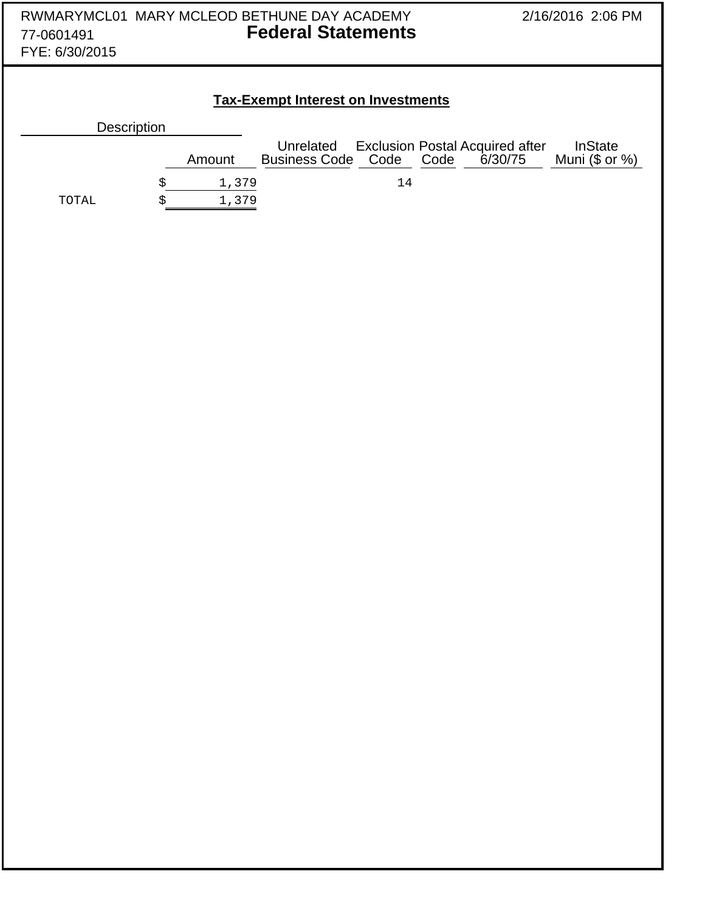| RWMARYMCL01 MARY MCLEOD BETHUNE DAY ACADEMY<br><b>Federal Statements</b><br>77-0601491<br>FYE: 6/30/2015 |             |                                           | 2/16/2016 2:06 PM |      |                                                   |                                    |  |
|----------------------------------------------------------------------------------------------------------|-------------|-------------------------------------------|-------------------|------|---------------------------------------------------|------------------------------------|--|
|                                                                                                          |             | <b>Tax-Exempt Interest on Investments</b> |                   |      |                                                   |                                    |  |
| Description                                                                                              |             |                                           |                   |      |                                                   |                                    |  |
|                                                                                                          | Amount      | Unrelated<br><b>Business Code</b>         | Code              | Code | <b>Exclusion Postal Acquired after</b><br>6/30/75 | <b>InState</b><br>Muni $($ or  %)$ |  |
|                                                                                                          | \$<br>1,379 |                                           | $14$              |      |                                                   |                                    |  |
| TOTAL                                                                                                    | \$<br>1,379 |                                           |                   |      |                                                   |                                    |  |
|                                                                                                          |             |                                           |                   |      |                                                   |                                    |  |
|                                                                                                          |             |                                           |                   |      |                                                   |                                    |  |
|                                                                                                          |             |                                           |                   |      |                                                   |                                    |  |
|                                                                                                          |             |                                           |                   |      |                                                   |                                    |  |
|                                                                                                          |             |                                           |                   |      |                                                   |                                    |  |
|                                                                                                          |             |                                           |                   |      |                                                   |                                    |  |
|                                                                                                          |             |                                           |                   |      |                                                   |                                    |  |
|                                                                                                          |             |                                           |                   |      |                                                   |                                    |  |
|                                                                                                          |             |                                           |                   |      |                                                   |                                    |  |
|                                                                                                          |             |                                           |                   |      |                                                   |                                    |  |
|                                                                                                          |             |                                           |                   |      |                                                   |                                    |  |
|                                                                                                          |             |                                           |                   |      |                                                   |                                    |  |
|                                                                                                          |             |                                           |                   |      |                                                   |                                    |  |
|                                                                                                          |             |                                           |                   |      |                                                   |                                    |  |
|                                                                                                          |             |                                           |                   |      |                                                   |                                    |  |
|                                                                                                          |             |                                           |                   |      |                                                   |                                    |  |
|                                                                                                          |             |                                           |                   |      |                                                   |                                    |  |
|                                                                                                          |             |                                           |                   |      |                                                   |                                    |  |
|                                                                                                          |             |                                           |                   |      |                                                   |                                    |  |
|                                                                                                          |             |                                           |                   |      |                                                   |                                    |  |
|                                                                                                          |             |                                           |                   |      |                                                   |                                    |  |
|                                                                                                          |             |                                           |                   |      |                                                   |                                    |  |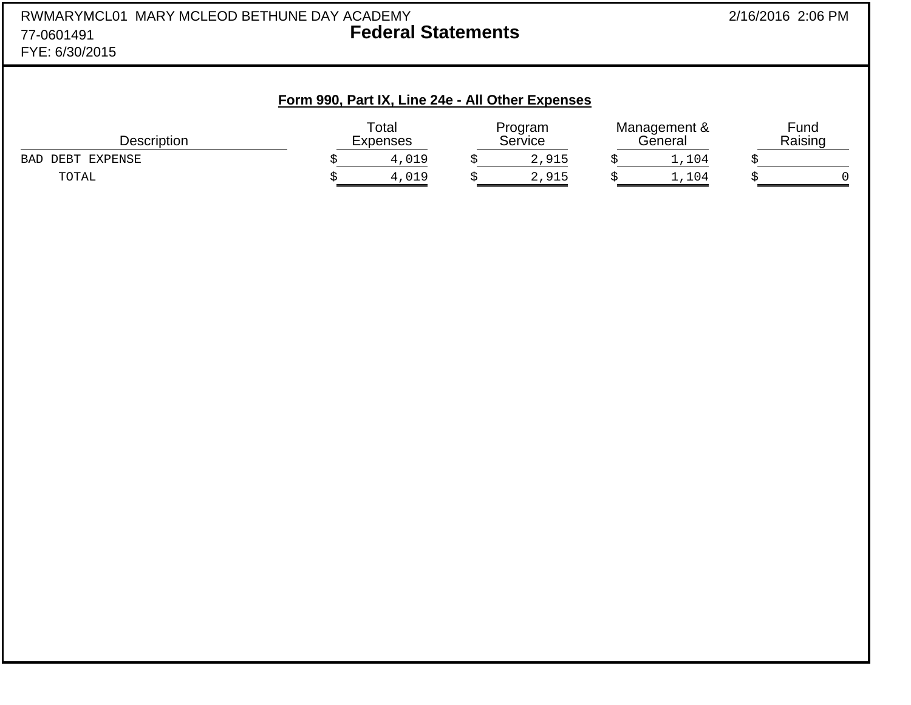|                | RWMARYMCL01 MARY MCLEOD BETHUNE DAY ACADEMY | 2/16/2016 2:06 PM |
|----------------|---------------------------------------------|-------------------|
| 77-0601491     | <b>Federal Statements</b>                   |                   |
| FYE: 6/30/2015 |                                             |                   |

# **Form 990, Part IX, Line 24e - All Other Expenses**

| Description            | Total<br>Expenses | Program<br>Service | Management &<br>eneralد | Fund<br>Raising |
|------------------------|-------------------|--------------------|-------------------------|-----------------|
| EXPENSE<br>BAD<br>DEBT | $\pm$ , 019       | 2,915              | ,104                    |                 |
| TOTAL                  | $\pm$ ,019        | 2,915              | ,104                    |                 |